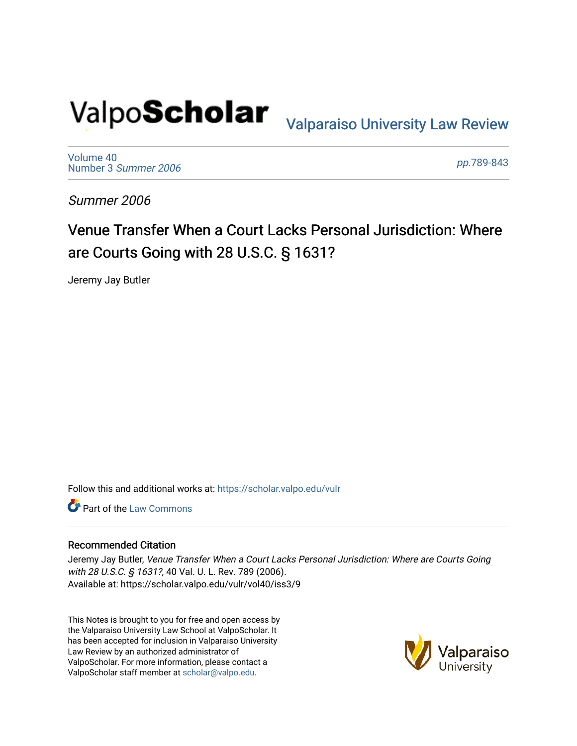# Valpo**Scholar** <sub>Valparaiso University Law Review</sub>

[Volume 40](https://scholar.valpo.edu/vulr/vol40) [Number 3](https://scholar.valpo.edu/vulr/vol40/iss3) Summer 2006

pp.[789-843](https://scholar.valpo.edu/vulr/vol40/iss3/9) 

Summer 2006

# Venue Transfer When a Court Lacks Personal Jurisdiction: Where are Courts Going with 28 U.S.C. § 1631?

Jeremy Jay Butler

Follow this and additional works at: [https://scholar.valpo.edu/vulr](https://scholar.valpo.edu/vulr?utm_source=scholar.valpo.edu%2Fvulr%2Fvol40%2Fiss3%2F9&utm_medium=PDF&utm_campaign=PDFCoverPages)

Part of the [Law Commons](http://network.bepress.com/hgg/discipline/578?utm_source=scholar.valpo.edu%2Fvulr%2Fvol40%2Fiss3%2F9&utm_medium=PDF&utm_campaign=PDFCoverPages)

# Recommended Citation

Jeremy Jay Butler, Venue Transfer When a Court Lacks Personal Jurisdiction: Where are Courts Going with 28 U.S.C. § 1631?, 40 Val. U. L. Rev. 789 (2006). Available at: https://scholar.valpo.edu/vulr/vol40/iss3/9

This Notes is brought to you for free and open access by the Valparaiso University Law School at ValpoScholar. It has been accepted for inclusion in Valparaiso University Law Review by an authorized administrator of ValpoScholar. For more information, please contact a ValpoScholar staff member at [scholar@valpo.edu](mailto:scholar@valpo.edu).

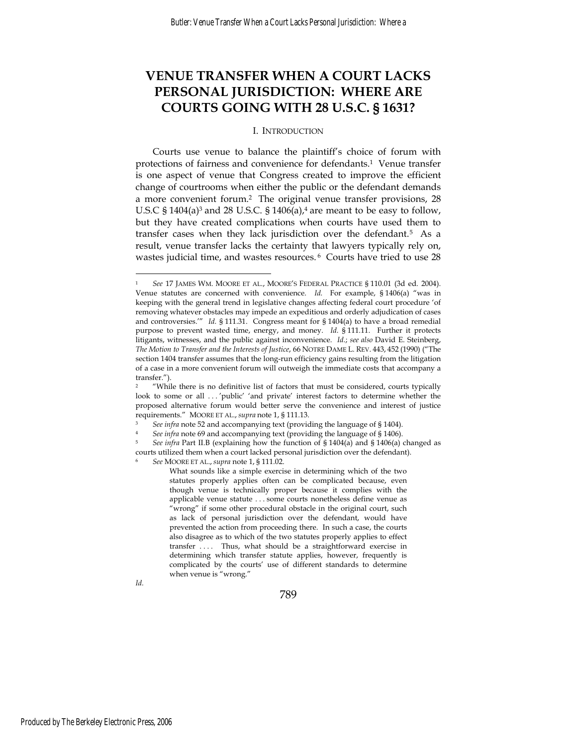# **VENUE TRANSFER WHEN A COURT LACKS PERSONAL JURISDICTION: WHERE ARE COURTS GOING WITH 28 U.S.C. § 1631?**

#### I. INTRODUCTION

Courts use venue to balance the plaintiff's choice of forum with protections of fairness and convenience for defendants.1 Venue transfer is one aspect of venue that Congress created to improve the efficient change of courtrooms when either the public or the defendant demands a more convenient forum.<sup>2</sup> The original venue transfer provisions, 28 U.S.C § 1404(a)<sup>3</sup> and 28 U.S.C. § 1406(a),<sup>4</sup> are meant to be easy to follow, but they have created complications when courts have used them to transfer cases when they lack jurisdiction over the defendant.5 As a result, venue transfer lacks the certainty that lawyers typically rely on, wastes judicial time, and wastes resources. 6 Courts have tried to use 28

*Id.*

 $\overline{a}$ 

789

<sup>1</sup> *See* 17 JAMES WM. MOORE ET AL., MOORE'S FEDERAL PRACTICE § 110.01 (3d ed. 2004). Venue statutes are concerned with convenience. *Id.* For example, § 1406(a) "was in keeping with the general trend in legislative changes affecting federal court procedure 'of removing whatever obstacles may impede an expeditious and orderly adjudication of cases and controversies.'" *Id.* § 111.31. Congress meant for § 1404(a) to have a broad remedial purpose to prevent wasted time, energy, and money. *Id.* § 111.11. Further it protects litigants, witnesses, and the public against inconvenience. *Id.*; *see also* David E. Steinberg, *The Motion to Transfer and the Interests of Justice*, 66 NOTRE DAME L. REV. 443, 452 (1990) ("The section 1404 transfer assumes that the long-run efficiency gains resulting from the litigation of a case in a more convenient forum will outweigh the immediate costs that accompany a transfer.").

<sup>&</sup>quot;While there is no definitive list of factors that must be considered, courts typically look to some or all . . . 'public' 'and private' interest factors to determine whether the proposed alternative forum would better serve the convenience and interest of justice requirements." MOORE ET AL., *supra* note 1, § 111.13.

<sup>3</sup> *See infra* note 52 and accompanying text (providing the language of § 1404).

*See infra* note 69 and accompanying text (providing the language of § 1406). *See infra* Part II.B (explaining how the function of § 1404(a) and § 1406(a) changed as courts utilized them when a court lacked personal jurisdiction over the defendant). <sup>6</sup> *See* MOORE ET AL., *supra* note 1, § 111.02.

What sounds like a simple exercise in determining which of the two statutes properly applies often can be complicated because, even though venue is technically proper because it complies with the applicable venue statute . . . some courts nonetheless define venue as "wrong" if some other procedural obstacle in the original court, such as lack of personal jurisdiction over the defendant, would have prevented the action from proceeding there. In such a case, the courts also disagree as to which of the two statutes properly applies to effect transfer .... Thus, what should be a straightforward exercise in determining which transfer statute applies, however, frequently is complicated by the courts' use of different standards to determine when venue is "wrong."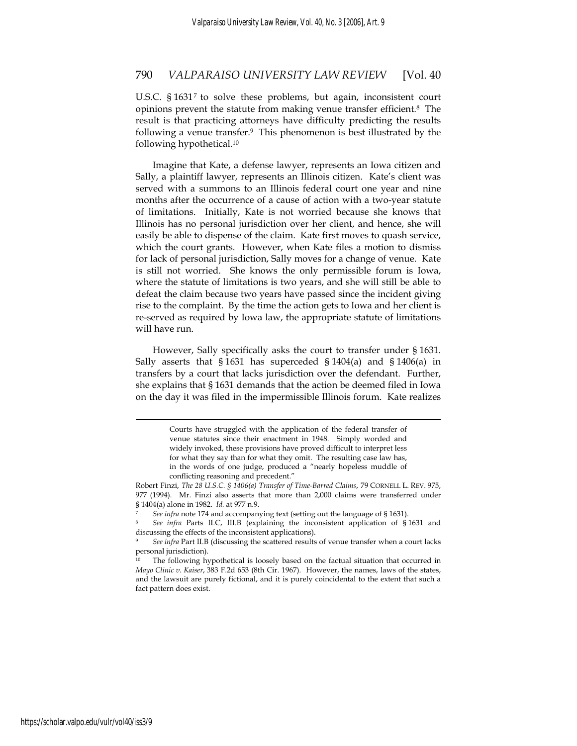U.S.C. § 16317 to solve these problems, but again, inconsistent court opinions prevent the statute from making venue transfer efficient.8 The result is that practicing attorneys have difficulty predicting the results following a venue transfer.9 This phenomenon is best illustrated by the following hypothetical.10

Imagine that Kate, a defense lawyer, represents an Iowa citizen and Sally, a plaintiff lawyer, represents an Illinois citizen. Kate's client was served with a summons to an Illinois federal court one year and nine months after the occurrence of a cause of action with a two-year statute of limitations. Initially, Kate is not worried because she knows that Illinois has no personal jurisdiction over her client, and hence, she will easily be able to dispense of the claim. Kate first moves to quash service, which the court grants. However, when Kate files a motion to dismiss for lack of personal jurisdiction, Sally moves for a change of venue. Kate is still not worried. She knows the only permissible forum is Iowa, where the statute of limitations is two years, and she will still be able to defeat the claim because two years have passed since the incident giving rise to the complaint. By the time the action gets to Iowa and her client is re-served as required by Iowa law, the appropriate statute of limitations will have run.

However, Sally specifically asks the court to transfer under § 1631. Sally asserts that § 1631 has superceded § 1404(a) and § 1406(a) in transfers by a court that lacks jurisdiction over the defendant. Further, she explains that § 1631 demands that the action be deemed filed in Iowa on the day it was filed in the impermissible Illinois forum. Kate realizes

> Courts have struggled with the application of the federal transfer of venue statutes since their enactment in 1948. Simply worded and widely invoked, these provisions have proved difficult to interpret less for what they say than for what they omit. The resulting case law has, in the words of one judge, produced a "nearly hopeless muddle of conflicting reasoning and precedent."

Robert Finzi, *The 28 U.S.C. § 1406(a) Transfer of Time-Barred Claims*, 79 CORNELL L. REV. 975, 977 (1994). Mr. Finzi also asserts that more than 2,000 claims were transferred under § 1404(a) alone in 1982. *Id.* at 977 n.9.

<sup>7</sup> *See infra* note 174 and accompanying text (setting out the language of § 1631). 8 *See infra* Parts II.C, III.B (explaining the inconsistent application of § 1631 and discussing the effects of the inconsistent applications).

<sup>9</sup> *See infra* Part II.B (discussing the scattered results of venue transfer when a court lacks personal jurisdiction).

The following hypothetical is loosely based on the factual situation that occurred in *Mayo Clinic v. Kaiser*, 383 F.2d 653 (8th Cir. 1967). However, the names, laws of the states, and the lawsuit are purely fictional, and it is purely coincidental to the extent that such a fact pattern does exist.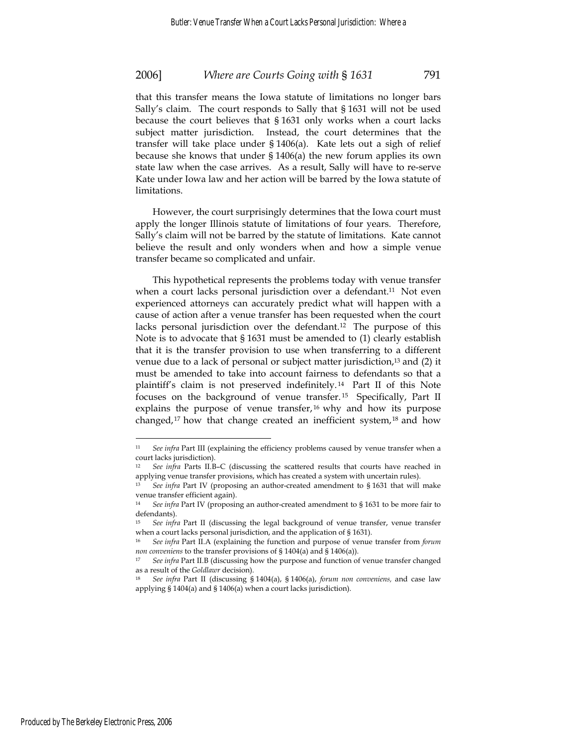that this transfer means the Iowa statute of limitations no longer bars Sally's claim. The court responds to Sally that § 1631 will not be used because the court believes that § 1631 only works when a court lacks subject matter jurisdiction. Instead, the court determines that the transfer will take place under § 1406(a). Kate lets out a sigh of relief because she knows that under § 1406(a) the new forum applies its own state law when the case arrives. As a result, Sally will have to re-serve Kate under Iowa law and her action will be barred by the Iowa statute of limitations.

However, the court surprisingly determines that the Iowa court must apply the longer Illinois statute of limitations of four years. Therefore, Sally's claim will not be barred by the statute of limitations. Kate cannot believe the result and only wonders when and how a simple venue transfer became so complicated and unfair.

This hypothetical represents the problems today with venue transfer when a court lacks personal jurisdiction over a defendant.<sup>11</sup> Not even experienced attorneys can accurately predict what will happen with a cause of action after a venue transfer has been requested when the court lacks personal jurisdiction over the defendant.12 The purpose of this Note is to advocate that § 1631 must be amended to (1) clearly establish that it is the transfer provision to use when transferring to a different venue due to a lack of personal or subject matter jurisdiction,13 and (2) it must be amended to take into account fairness to defendants so that a plaintiff's claim is not preserved indefinitely. 14 Part II of this Note focuses on the background of venue transfer. 15 Specifically, Part II explains the purpose of venue transfer,<sup>16</sup> why and how its purpose changed, $17$  how that change created an inefficient system, $18$  and how

<sup>11</sup> *See infra* Part III (explaining the efficiency problems caused by venue transfer when a court lacks jurisdiction).

<sup>12</sup> *See infra* Parts II.B–C (discussing the scattered results that courts have reached in applying venue transfer provisions, which has created a system with uncertain rules).

<sup>13</sup> *See infra* Part IV (proposing an author-created amendment to § 1631 that will make venue transfer efficient again).

<sup>14</sup> *See infra* Part IV (proposing an author-created amendment to § 1631 to be more fair to defendants).

<sup>15</sup> *See infra* Part II (discussing the legal background of venue transfer, venue transfer when a court lacks personal jurisdiction, and the application of § 1631).

<sup>16</sup> *See infra* Part II.A (explaining the function and purpose of venue transfer from *forum non conveniens* to the transfer provisions of § 1404(a) and § 1406(a)). 17 *See infra* Part II.B (discussing how the purpose and function of venue transfer changed

as a result of the *Goldlawr* decision).

<sup>18</sup> *See infra* Part II (discussing § 1404(a), § 1406(a), *forum non conveniens,* and case law applying § 1404(a) and § 1406(a) when a court lacks jurisdiction).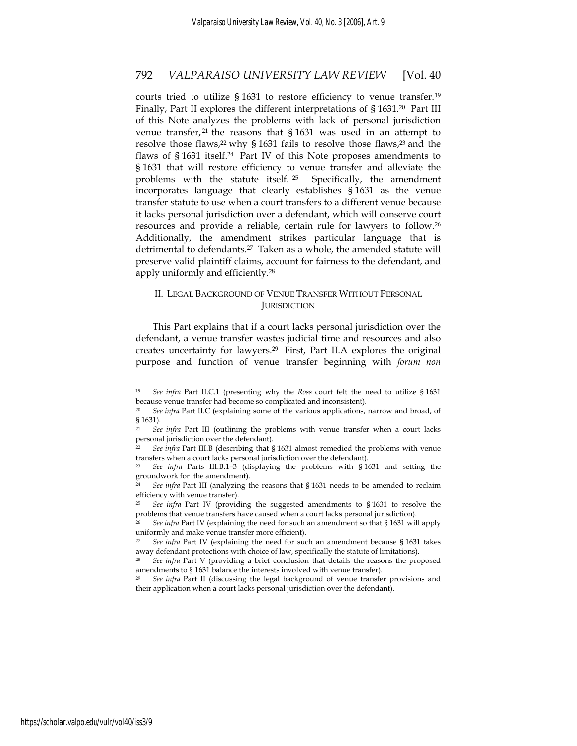courts tried to utilize § 1631 to restore efficiency to venue transfer.19 Finally, Part II explores the different interpretations of § 1631.<sup>20</sup> Part III of this Note analyzes the problems with lack of personal jurisdiction venue transfer, $21$  the reasons that § 1631 was used in an attempt to resolve those flaws,<sup>22</sup> why § 1631 fails to resolve those flaws,<sup>23</sup> and the flaws of §1631 itself.<sup>24</sup> Part IV of this Note proposes amendments to § 1631 that will restore efficiency to venue transfer and alleviate the problems with the statute itself. 25 Specifically, the amendment incorporates language that clearly establishes § 1631 as the venue transfer statute to use when a court transfers to a different venue because it lacks personal jurisdiction over a defendant, which will conserve court resources and provide a reliable, certain rule for lawyers to follow.26 Additionally, the amendment strikes particular language that is detrimental to defendants.<sup>27</sup> Taken as a whole, the amended statute will preserve valid plaintiff claims, account for fairness to the defendant, and apply uniformly and efficiently.28

# II. LEGAL BACKGROUND OF VENUE TRANSFER WITHOUT PERSONAL **JURISDICTION**

This Part explains that if a court lacks personal jurisdiction over the defendant, a venue transfer wastes judicial time and resources and also creates uncertainty for lawyers.29 First, Part II.A explores the original purpose and function of venue transfer beginning with *forum non* 

<sup>19</sup> *See infra* Part II.C.1 (presenting why the *Ross* court felt the need to utilize § 1631 because venue transfer had become so complicated and inconsistent).

<sup>20</sup> *See infra* Part II.C (explaining some of the various applications, narrow and broad, of § 1631).

<sup>21</sup> *See infra* Part III (outlining the problems with venue transfer when a court lacks personal jurisdiction over the defendant).

<sup>22</sup> *See infra* Part III.B (describing that § 1631 almost remedied the problems with venue transfers when a court lacks personal jurisdiction over the defendant).

<sup>23</sup> *See infra* Parts III.B.1–3 (displaying the problems with § 1631 and setting the groundwork for the amendment).

See infra Part III (analyzing the reasons that § 1631 needs to be amended to reclaim efficiency with venue transfer).

<sup>25</sup> *See infra* Part IV (providing the suggested amendments to § 1631 to resolve the

problems that venue transfers have caused when a court lacks personal jurisdiction). 26 *See infra* Part IV (explaining the need for such an amendment so that § 1631 will apply uniformly and make venue transfer more efficient).

<sup>27</sup> *See infra* Part IV (explaining the need for such an amendment because § 1631 takes away defendant protections with choice of law, specifically the statute of limitations). 28 *See infra* Part V (providing a brief conclusion that details the reasons the proposed

amendments to § 1631 balance the interests involved with venue transfer).

<sup>29</sup> *See infra* Part II (discussing the legal background of venue transfer provisions and their application when a court lacks personal jurisdiction over the defendant).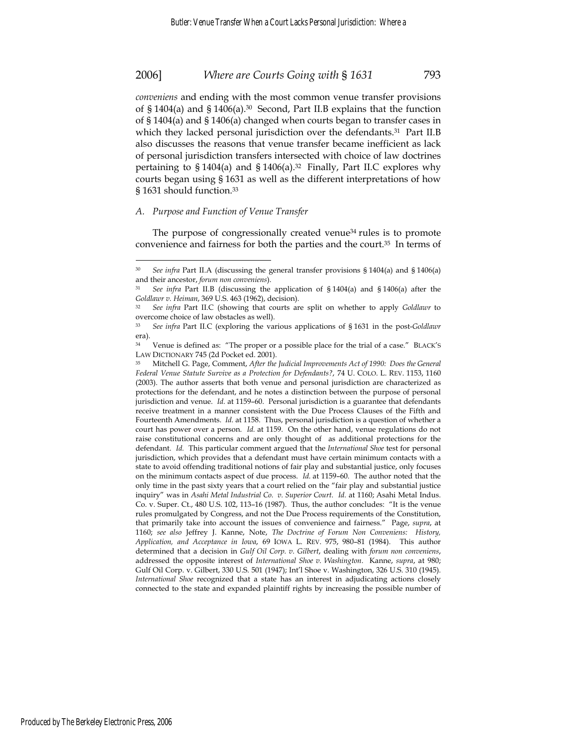*conveniens* and ending with the most common venue transfer provisions of § 1404(a) and § 1406(a).30 Second, Part II.B explains that the function of § 1404(a) and § 1406(a) changed when courts began to transfer cases in which they lacked personal jurisdiction over the defendants.<sup>31</sup> Part II.B also discusses the reasons that venue transfer became inefficient as lack of personal jurisdiction transfers intersected with choice of law doctrines pertaining to  $$1404(a)$  and  $$1406(a).^{32}$  Finally, Part II.C explores why courts began using § 1631 as well as the different interpretations of how § 1631 should function.<sup>33</sup>

#### *A. Purpose and Function of Venue Transfer*

 $\overline{a}$ 

The purpose of congressionally created venue<sup>34</sup> rules is to promote convenience and fairness for both the parties and the court.35 In terms of

<sup>30</sup> *See infra* Part II.A (discussing the general transfer provisions § 1404(a) and § 1406(a) and their ancestor, *forum non conveniens*). 31 *See infra* Part II.B (discussing the application of § 1404(a) and § 1406(a) after the

*Goldlawr v. Heiman*, 369 U.S. 463 (1962), decision).

<sup>32</sup> *See infra* Part II.C (showing that courts are split on whether to apply *Goldlawr* to overcome choice of law obstacles as well).

<sup>33</sup> *See infra* Part II.C (exploring the various applications of § 1631 in the post-*Goldlawr*  era).

<sup>&</sup>lt;sup>34</sup> Venue is defined as: "The proper or a possible place for the trial of a case." BLACK'S LAW DICTIONARY 745 (2d Pocket ed. 2001).

<sup>35</sup> Mitchell G. Page, Comment, *After the Judicial Improvements Act of 1990: Does the General Federal Venue Statute Survive as a Protection for Defendants?*, 74 U. COLO. L. REV. 1153, 1160 (2003). The author asserts that both venue and personal jurisdiction are characterized as protections for the defendant, and he notes a distinction between the purpose of personal jurisdiction and venue. *Id.* at 1159–60. Personal jurisdiction is a guarantee that defendants receive treatment in a manner consistent with the Due Process Clauses of the Fifth and Fourteenth Amendments. *Id.* at 1158. Thus, personal jurisdiction is a question of whether a court has power over a person. *Id.* at 1159. On the other hand, venue regulations do not raise constitutional concerns and are only thought of as additional protections for the defendant. *Id.* This particular comment argued that the *International Shoe* test for personal jurisdiction, which provides that a defendant must have certain minimum contacts with a state to avoid offending traditional notions of fair play and substantial justice, only focuses on the minimum contacts aspect of due process. *Id.* at 1159–60. The author noted that the only time in the past sixty years that a court relied on the "fair play and substantial justice inquiry" was in *Asahi Metal Industrial Co. v. Superior Court*. *Id.* at 1160; Asahi Metal Indus. Co. v. Super. Ct., 480 U.S. 102, 113–16 (1987). Thus, the author concludes: "It is the venue rules promulgated by Congress, and not the Due Process requirements of the Constitution, that primarily take into account the issues of convenience and fairness." Page, *supra*, at 1160; *see also* Jeffrey J. Kanne, Note, *The Doctrine of Forum Non Conveniens: History, Application, and Acceptance in Iowa*, 69 IOWA L. REV. 975, 980–81 (1984). This author determined that a decision in *Gulf Oil Corp. v. Gilbert*, dealing with *forum non conveniens*, addressed the opposite interest of *International Shoe v. Washington*. Kanne, *supra*, at 980; Gulf Oil Corp. v. Gilbert, 330 U.S. 501 (1947); Int'l Shoe v. Washington, 326 U.S. 310 (1945). *International Shoe* recognized that a state has an interest in adjudicating actions closely connected to the state and expanded plaintiff rights by increasing the possible number of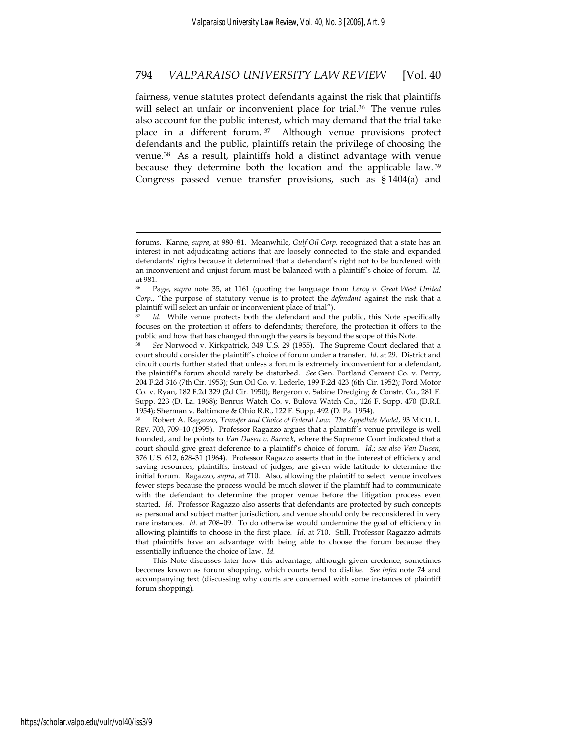fairness, venue statutes protect defendants against the risk that plaintiffs will select an unfair or inconvenient place for trial.<sup>36</sup> The venue rules also account for the public interest, which may demand that the trial take place in a different forum. 37 Although venue provisions protect defendants and the public, plaintiffs retain the privilege of choosing the venue.38 As a result, plaintiffs hold a distinct advantage with venue because they determine both the location and the applicable law. 39 Congress passed venue transfer provisions, such as § 1404(a) and

forums. Kanne, *supra*, at 980–81. Meanwhile, *Gulf Oil Corp.* recognized that a state has an interest in not adjudicating actions that are loosely connected to the state and expanded defendants' rights because it determined that a defendant's right not to be burdened with an inconvenient and unjust forum must be balanced with a plaintiff's choice of forum. *Id.* at 981.

<sup>36</sup> Page, *supra* note 35, at 1161 (quoting the language from *Leroy v. Great West United Corp.*, "the purpose of statutory venue is to protect the *defendant* against the risk that a plaintiff will select an unfair or inconvenient place of trial").

Id. While venue protects both the defendant and the public, this Note specifically focuses on the protection it offers to defendants; therefore, the protection it offers to the public and how that has changed through the years is beyond the scope of this Note.

See Norwood v. Kirkpatrick, 349 U.S. 29 (1955). The Supreme Court declared that a court should consider the plaintiff's choice of forum under a transfer. *Id*. at 29. District and circuit courts further stated that unless a forum is extremely inconvenient for a defendant, the plaintiff's forum should rarely be disturbed. *See* Gen. Portland Cement Co. v. Perry, 204 F.2d 316 (7th Cir. 1953); Sun Oil Co. v. Lederle, 199 F.2d 423 (6th Cir. 1952); Ford Motor Co. v. Ryan, 182 F.2d 329 (2d Cir. 1950); Bergeron v. Sabine Dredging & Constr. Co., 281 F. Supp. 223 (D. La. 1968); Benrus Watch Co. v. Bulova Watch Co., 126 F. Supp. 470 (D.R.I. 1954); Sherman v. Baltimore & Ohio R.R., 122 F. Supp. 492 (D. Pa. 1954).

<sup>39</sup> Robert A. Ragazzo, *Transfer and Choice of Federal Law: The Appellate Model*, 93 MICH. L. REV. 703, 709–10 (1995). Professor Ragazzo argues that a plaintiff's venue privilege is well founded, and he points to *Van Dusen v. Barrack*, where the Supreme Court indicated that a court should give great deference to a plaintiff's choice of forum. *Id.*; *see also Van Dusen*, 376 U.S. 612, 628–31 (1964). Professor Ragazzo asserts that in the interest of efficiency and saving resources, plaintiffs, instead of judges, are given wide latitude to determine the initial forum. Ragazzo, *supra*, at 710. Also, allowing the plaintiff to select venue involves fewer steps because the process would be much slower if the plaintiff had to communicate with the defendant to determine the proper venue before the litigation process even started. *Id.* Professor Ragazzo also asserts that defendants are protected by such concepts as personal and subject matter jurisdiction, and venue should only be reconsidered in very rare instances. *Id.* at 708–09. To do otherwise would undermine the goal of efficiency in allowing plaintiffs to choose in the first place. *Id.* at 710. Still, Professor Ragazzo admits that plaintiffs have an advantage with being able to choose the forum because they essentially influence the choice of law. *Id.*

This Note discusses later how this advantage, although given credence, sometimes becomes known as forum shopping, which courts tend to dislike. *See infra* note 74 and accompanying text (discussing why courts are concerned with some instances of plaintiff forum shopping).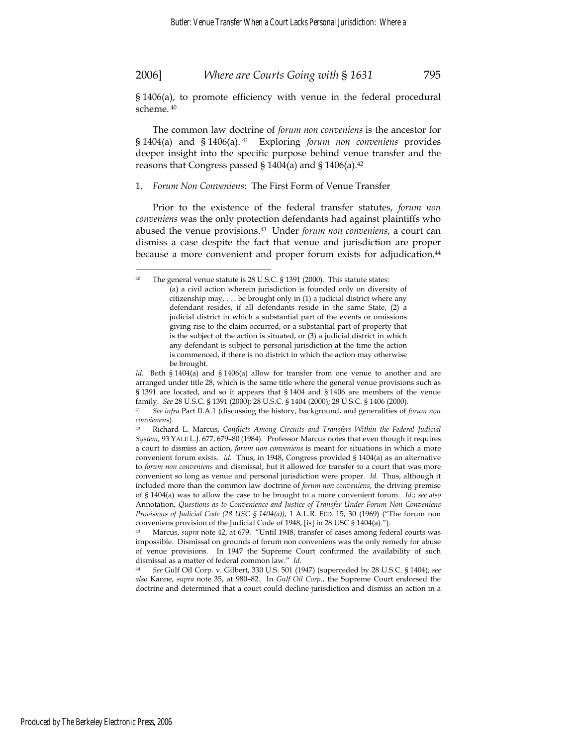§ 1406(a), to promote efficiency with venue in the federal procedural scheme. 40

The common law doctrine of *forum non conveniens* is the ancestor for § 1404(a) and § 1406(a). 41 Exploring *forum non conveniens* provides deeper insight into the specific purpose behind venue transfer and the reasons that Congress passed § 1404(a) and § 1406(a).42

#### 1. *Forum Non Conveniens*: The First Form of Venue Transfer

Prior to the existence of the federal transfer statutes, *forum non conveniens* was the only protection defendants had against plaintiffs who abused the venue provisions.43 Under *forum non conveniens*, a court can dismiss a case despite the fact that venue and jurisdiction are proper because a more convenient and proper forum exists for adjudication.<sup>44</sup>

The general venue statute is 28 U.S.C. § 1391 (2000). This statute states: (a) a civil action wherein jurisdiction is founded only on diversity of citizenship may, . . . be brought only in (1) a judicial district where any defendant resides, if all defendants reside in the same State, (2) a judicial district in which a substantial part of the events or omissions giving rise to the claim occurred, or a substantial part of property that is the subject of the action is situated, or (3) a judicial district in which any defendant is subject to personal jurisdiction at the time the action is commenced, if there is no district in which the action may otherwise be brought.

*Id.* Both § 1404(a) and § 1406(a) allow for transfer from one venue to another and are arranged under title 28, which is the same title where the general venue provisions such as § 1391 are located, and so it appears that § 1404 and § 1406 are members of the venue family. *See* 28 U.S.C. § 1391 (2000); 28 U.S.C. § 1404 (2000); 28 U.S.C. § 1406 (2000). 41 *See infra* Part II.A.1 (discussing the history, background, and generalities of *forum non* 

*convienens*).

<sup>42</sup> Richard L. Marcus, *Conflicts Among Circuits and Transfers Within the Federal Judicial System*, 93 YALE L.J. 677, 679–80 (1984). Professor Marcus notes that even though it requires a court to dismiss an action, *forum non conveniens* is meant for situations in which a more convenient forum exists. *Id.* Thus, in 1948, Congress provided § 1404(a) as an alternative to *forum non conveniens* and dismissal, but it allowed for transfer to a court that was more convenient so long as venue and personal jurisdiction were proper. *Id.* Thus, although it included more than the common law doctrine of *forum non conveniens*, the driving premise of § 1404(a) was to allow the case to be brought to a more convenient forum. *Id.*; *see also*  Annotation, *Questions as to Convenience and Justice of Transfer Under Forum Non Conveniens Provisions of Judicial Code (28 USC § 1404(a))*, 1 A.L.R. FED. 15, 30 (1969) ("The forum non conveniens provision of the Judicial Code of 1948, [is] in 28 USC § 1404(a).").

<sup>43</sup> Marcus, *supra* note 42, at 679. "Until 1948, transfer of cases among federal courts was impossible. Dismissal on grounds of forum non conveniens was the only remedy for abuse of venue provisions. In 1947 the Supreme Court confirmed the availability of such dismissal as a matter of federal common law." *Id.*

<sup>44</sup> *See* Gulf Oil Corp. v. Gilbert, 330 U.S. 501 (1947) (superceded by 28 U.S.C. § 1404); *see also* Kanne, *supra* note 35, at 980–82. In *Gulf Oil Corp*., the Supreme Court endorsed the doctrine and determined that a court could decline jurisdiction and dismiss an action in a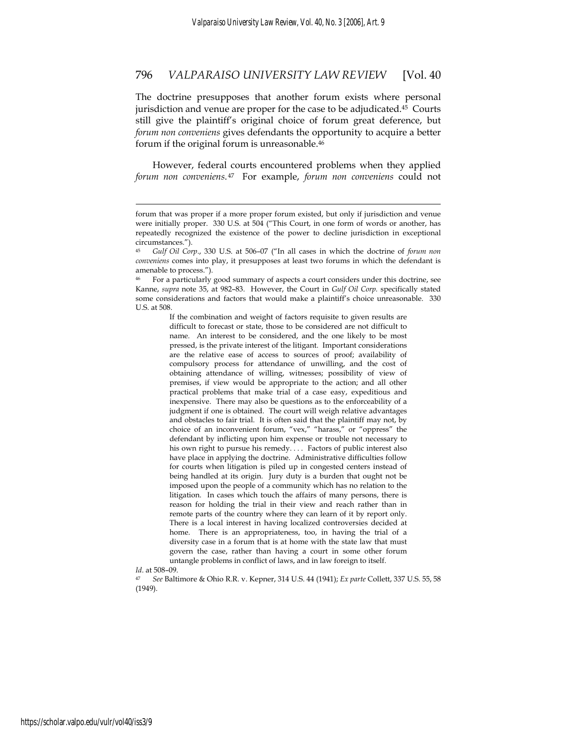The doctrine presupposes that another forum exists where personal jurisdiction and venue are proper for the case to be adjudicated.45 Courts still give the plaintiff's original choice of forum great deference, but *forum non conveniens* gives defendants the opportunity to acquire a better forum if the original forum is unreasonable.46

However, federal courts encountered problems when they applied *forum non conveniens*. 47 For example, *forum non conveniens* could not

If the combination and weight of factors requisite to given results are difficult to forecast or state, those to be considered are not difficult to name. An interest to be considered, and the one likely to be most pressed, is the private interest of the litigant. Important considerations are the relative ease of access to sources of proof; availability of compulsory process for attendance of unwilling, and the cost of obtaining attendance of willing, witnesses; possibility of view of premises, if view would be appropriate to the action; and all other practical problems that make trial of a case easy, expeditious and inexpensive. There may also be questions as to the enforceability of a judgment if one is obtained. The court will weigh relative advantages and obstacles to fair trial. It is often said that the plaintiff may not, by choice of an inconvenient forum, "vex," "harass," or "oppress" the defendant by inflicting upon him expense or trouble not necessary to his own right to pursue his remedy. . . . Factors of public interest also have place in applying the doctrine. Administrative difficulties follow for courts when litigation is piled up in congested centers instead of being handled at its origin. Jury duty is a burden that ought not be imposed upon the people of a community which has no relation to the litigation. In cases which touch the affairs of many persons, there is reason for holding the trial in their view and reach rather than in remote parts of the country where they can learn of it by report only. There is a local interest in having localized controversies decided at home. There is an appropriateness, too, in having the trial of a diversity case in a forum that is at home with the state law that must govern the case, rather than having a court in some other forum untangle problems in conflict of laws, and in law foreign to itself.

*Id*. at 508–09.

 $\overline{a}$ 

<sup>47</sup> *See* Baltimore & Ohio R.R. v. Kepner, 314 U.S. 44 (1941); *Ex parte* Collett, 337 U.S. 55, 58 (1949).

forum that was proper if a more proper forum existed, but only if jurisdiction and venue were initially proper. 330 U.S. at 504 ("This Court, in one form of words or another, has repeatedly recognized the existence of the power to decline jurisdiction in exceptional circumstances.").

<sup>45</sup> *Gulf Oil Corp*., 330 U.S. at 506–07 ("In all cases in which the doctrine of *forum non conveniens* comes into play, it presupposes at least two forums in which the defendant is amenable to process.").

<sup>46</sup> For a particularly good summary of aspects a court considers under this doctrine, see Kanne, *supra* note 35, at 982–83. However, the Court in *Gulf Oil Corp.* specifically stated some considerations and factors that would make a plaintiff's choice unreasonable. 330 U.S. at 508.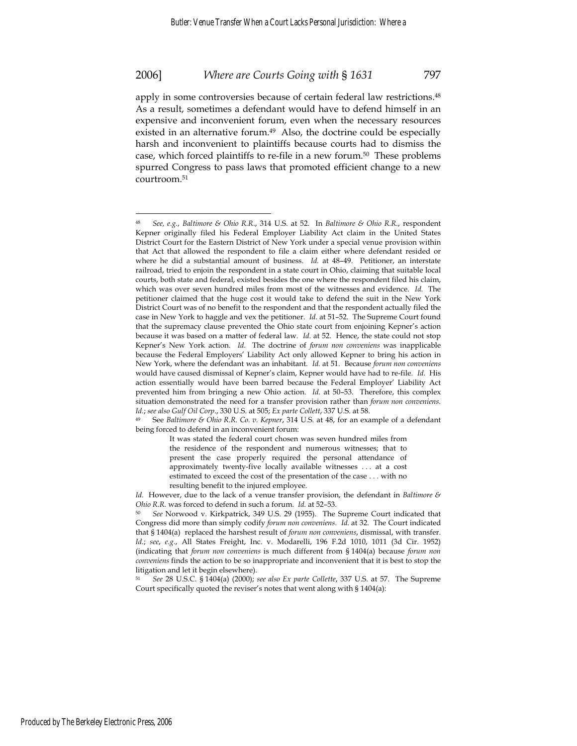$\overline{a}$ 

# 2006] *Where are Courts Going with* § *1631* 797

apply in some controversies because of certain federal law restrictions.<sup>48</sup> As a result, sometimes a defendant would have to defend himself in an expensive and inconvenient forum, even when the necessary resources existed in an alternative forum.<sup>49</sup> Also, the doctrine could be especially harsh and inconvenient to plaintiffs because courts had to dismiss the case, which forced plaintiffs to re-file in a new forum.50 These problems spurred Congress to pass laws that promoted efficient change to a new courtroom.51

<sup>51</sup> *See* 28 U.S.C. § 1404(a) (2000); *see also Ex parte Collette*, 337 U.S. at 57. The Supreme Court specifically quoted the reviser's notes that went along with § 1404(a):

<sup>48</sup> *See, e.g.*, *Baltimore & Ohio R.R*., 314 U.S. at 52. In *Baltimore & Ohio R.R.*, respondent Kepner originally filed his Federal Employer Liability Act claim in the United States District Court for the Eastern District of New York under a special venue provision within that Act that allowed the respondent to file a claim either where defendant resided or where he did a substantial amount of business. *Id.* at 48–49. Petitioner, an interstate railroad, tried to enjoin the respondent in a state court in Ohio, claiming that suitable local courts, both state and federal, existed besides the one where the respondent filed his claim, which was over seven hundred miles from most of the witnesses and evidence. *Id.* The petitioner claimed that the huge cost it would take to defend the suit in the New York District Court was of no benefit to the respondent and that the respondent actually filed the case in New York to haggle and vex the petitioner. *Id.* at 51–52. The Supreme Court found that the supremacy clause prevented the Ohio state court from enjoining Kepner's action because it was based on a matter of federal law. *Id*. at 52. Hence, the state could not stop Kepner's New York action. *Id.* The doctrine of *forum non conveniens* was inapplicable because the Federal Employers' Liability Act only allowed Kepner to bring his action in New York, where the defendant was an inhabitant. *Id.* at 51. Because *forum non conveniens*  would have caused dismissal of Kepner's claim, Kepner would have had to re-file. *Id.* His action essentially would have been barred because the Federal Employer' Liability Act prevented him from bringing a new Ohio action. *Id.* at 50–53. Therefore, this complex situation demonstrated the need for a transfer provision rather than *forum non conveniens*. *Id.*; *see also Gulf Oil Corp*., 330 U.S. at 505; *Ex parte Collett*, 337 U.S. at 58.

<sup>49</sup> See *Baltimore & Ohio R.R. Co. v. Kepner*, 314 U.S. at 48, for an example of a defendant being forced to defend in an inconvenient forum:

It was stated the federal court chosen was seven hundred miles from the residence of the respondent and numerous witnesses; that to present the case properly required the personal attendance of approximately twenty-five locally available witnesses . . . at a cost estimated to exceed the cost of the presentation of the case . . . with no resulting benefit to the injured employee.

*Id.* However, due to the lack of a venue transfer provision, the defendant in *Baltimore & Ohio R.R.* was forced to defend in such a forum. *Id.* at 52–53.

<sup>50</sup> *See* Norwood v. Kirkpatrick, 349 U.S. 29 (1955). The Supreme Court indicated that Congress did more than simply codify *forum non conveniens*. *Id.* at 32. The Court indicated that § 1404(a) replaced the harshest result of *forum non conveniens*, dismissal, with transfer. *Id.*; *see*, *e.g.*, All States Freight, Inc. v. Modarelli, 196 F.2d 1010, 1011 (3d Cir. 1952) (indicating that *forum non conveniens* is much different from § 1404(a) because *forum non conveniens* finds the action to be so inappropriate and inconvenient that it is best to stop the litigation and let it begin elsewhere).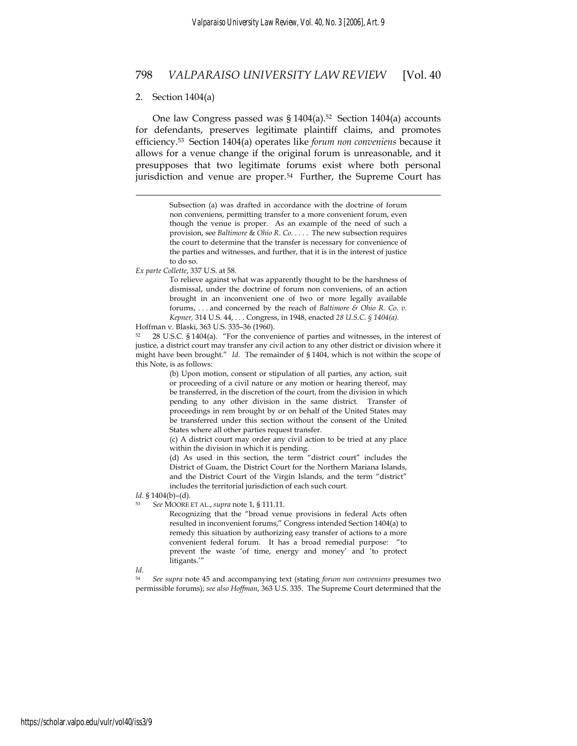#### 2. Section 1404(a)

 $\overline{a}$ 

One law Congress passed was  $\S 1404(a)$ .<sup>52</sup> Section 1404(a) accounts for defendants, preserves legitimate plaintiff claims, and promotes efficiency.53 Section 1404(a) operates like *forum non conveniens* because it allows for a venue change if the original forum is unreasonable, and it presupposes that two legitimate forums exist where both personal jurisdiction and venue are proper.<sup>54</sup> Further, the Supreme Court has

> Subsection (a) was drafted in accordance with the doctrine of forum non conveniens, permitting transfer to a more convenient forum, even though the venue is proper. As an example of the need of such a provision, see *Baltimore* & *Ohio R*. *Co.* . . . . The new subsection requires the court to determine that the transfer is necessary for convenience of the parties and witnesses, and further, that it is in the interest of justice to do so.

*Ex parte Collette*, 337 U.S. at 58.

To relieve against what was apparently thought to be the harshness of dismissal, under the doctrine of forum non conveniens, of an action brought in an inconvenient one of two or more legally available forums, . . . and concerned by the reach of *Baltimore & Ohio R. Co. v. Kepner,* 314 U.S. 44, . . . Congress, in 1948, enacted *28 U.S.C. § 1404(a).*

Hoffman v. Blaski, 363 U.S. 335–36 (1960).

52 28 U.S.C. § 1404(a). "For the convenience of parties and witnesses, in the interest of justice, a district court may transfer any civil action to any other district or division where it might have been brought." *Id.* The remainder of § 1404, which is not within the scope of this Note, is as follows:

> (b) Upon motion, consent or stipulation of all parties, any action, suit or proceeding of a civil nature or any motion or hearing thereof, may be transferred, in the discretion of the court, from the division in which pending to any other division in the same district. Transfer of proceedings in rem brought by or on behalf of the United States may be transferred under this section without the consent of the United States where all other parties request transfer.

> (c) A district court may order any civil action to be tried at any place within the division in which it is pending.

> (d) As used in this section, the term "district court" includes the District of Guam, the District Court for the Northern Mariana Islands, and the District Court of the Virgin Islands, and the term "district" includes the territorial jurisdiction of each such court.

*Id*. § 1404(b)–(d).

<sup>53</sup> *See* MOORE ET AL., *supra* note 1, § 111.11.

Recognizing that the "broad venue provisions in federal Acts often resulted in inconvenient forums," Congress intended Section 1404(a) to remedy this situation by authorizing easy transfer of actions to a more convenient federal forum. It has a broad remedial purpose: "to prevent the waste 'of time, energy and money' and 'to protect litigants.'"

<sup>54</sup> *See supra* note 45 and accompanying text (stating *forum non conveniens* presumes two permissible forums); *see also Hoffman*, 363 U.S. 335. The Supreme Court determined that the

*Id.*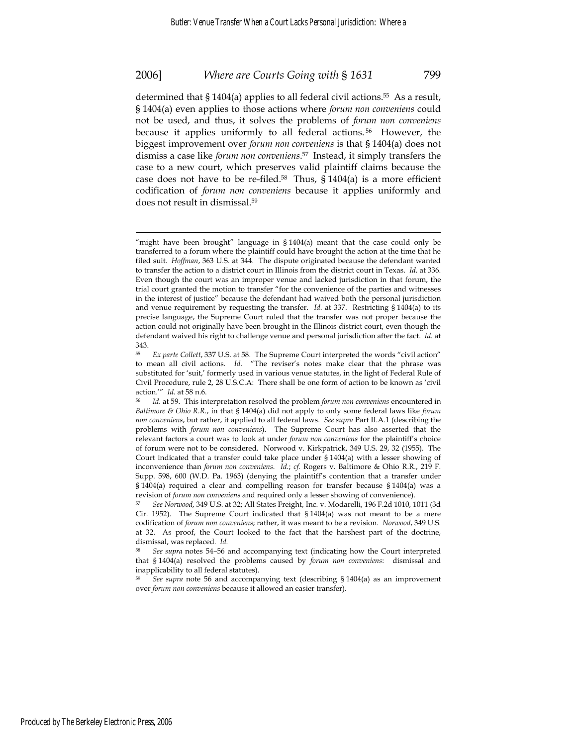$\overline{a}$ 

#### 2006] *Where are Courts Going with* § *1631* 799

determined that § 1404(a) applies to all federal civil actions.<sup>55</sup> As a result, § 1404(a) even applies to those actions where *forum non conveniens* could not be used, and thus, it solves the problems of *forum non conveniens*  because it applies uniformly to all federal actions.<sup>56</sup> However, the biggest improvement over *forum non conveniens* is that § 1404(a) does not dismiss a case like *forum non conveniens*. <sup>57</sup> Instead, it simply transfers the case to a new court, which preserves valid plaintiff claims because the case does not have to be re-filed.<sup>58</sup> Thus,  $\S 1404(a)$  is a more efficient codification of *forum non conveniens* because it applies uniformly and does not result in dismissal.59

<sup>&</sup>quot;might have been brought" language in  $\S 1404(a)$  meant that the case could only be transferred to a forum where the plaintiff could have brought the action at the time that he filed suit. *Hoffman*, 363 U.S. at 344. The dispute originated because the defendant wanted to transfer the action to a district court in Illinois from the district court in Texas. *Id.* at 336. Even though the court was an improper venue and lacked jurisdiction in that forum, the trial court granted the motion to transfer "for the convenience of the parties and witnesses in the interest of justice" because the defendant had waived both the personal jurisdiction and venue requirement by requesting the transfer. *Id*. at 337. Restricting § 1404(a) to its precise language, the Supreme Court ruled that the transfer was not proper because the action could not originally have been brought in the Illinois district court, even though the defendant waived his right to challenge venue and personal jurisdiction after the fact. *Id.* at 343.

<sup>55</sup> *Ex parte Collett*, 337 U.S. at 58. The Supreme Court interpreted the words "civil action" to mean all civil actions. *Id.* "The reviser's notes make clear that the phrase was substituted for 'suit,' formerly used in various venue statutes, in the light of Federal Rule of Civil Procedure, rule 2, 28 U.S.C.A: There shall be one form of action to be known as 'civil action.'" *Id.* at 58 n.6.

<sup>56</sup> *Id*. at 59. This interpretation resolved the problem *forum non conveniens* encountered in *Baltimore & Ohio R.R.*, in that § 1404(a) did not apply to only some federal laws like *forum non conveniens*, but rather, it applied to all federal laws. *See supra* Part II.A.1 (describing the problems with *forum non conveniens*). The Supreme Court has also asserted that the relevant factors a court was to look at under *forum non conveniens* for the plaintiff's choice of forum were not to be considered. Norwood v. Kirkpatrick, 349 U.S. 29, 32 (1955).The Court indicated that a transfer could take place under § 1404(a) with a lesser showing of inconvenience than *forum non conveniens*. *Id.*; *cf.* Rogers v. Baltimore & Ohio R.R., 219 F. Supp. 598, 600 (W.D. Pa. 1963) (denying the plaintiff's contention that a transfer under § 1404(a) required a clear and compelling reason for transfer because § 1404(a) was a revision of *forum non conveniens* and required only a lesser showing of convenience).

<sup>57</sup> *See Norwood*, 349 U.S. at 32; All States Freight, Inc. v. Modarelli, 196 F.2d 1010, 1011 (3d Cir. 1952). The Supreme Court indicated that § 1404(a) was not meant to be a mere codification of *forum non conveniens*; rather, it was meant to be a revision. *Norwood*, 349 U.S. at 32.As proof, the Court looked to the fact that the harshest part of the doctrine, dismissal, was replaced. *Id.*

<sup>58</sup> *See supra* notes 54–56 and accompanying text (indicating how the Court interpreted that § 1404(a) resolved the problems caused by *forum non conveniens*: dismissal and inapplicability to all federal statutes).

<sup>59</sup> *See supra* note 56 and accompanying text (describing § 1404(a) as an improvement over *forum non conveniens* because it allowed an easier transfer).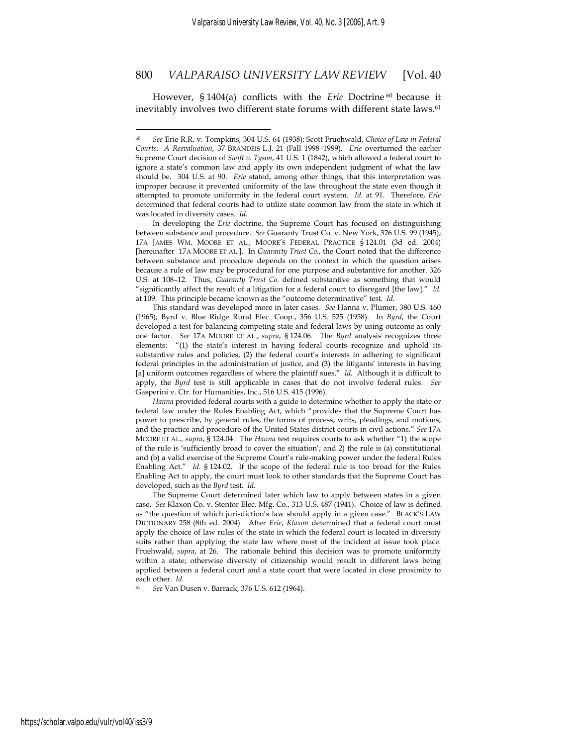However, §1404(a) conflicts with the *Erie* Doctrine<sup>60</sup> because it inevitably involves two different state forums with different state laws.<sup>61</sup>

 $\overline{a}$ 

 This standard was developed more in later cases. *See* Hanna v. Plumer, 380 U.S. 460 (1965); Byrd v. Blue Ridge Rural Elec. Coop., 356 U.S. 525 (1958). In *Byrd*, the Court developed a test for balancing competing state and federal laws by using outcome as only one factor. *See* 17A MOORE ET AL., *supra*, § 124.06. The *Byrd* analysis recognizes three elements: "(1) the state's interest in having federal courts recognize and uphold its substantive rules and policies, (2) the federal court's interests in adhering to significant federal principles in the administration of justice, and (3) the litigants' interests in having [a] uniform outcomes regardless of where the plaintiff sues." *Id.* Although it is difficult to apply, the *Byrd* test is still applicable in cases that do not involve federal rules. *See* Gasperini v. Ctr. for Humanities, Inc., 516 U.S. 415 (1996).

*Hanna* provided federal courts with a guide to determine whether to apply the state or federal law under the Rules Enabling Act, which "provides that the Supreme Court has power to prescribe, by general rules, the forms of process, writs, pleadings, and motions, and the practice and procedure of the United States district courts in civil actions." *See* 17A MOORE ET AL.*, supra*, § 124.04. The *Hanna* test requires courts to ask whether "1) the scope of the rule is 'sufficiently broad to cover the situation'; and 2) the rule is (a) constitutional and (b) a valid exercise of the Supreme Court's rule-making power under the federal Rules Enabling Act." *Id.* § 124.02. If the scope of the federal rule is too broad for the Rules Enabling Act to apply, the court must look to other standards that the Supreme Court has developed, such as the *Byrd* test. *Id.* 

 The Supreme Court determined later which law to apply between states in a given case. *See* Klaxon Co. v. Stentor Elec. Mfg. Co., 313 U.S. 487 (1941). Choice of law is defined as "the question of which jurisdiction's law should apply in a given case." BLACK'S LAW DICTIONARY 258 (8th ed. 2004). After *Erie*, *Klaxon* determined that a federal court must apply the choice of law rules of the state in which the federal court is located in diversity suits rather than applying the state law where most of the incident at issue took place. Fruehwald, *supra*, at 26. The rationale behind this decision was to promote uniformity within a state; otherwise diversity of citizenship would result in different laws being applied between a federal court and a state court that were located in close proximity to

each other. *Id.* 61 *See* Van Dusen v. Barrack, 376 U.S. 612 (1964).

<sup>60</sup> *See* Erie R.R. v. Tompkins, 304 U.S. 64 (1938); Scott Fruehwald, *Choice of Law in Federal Courts: A Reevaluation*, 37 BRANDEIS L.J. 21 (Fall 1998–1999). *Erie* overturned the earlier Supreme Court decision of *Swift v. Tyson*, 41 U.S. 1 (1842), which allowed a federal court to ignore a state's common law and apply its own independent judgment of what the law should be. 304 U.S. at 90. *Erie* stated, among other things, that this interpretation was improper because it prevented uniformity of the law throughout the state even though it attempted to promote uniformity in the federal court system. *Id.* at 91. Therefore, *Erie*  determined that federal courts had to utilize state common law from the state in which it was located in diversity cases. *Id.* 

In developing the *Erie* doctrine, the Supreme Court has focused on distinguishing between substance and procedure. *See* Guaranty Trust Co. v. New York, 326 U.S. 99 (1945); 17A JAMES WM. MOORE ET AL., MOORE'S FEDERAL PRACTICE § 124.01 (3d ed. 2004) [hereinafter 17A MOORE ET AL.]. In *Guaranty Trust Co.*, the Court noted that the difference between substance and procedure depends on the context in which the question arises because a rule of law may be procedural for one purpose and substantive for another. 326 U.S. at 108–12*.* Thus, *Guaranty Trust Co.* defined substantive as something that would "significantly affect the result of a litigation for a federal court to disregard [the law]." *Id.*  at 109. This principle became known as the "outcome determinative" test. *Id.*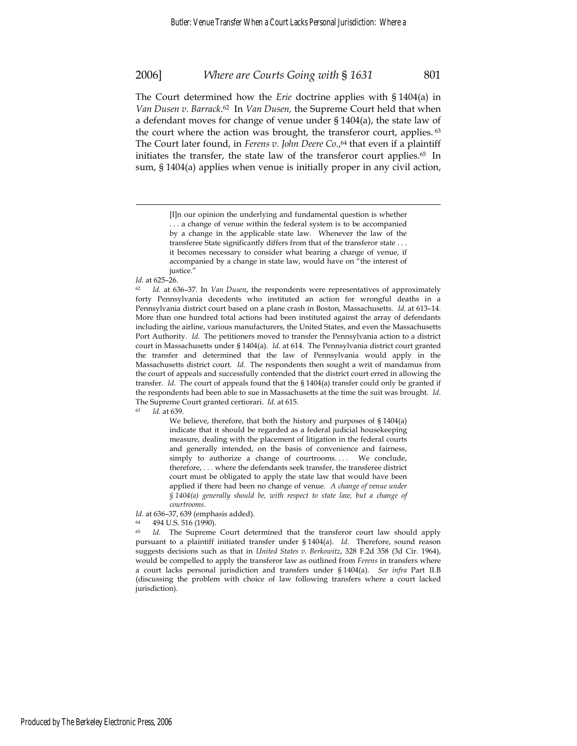The Court determined how the *Erie* doctrine applies with § 1404(a) in *Van Dusen v. Barrack*. 62 In *Van Dusen,* the Supreme Court held that when a defendant moves for change of venue under § 1404(a), the state law of the court where the action was brought, the transferor court, applies. <sup>63</sup> The Court later found, in *Ferens v. John Deere Co.*, <sup>64</sup> that even if a plaintiff initiates the transfer, the state law of the transferor court applies.<sup>65</sup> In sum, § 1404(a) applies when venue is initially proper in any civil action,

 $\overline{a}$ 

<sup>63</sup> *Id.* at 639.

We believe, therefore, that both the history and purposes of § 1404(a) indicate that it should be regarded as a federal judicial housekeeping measure, dealing with the placement of litigation in the federal courts and generally intended, on the basis of convenience and fairness, simply to authorize a change of courtrooms.... We conclude, therefore, . . . where the defendants seek transfer, the transferee district court must be obligated to apply the state law that would have been applied if there had been no change of venue. *A change of venue under § 1404(a) generally should be, with respect to state law, but a change of courtrooms.* 

494 U.S. 516 (1990).

<sup>65</sup> *Id*. The Supreme Court determined that the transferor court law should apply pursuant to a plaintiff initiated transfer under § 1404(a). *Id*. Therefore, sound reason suggests decisions such as that in *United States v. Berkowitz*, 328 F.2d 358 (3d Cir. 1964), would be compelled to apply the transferor law as outlined from *Ferens* in transfers where a court lacks personal jurisdiction and transfers under § 1404(a). *See infra* Part II.B (discussing the problem with choice of law following transfers where a court lacked jurisdiction).

<sup>[</sup>I]n our opinion the underlying and fundamental question is whether . . . a change of venue within the federal system is to be accompanied by a change in the applicable state law. Whenever the law of the transferee State significantly differs from that of the transferor state . . . it becomes necessary to consider what bearing a change of venue, if accompanied by a change in state law, would have on "the interest of justice."

*Id.* at 625–26.

<sup>62</sup> *Id.* at 636–37. In *Van Dusen*, the respondents were representatives of approximately forty Pennsylvania decedents who instituted an action for wrongful deaths in a Pennsylvania district court based on a plane crash in Boston, Massachusetts. *Id*. at 613–14. More than one hundred total actions had been instituted against the array of defendants including the airline, various manufacturers, the United States, and even the Massachusetts Port Authority. *Id*.The petitioners moved to transfer the Pennsylvania action to a district court in Massachusetts under § 1404(a). *Id*. at 614.The Pennsylvania district court granted the transfer and determined that the law of Pennsylvania would apply in the Massachusetts district court. *Id*.The respondents then sought a writ of mandamus from the court of appeals and successfully contended that the district court erred in allowing the transfer. *Id*. The court of appeals found that the § 1404(a) transfer could only be granted if the respondents had been able to sue in Massachusetts at the time the suit was brought. *Id*. The Supreme Court granted certiorari. *Id*. at 615.

*Id.* at 636–37, 639 (emphasis added).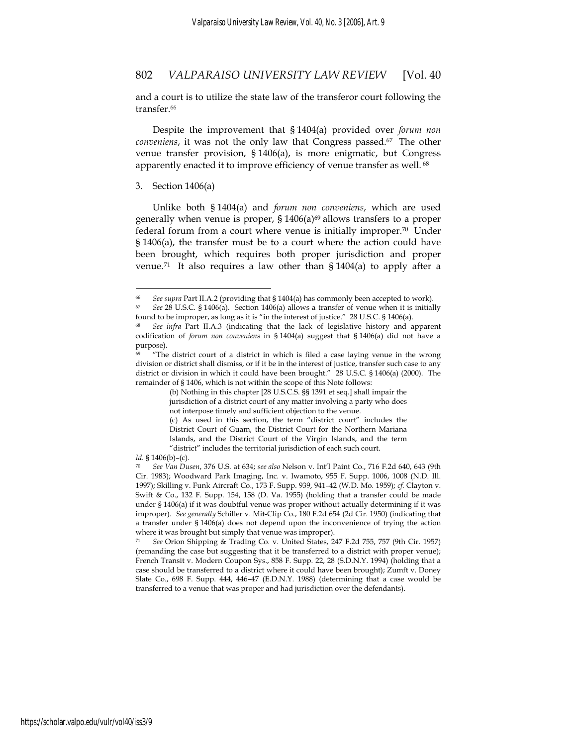and a court is to utilize the state law of the transferor court following the transfer.<sup>66</sup>

Despite the improvement that § 1404(a) provided over *forum non conveniens*, it was not the only law that Congress passed.<sup>67</sup> The other venue transfer provision, § 1406(a), is more enigmatic, but Congress apparently enacted it to improve efficiency of venue transfer as well. 68

#### 3. Section 1406(a)

 $\overline{a}$ 

Unlike both § 1404(a) and *forum non conveniens*, which are used generally when venue is proper,  $\S 1406(a)^{69}$  allows transfers to a proper federal forum from a court where venue is initially improper.70 Under § 1406(a), the transfer must be to a court where the action could have been brought, which requires both proper jurisdiction and proper venue.<sup>71</sup> It also requires a law other than  $\S 1404(a)$  to apply after a

<sup>66</sup> *See supra* Part II.A.2 (providing that § 1404(a) has commonly been accepted to work).

<sup>67</sup> *See* 28 U.S.C. § 1406(a). Section 1406(a) allows a transfer of venue when it is initially found to be improper, as long as it is "in the interest of justice." 28 U.S.C. § 1406(a).

<sup>68</sup> *See infra* Part II.A.3 (indicating that the lack of legislative history and apparent codification of *forum non conveniens* in § 1404(a) suggest that § 1406(a) did not have a purpose).

<sup>&</sup>quot;The district court of a district in which is filed a case laying venue in the wrong division or district shall dismiss, or if it be in the interest of justice, transfer such case to any district or division in which it could have been brought." 28 U.S.C. § 1406(a) (2000). The remainder of § 1406, which is not within the scope of this Note follows:

<sup>(</sup>b) Nothing in this chapter [28 U.S.C.S. §§ 1391 et seq.] shall impair the jurisdiction of a district court of any matter involving a party who does not interpose timely and sufficient objection to the venue.

<sup>(</sup>c) As used in this section, the term "district court" includes the District Court of Guam, the District Court for the Northern Mariana Islands, and the District Court of the Virgin Islands, and the term "district" includes the territorial jurisdiction of each such court.

*Id.* § 1406(b)–(c). 70 *See Van Dusen*, 376 U.S. at 634; *see also* Nelson v. Int'l Paint Co., 716 F.2d 640, 643 (9th Cir. 1983); Woodward Park Imaging, Inc. v. Iwamoto, 955 F. Supp. 1006, 1008 (N.D. Ill. 1997); Skilling v. Funk Aircraft Co., 173 F. Supp. 939, 941–42 (W.D. Mo. 1959); *cf.* Clayton v. Swift & Co., 132 F. Supp. 154, 158 (D. Va. 1955) (holding that a transfer could be made under § 1406(a) if it was doubtful venue was proper without actually determining if it was improper). *See generally* Schiller v. Mit-Clip Co., 180 F.2d 654 (2d Cir. 1950) (indicating that a transfer under § 1406(a) does not depend upon the inconvenience of trying the action where it was brought but simply that venue was improper).

<sup>71</sup> *See* Orion Shipping & Trading Co. v. United States, 247 F.2d 755, 757 (9th Cir. 1957) (remanding the case but suggesting that it be transferred to a district with proper venue); French Transit v. Modern Coupon Sys., 858 F. Supp. 22, 28 (S.D.N.Y. 1994) (holding that a case should be transferred to a district where it could have been brought); Zumft v. Doney Slate Co., 698 F. Supp. 444, 446–47 (E.D.N.Y. 1988) (determining that a case would be transferred to a venue that was proper and had jurisdiction over the defendants).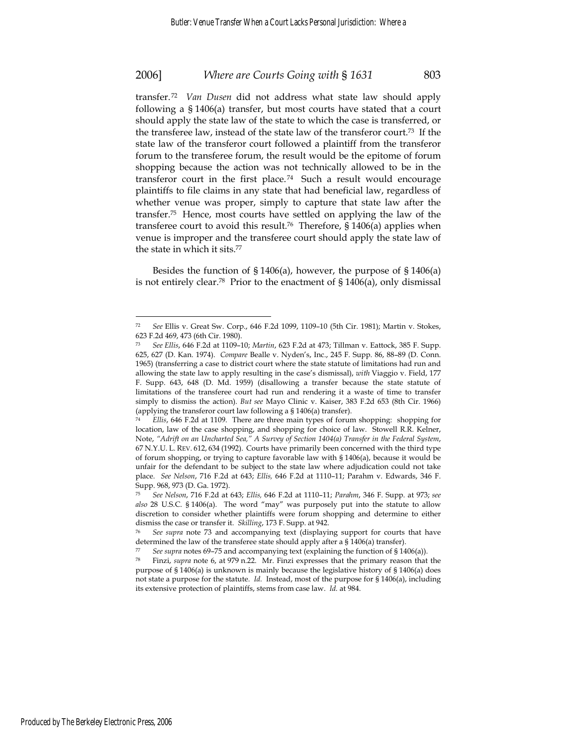transfer. 72 *Van Dusen* did not address what state law should apply following a § 1406(a) transfer, but most courts have stated that a court should apply the state law of the state to which the case is transferred, or the transferee law, instead of the state law of the transferor court.73 If the state law of the transferor court followed a plaintiff from the transferor forum to the transferee forum, the result would be the epitome of forum shopping because the action was not technically allowed to be in the transferor court in the first place.<sup>74</sup> Such a result would encourage plaintiffs to file claims in any state that had beneficial law, regardless of whether venue was proper, simply to capture that state law after the transfer.75 Hence, most courts have settled on applying the law of the transferee court to avoid this result.<sup>76</sup> Therefore, § 1406(a) applies when venue is improper and the transferee court should apply the state law of the state in which it sits.77

Besides the function of § 1406(a), however, the purpose of § 1406(a) is not entirely clear.<sup>78</sup> Prior to the enactment of  $\S 1406(a)$ , only dismissal

<sup>72</sup> *See* Ellis v. Great Sw. Corp., 646 F.2d 1099, 1109–10 (5th Cir. 1981); Martin v. Stokes, 623 F.2d 469, 473 (6th Cir. 1980).

<sup>73</sup> *See Ellis*, 646 F.2d at 1109–10; *Martin*, 623 F.2d at 473; Tillman v. Eattock, 385 F. Supp. 625, 627 (D. Kan. 1974). *Compare* Bealle v. Nyden's, Inc., 245 F. Supp. 86, 88–89 (D. Conn. 1965) (transferring a case to district court where the state statute of limitations had run and allowing the state law to apply resulting in the case's dismissal), *with* Viaggio v. Field, 177 F. Supp. 643, 648 (D. Md. 1959) (disallowing a transfer because the state statute of limitations of the transferee court had run and rendering it a waste of time to transfer simply to dismiss the action). *But see* Mayo Clinic v. Kaiser, 383 F.2d 653 (8th Cir. 1966) (applying the transferor court law following a § 1406(a) transfer).

<sup>74</sup> *Ellis*, 646 F.2d at 1109. There are three main types of forum shopping: shopping for location, law of the case shopping, and shopping for choice of law. Stowell R.R. Kelner, Note, *"Adrift on an Uncharted Sea," A Survey of Section 1404(a) Transfer in the Federal System*, 67 N.Y.U. L. REV. 612, 634 (1992). Courts have primarily been concerned with the third type of forum shopping, or trying to capture favorable law with § 1406(a), because it would be unfair for the defendant to be subject to the state law where adjudication could not take place. *See Nelson*, 716 F.2d at 643; *Ellis,* 646 F.2d at 1110–11; Parahm v. Edwards, 346 F. Supp. 968, 973 (D. Ga. 1972).

<sup>75</sup> *See Nelson*, 716 F.2d at 643; *Ellis,* 646 F.2d at 1110–11; *Parahm*, 346 F. Supp. at 973; *see also* 28 U.S.C. § 1406(a). The word "may" was purposely put into the statute to allow discretion to consider whether plaintiffs were forum shopping and determine to either dismiss the case or transfer it. *Skilling*, 173 F. Supp. at 942.

<sup>76</sup> *See supra* note 73 and accompanying text (displaying support for courts that have determined the law of the transferee state should apply after a § 1406(a) transfer).

*See supra* notes 69–75 and accompanying text (explaining the function of § 1406(a)). Finzi, *supra* note 6, at 979 n.22. Mr. Finzi expresses that the primary reason that the

purpose of § 1406(a) is unknown is mainly because the legislative history of § 1406(a) does not state a purpose for the statute. *Id.* Instead, most of the purpose for § 1406(a), including its extensive protection of plaintiffs, stems from case law. *Id.* at 984.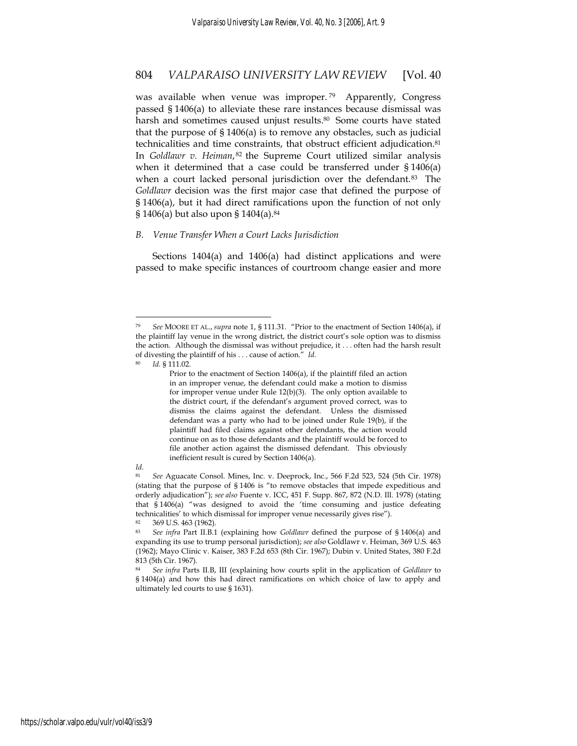was available when venue was improper.<sup>79</sup> Apparently, Congress passed § 1406(a) to alleviate these rare instances because dismissal was harsh and sometimes caused unjust results.<sup>80</sup> Some courts have stated that the purpose of § 1406(a) is to remove any obstacles, such as judicial technicalities and time constraints, that obstruct efficient adjudication.<sup>81</sup> In *Goldlawr v. Heiman*, 82 the Supreme Court utilized similar analysis when it determined that a case could be transferred under § 1406(a) when a court lacked personal jurisdiction over the defendant.<sup>83</sup> The *Goldlawr* decision was the first major case that defined the purpose of § 1406(a), but it had direct ramifications upon the function of not only § 1406(a) but also upon § 1404(a).84

#### *B. Venue Transfer When a Court Lacks Jurisdiction*

Sections 1404(a) and 1406(a) had distinct applications and were passed to make specific instances of courtroom change easier and more

<sup>79</sup> *See* MOORE ET AL., *supra* note 1, § 111.31. "Prior to the enactment of Section 1406(a), if the plaintiff lay venue in the wrong district, the district court's sole option was to dismiss the action. Although the dismissal was without prejudice, it . . . often had the harsh result of divesting the plaintiff of his . . . cause of action." *Id.* 

<sup>80</sup> *Id.* § 111.02.

Prior to the enactment of Section 1406(a), if the plaintiff filed an action in an improper venue, the defendant could make a motion to dismiss for improper venue under Rule 12(b)(3). The only option available to the district court, if the defendant's argument proved correct, was to dismiss the claims against the defendant. Unless the dismissed defendant was a party who had to be joined under Rule 19(b), if the plaintiff had filed claims against other defendants, the action would continue on as to those defendants and the plaintiff would be forced to file another action against the dismissed defendant. This obviously inefficient result is cured by Section 1406(a).

*Id.* 

<sup>81</sup> *See* Aguacate Consol. Mines, Inc. v. Deeprock, Inc., 566 F.2d 523, 524 (5th Cir. 1978) (stating that the purpose of § 1406 is "to remove obstacles that impede expeditious and orderly adjudication"); *see also* Fuente v. ICC, 451 F. Supp. 867, 872 (N.D. Ill. 1978) (stating that § 1406(a) "was designed to avoid the 'time consuming and justice defeating technicalities' to which dismissal for improper venue necessarily gives rise").<br><sup>82</sup> 369 U.S. 463 (1962).

<sup>83</sup> *See infra* Part II.B.1 (explaining how *Goldlawr* defined the purpose of § 1406(a) and expanding its use to trump personal jurisdiction); *see also* Goldlawr v. Heiman, 369 U.S. 463 (1962); Mayo Clinic v. Kaiser, 383 F.2d 653 (8th Cir. 1967); Dubin v. United States, 380 F.2d 813 (5th Cir. 1967).

<sup>84</sup> *See infra* Parts II.B, III (explaining how courts split in the application of *Goldlawr* to § 1404(a) and how this had direct ramifications on which choice of law to apply and ultimately led courts to use § 1631).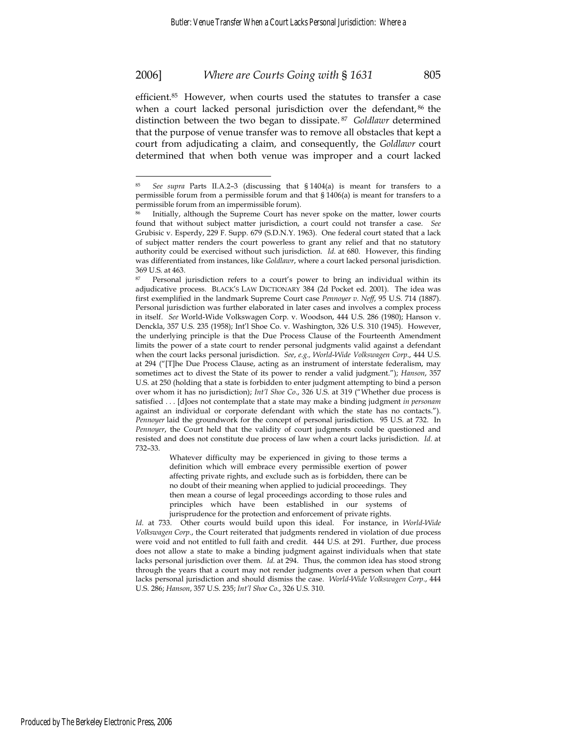$\overline{a}$ 

efficient.<sup>85</sup> However, when courts used the statutes to transfer a case when a court lacked personal jurisdiction over the defendant, 86 the distinction between the two began to dissipate. 87 *Goldlawr* determined that the purpose of venue transfer was to remove all obstacles that kept a court from adjudicating a claim, and consequently, the *Goldlawr* court

determined that when both venue was improper and a court lacked

Whatever difficulty may be experienced in giving to those terms a definition which will embrace every permissible exertion of power affecting private rights, and exclude such as is forbidden, there can be no doubt of their meaning when applied to judicial proceedings. They then mean a course of legal proceedings according to those rules and principles which have been established in our systems of jurisprudence for the protection and enforcement of private rights.

*Id.* at 733. Other courts would build upon this ideal. For instance, in *World-Wide Volkswagen Corp.*, the Court reiterated that judgments rendered in violation of due process were void and not entitled to full faith and credit. 444 U.S. at 291. Further, due process does not allow a state to make a binding judgment against individuals when that state lacks personal jurisdiction over them. *Id.* at 294. Thus, the common idea has stood strong through the years that a court may not render judgments over a person when that court lacks personal jurisdiction and should dismiss the case. *World-Wide Volkswagen Corp*., 444 U.S. 286; *Hanson*, 357 U.S. 235; *Int'l Shoe Co*., 326 U.S. 310.

<sup>85</sup> *See supra* Parts II.A.2–3 (discussing that § 1404(a) is meant for transfers to a permissible forum from a permissible forum and that § 1406(a) is meant for transfers to a permissible forum from an impermissible forum).

<sup>86</sup> Initially, although the Supreme Court has never spoke on the matter, lower courts found that without subject matter jurisdiction, a court could not transfer a case. *See*  Grubisic v. Esperdy, 229 F. Supp. 679 (S.D.N.Y. 1963). One federal court stated that a lack of subject matter renders the court powerless to grant any relief and that no statutory authority could be exercised without such jurisdiction. *Id.* at 680. However, this finding was differentiated from instances, like *Goldlawr*, where a court lacked personal jurisdiction. 369 U.S. at 463.

Personal jurisdiction refers to a court's power to bring an individual within its adjudicative process. BLACK'S LAW DICTIONARY 384 (2d Pocket ed. 2001). The idea was first exemplified in the landmark Supreme Court case *Pennoyer v. Neff*, 95 U.S. 714 (1887). Personal jurisdiction was further elaborated in later cases and involves a complex process in itself. *See* World-Wide Volkswagen Corp. v. Woodson, 444 U.S. 286 (1980); Hanson v. Denckla, 357 U.S. 235 (1958); Int'l Shoe Co. v. Washington, 326 U.S. 310 (1945). However, the underlying principle is that the Due Process Clause of the Fourteenth Amendment limits the power of a state court to render personal judgments valid against a defendant when the court lacks personal jurisdiction. *See*, *e.g., World*-*Wide Volkswagen Corp*., 444 U.S. at 294 ("[T]he Due Process Clause, acting as an instrument of interstate federalism, may sometimes act to divest the State of its power to render a valid judgment."); *Hanson*, 357 U.S. at 250 (holding that a state is forbidden to enter judgment attempting to bind a person over whom it has no jurisdiction); *Int'l Shoe Co*., 326 U.S. at 319 ("Whether due process is satisfied . . . [d]oes not contemplate that a state may make a binding judgment *in personam* against an individual or corporate defendant with which the state has no contacts."). *Pennoyer* laid the groundwork for the concept of personal jurisdiction. 95 U.S. at 732. In *Pennoyer*, the Court held that the validity of court judgments could be questioned and resisted and does not constitute due process of law when a court lacks jurisdiction. *Id.* at 732–33.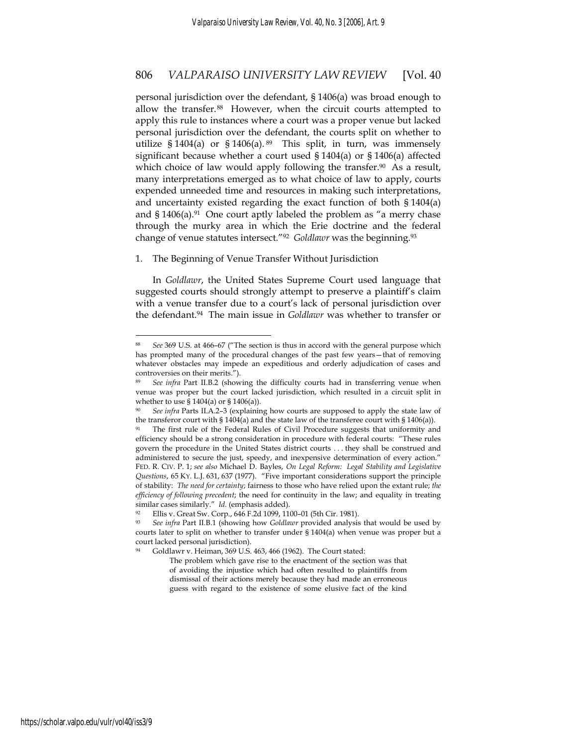personal jurisdiction over the defendant, § 1406(a) was broad enough to allow the transfer.<sup>88</sup> However, when the circuit courts attempted to apply this rule to instances where a court was a proper venue but lacked personal jurisdiction over the defendant, the courts split on whether to utilize  $$1404(a)$  or  $$1406(a).$ <sup>89</sup> This split, in turn, was immensely significant because whether a court used § 1404(a) or § 1406(a) affected which choice of law would apply following the transfer.<sup>90</sup> As a result, many interpretations emerged as to what choice of law to apply, courts expended unneeded time and resources in making such interpretations, and uncertainty existed regarding the exact function of both § 1404(a) and  $\S 1406(a).$ <sup>91</sup> One court aptly labeled the problem as "a merry chase through the murky area in which the Erie doctrine and the federal change of venue statutes intersect."92 *Goldlawr* was the beginning.93

#### 1. The Beginning of Venue Transfer Without Jurisdiction

In *Goldlawr*, the United States Supreme Court used language that suggested courts should strongly attempt to preserve a plaintiff's claim with a venue transfer due to a court's lack of personal jurisdiction over the defendant.94 The main issue in *Goldlawr* was whether to transfer or

<sup>88</sup> *See* 369 U.S. at 466–67 ("The section is thus in accord with the general purpose which has prompted many of the procedural changes of the past few years—that of removing whatever obstacles may impede an expeditious and orderly adjudication of cases and controversies on their merits.").

<sup>89</sup> *See infra* Part II.B.2 (showing the difficulty courts had in transferring venue when venue was proper but the court lacked jurisdiction, which resulted in a circuit split in whether to use  $\S 1404(a)$  or  $\S 1406(a)$ ).

<sup>90</sup> *See infra* Parts II.A.2–3 (explaining how courts are supposed to apply the state law of the transferor court with § 1404(a) and the state law of the transferee court with § 1406(a)).

<sup>&</sup>lt;sup>91</sup> The first rule of the Federal Rules of Civil Procedure suggests that uniformity and efficiency should be a strong consideration in procedure with federal courts: "These rules govern the procedure in the United States district courts . . . they shall be construed and administered to secure the just, speedy, and inexpensive determination of every action." FED. R. CIV. P. 1; *see also* Michael D. Bayles, *On Legal Reform: Legal Stability and Legislative Questions*, 65 KY. L.J. 631, 637 (1977). "Five important considerations support the principle of stability: *The need for certainty*; fairness to those who have relied upon the extant rule; *the efficiency of following precedent*; the need for continuity in the law; and equality in treating similar cases similarly." *Id.* (emphasis added).

<sup>&</sup>lt;sup>92</sup> Ellis v. Great Sw. Corp., 646 F.2d 1099, 1100-01 (5th Cir. 1981).<br><sup>93</sup> See infra Part II B 1 (showing how *Goldlaur* provided analysis

<sup>93</sup> *See infra* Part II.B.1 (showing how *Goldlawr* provided analysis that would be used by courts later to split on whether to transfer under § 1404(a) when venue was proper but a court lacked personal jurisdiction).

Goldlawr v. Heiman, 369 U.S. 463, 466 (1962). The Court stated:

The problem which gave rise to the enactment of the section was that of avoiding the injustice which had often resulted to plaintiffs from dismissal of their actions merely because they had made an erroneous guess with regard to the existence of some elusive fact of the kind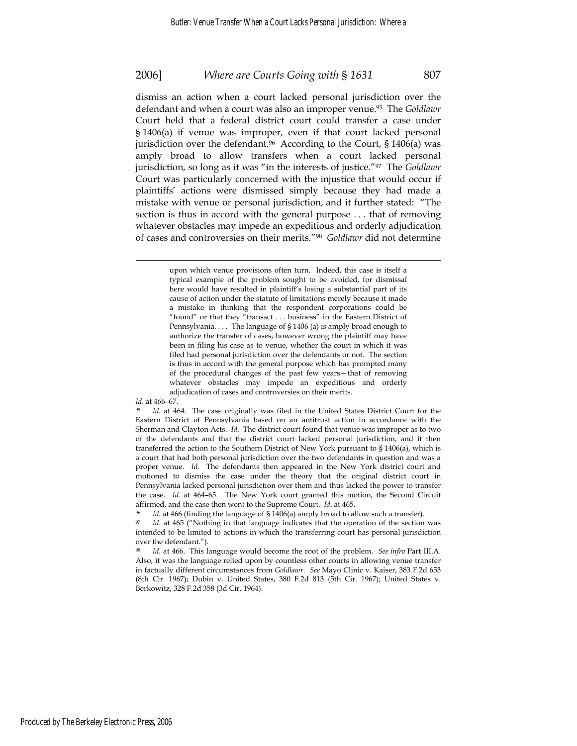dismiss an action when a court lacked personal jurisdiction over the defendant and when a court was also an improper venue.95 The *Goldlawr* Court held that a federal district court could transfer a case under § 1406(a) if venue was improper, even if that court lacked personal jurisdiction over the defendant.<sup>96</sup> According to the Court, § 1406(a) was amply broad to allow transfers when a court lacked personal jurisdiction, so long as it was "in the interests of justice."97 The *Goldlawr* Court was particularly concerned with the injustice that would occur if plaintiffs' actions were dismissed simply because they had made a mistake with venue or personal jurisdiction, and it further stated: "The section is thus in accord with the general purpose . . . that of removing whatever obstacles may impede an expeditious and orderly adjudication of cases and controversies on their merits."98 *Goldlawr* did not determine

upon which venue provisions often turn. Indeed, this case is itself a typical example of the problem sought to be avoided, for dismissal here would have resulted in plaintiff's losing a substantial part of its cause of action under the statute of limitations merely because it made a mistake in thinking that the respondent corporations could be "found" or that they "transact . . . business" in the Eastern District of Pennsylvania. . . . The language of § 1406 (a) is amply broad enough to authorize the transfer of cases, however wrong the plaintiff may have been in filing his case as to venue, whether the court in which it was filed had personal jurisdiction over the defendants or not. The section is thus in accord with the general purpose which has prompted many of the procedural changes of the past few years—that of removing whatever obstacles may impede an expeditious and orderly adjudication of cases and controversies on their merits.

*Id.* at 466–67.<br><sup>95</sup> *Id.* at 464. The case originally was filed in the United States District Court for the Eastern District of Pennsylvania based on an antitrust action in accordance with the Sherman and Clayton Acts. *Id*. The district court found that venue was improper as to two of the defendants and that the district court lacked personal jurisdiction, and it then transferred the action to the Southern District of New York pursuant to § 1406(a), which is a court that had both personal jurisdiction over the two defendants in question and was a proper venue. *Id.* The defendants then appeared in the New York district court and motioned to dismiss the case under the theory that the original district court in Pennsylvania lacked personal jurisdiction over them and thus lacked the power to transfer the case. *Id.* at 464–65. The New York court granted this motion, the Second Circuit affirmed, and the case then went to the Supreme Court. *Id*. at 465.

<sup>96</sup> *Id.* at 466 (finding the language of § 1406(a) amply broad to allow such a transfer). 97 *Id*. at 465 ("Nothing in that language indicates that the operation of the section was

intended to be limited to actions in which the transferring court has personal jurisdiction over the defendant.").

<sup>98</sup> *Id*. at 466.This language would become the root of the problem. *See infra* Part III.A. Also, it was the language relied upon by countless other courts in allowing venue transfer in factually different circumstances from *Goldlawr*. *See* Mayo Clinic v. Kaiser, 383 F.2d 653 (8th Cir. 1967); Dubin v. United States, 380 F.2d 813 (5th Cir. 1967); United States v. Berkowitz, 328 F.2d 358 (3d Cir. 1964).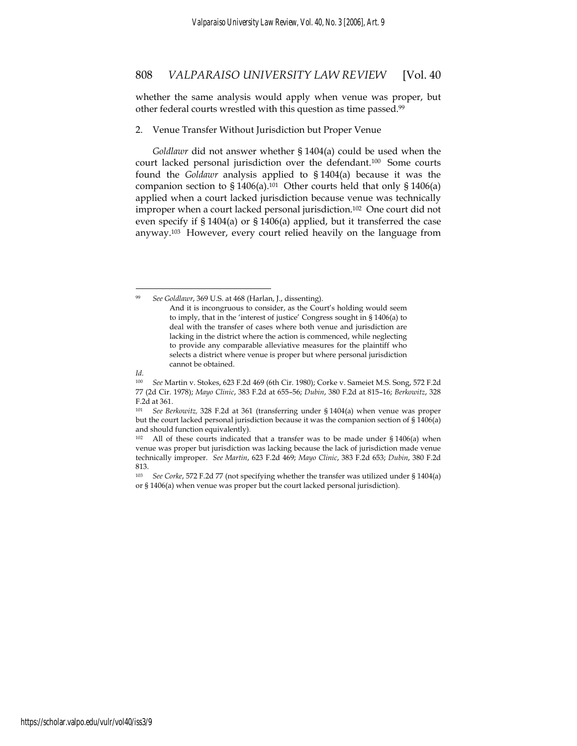whether the same analysis would apply when venue was proper, but other federal courts wrestled with this question as time passed.<sup>99</sup>

#### 2. Venue Transfer Without Jurisdiction but Proper Venue

*Goldlawr* did not answer whether § 1404(a) could be used when the court lacked personal jurisdiction over the defendant.100 Some courts found the *Goldawr* analysis applied to § 1404(a) because it was the companion section to § 1406(a).<sup>101</sup> Other courts held that only § 1406(a) applied when a court lacked jurisdiction because venue was technically improper when a court lacked personal jurisdiction.102 One court did not even specify if § 1404(a) or § 1406(a) applied, but it transferred the case anyway.103 However, every court relied heavily on the language from

<sup>99</sup> *See Goldlawr*, 369 U.S. at 468 (Harlan, J., dissenting).

And it is incongruous to consider, as the Court's holding would seem to imply, that in the 'interest of justice' Congress sought in § 1406(a) to deal with the transfer of cases where both venue and jurisdiction are lacking in the district where the action is commenced, while neglecting to provide any comparable alleviative measures for the plaintiff who selects a district where venue is proper but where personal jurisdiction cannot be obtained.

*Id.*

<sup>100</sup> *See* Martin v. Stokes, 623 F.2d 469 (6th Cir. 1980); Corke v. Sameiet M.S. Song, 572 F.2d 77 (2d Cir. 1978); *Mayo Clinic*, 383 F.2d at 655–56; *Dubin*, 380 F.2d at 815–16; *Berkowitz*, 328 F.2d at 361.

<sup>101</sup> *See Berkowitz,* 328 F.2d at 361 (transferring under § 1404(a) when venue was proper but the court lacked personal jurisdiction because it was the companion section of § 1406(a) and should function equivalently).

<sup>&</sup>lt;sup>102</sup> All of these courts indicated that a transfer was to be made under § 1406(a) when venue was proper but jurisdiction was lacking because the lack of jurisdiction made venue technically improper. *See Martin*, 623 F.2d 469; *Mayo Clinic*, 383 F.2d 653; *Dubin*, 380 F.2d 813.

<sup>103</sup> *See Corke*, 572 F.2d 77 (not specifying whether the transfer was utilized under § 1404(a) or § 1406(a) when venue was proper but the court lacked personal jurisdiction).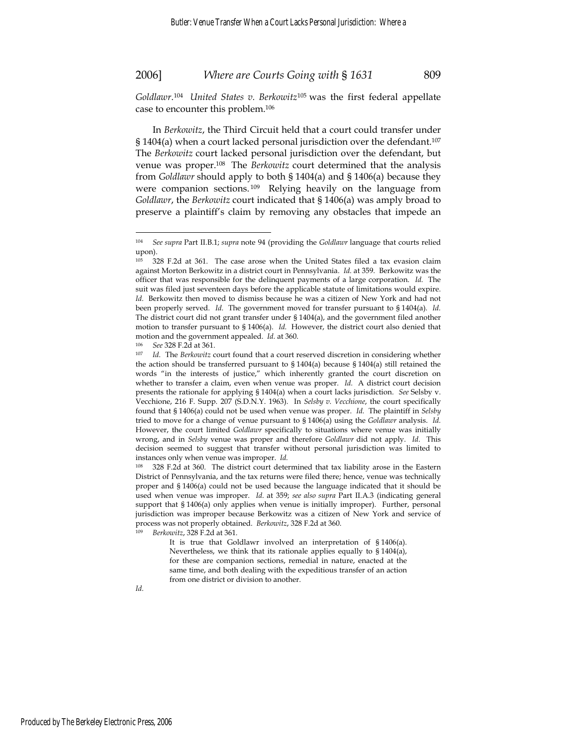$\overline{a}$ 

*Goldlawr*.104 *United States v. Berkowitz*105 was the first federal appellate case to encounter this problem.106

In *Berkowitz*, the Third Circuit held that a court could transfer under § 1404(a) when a court lacked personal jurisdiction over the defendant.<sup>107</sup> The *Berkowitz* court lacked personal jurisdiction over the defendant, but venue was proper.108 The *Berkowitz* court determined that the analysis from *Goldlawr* should apply to both § 1404(a) and § 1406(a) because they were companion sections. 109 Relying heavily on the language from *Goldlawr*, the *Berkowitz* court indicated that § 1406(a) was amply broad to preserve a plaintiff's claim by removing any obstacles that impede an

108 328 F.2d at 360. The district court determined that tax liability arose in the Eastern District of Pennsylvania, and the tax returns were filed there; hence, venue was technically proper and § 1406(a) could not be used because the language indicated that it should be used when venue was improper. *Id*. at 359; *see also supra* Part II.A.3 (indicating general support that § 1406(a) only applies when venue is initially improper). Further, personal jurisdiction was improper because Berkowitz was a citizen of New York and service of process was not properly obtained. *Berkowitz*, 328 F.2d at 360.

<sup>109</sup> *Berkowitz*, 328 F.2d at 361*.*

It is true that Goldlawr involved an interpretation of § 1406(a). Nevertheless, we think that its rationale applies equally to § 1404(a), for these are companion sections, remedial in nature, enacted at the same time, and both dealing with the expeditious transfer of an action from one district or division to another.



<sup>104</sup> *See supra* Part II.B.1; *supra* note 94 (providing the *Goldlawr* language that courts relied upon).

<sup>105 328</sup> F.2d at 361. The case arose when the United States filed a tax evasion claim against Morton Berkowitz in a district court in Pennsylvania. *Id.* at 359. Berkowitz was the officer that was responsible for the delinquent payments of a large corporation. *Id.* The suit was filed just seventeen days before the applicable statute of limitations would expire. *Id.* Berkowitz then moved to dismiss because he was a citizen of New York and had not been properly served. *Id.* The government moved for transfer pursuant to § 1404(a)*. Id.*  The district court did not grant transfer under § 1404(a), and the government filed another motion to transfer pursuant to § 1406(a). *Id.* However, the district court also denied that motion and the government appealed. *Id.* at 360.<br><sup>106</sup> See 328 F.2d at 361.<br><sup>107</sup> Id. The *Berkowitz* court found that a court reserved discretion in considering whether

the action should be transferred pursuant to  $\S 1404(a)$  because  $\S 1404(a)$  still retained the words "in the interests of justice," which inherently granted the court discretion on whether to transfer a claim, even when venue was proper. *Id.* A district court decision presents the rationale for applying § 1404(a) when a court lacks jurisdiction. *See* Selsby v. Vecchione, 216 F. Supp. 207 (S.D.N.Y. 1963). In *Selsby v. Vecchione*, the court specifically found that § 1406(a) could not be used when venue was proper. *Id.* The plaintiff in *Selsby* tried to move for a change of venue pursuant to § 1406(a) using the *Goldlawr* analysis. *Id.*  However, the court limited *Goldlawr* specifically to situations where venue was initially wrong, and in *Selsby* venue was proper and therefore *Goldlawr* did not apply. *Id*. This decision seemed to suggest that transfer without personal jurisdiction was limited to instances only when venue was improper. *Id.*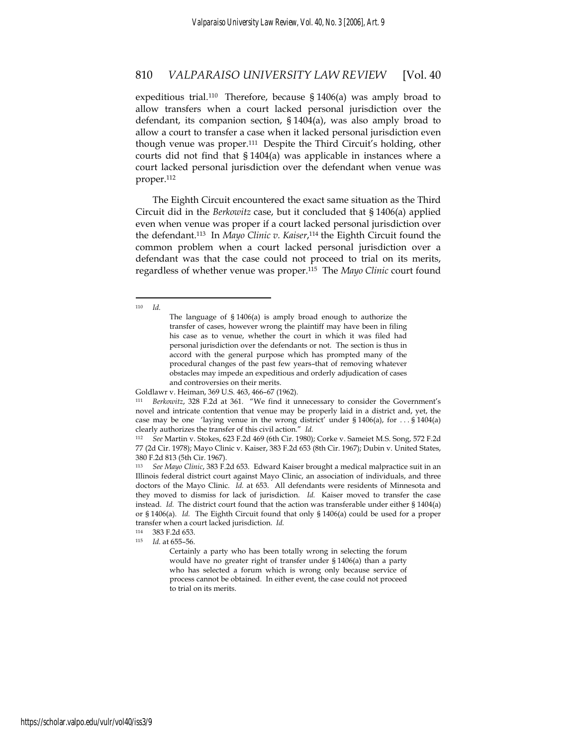expeditious trial.110 Therefore, because § 1406(a) was amply broad to allow transfers when a court lacked personal jurisdiction over the defendant, its companion section, § 1404(a), was also amply broad to allow a court to transfer a case when it lacked personal jurisdiction even though venue was proper.111 Despite the Third Circuit's holding, other courts did not find that § 1404(a) was applicable in instances where a court lacked personal jurisdiction over the defendant when venue was proper.112

The Eighth Circuit encountered the exact same situation as the Third Circuit did in the *Berkowitz* case, but it concluded that § 1406(a) applied even when venue was proper if a court lacked personal jurisdiction over the defendant.113 In *Mayo Clinic v. Kaiser*, <sup>114</sup> the Eighth Circuit found the common problem when a court lacked personal jurisdiction over a defendant was that the case could not proceed to trial on its merits, regardless of whether venue was proper.115 The *Mayo Clinic* court found

 $\overline{a}$ 

<sup>112</sup> *See* Martin v. Stokes, 623 F.2d 469 (6th Cir. 1980); Corke v. Sameiet M.S. Song, 572 F.2d 77 (2d Cir. 1978); Mayo Clinic v. Kaiser, 383 F.2d 653 (8th Cir. 1967); Dubin v. United States, 380 F.2d 813 (5th Cir. 1967).

<sup>115</sup> *Id.* at 655–56.

Certainly a party who has been totally wrong in selecting the forum would have no greater right of transfer under § 1406(a) than a party who has selected a forum which is wrong only because service of process cannot be obtained. In either event, the case could not proceed to trial on its merits.

<sup>110</sup> *Id.*

The language of § 1406(a) is amply broad enough to authorize the transfer of cases, however wrong the plaintiff may have been in filing his case as to venue, whether the court in which it was filed had personal jurisdiction over the defendants or not. The section is thus in accord with the general purpose which has prompted many of the procedural changes of the past few years–that of removing whatever obstacles may impede an expeditious and orderly adjudication of cases and controversies on their merits.

Goldlawr v. Heiman, 369 U.S. 463, 466–67 (1962).

<sup>111</sup> *Berkowitz*, 328 F.2d at 361*.* "We find it unnecessary to consider the Government's novel and intricate contention that venue may be properly laid in a district and, yet, the case may be one 'laying venue in the wrong district' under  $\S 1406(a)$ , for ...  $\S 1404(a)$ clearly authorizes the transfer of this civil action." *Id.*

<sup>113</sup> *See Mayo Clinic*, 383 F.2d 653. Edward Kaiser brought a medical malpractice suit in an Illinois federal district court against Mayo Clinic, an association of individuals, and three doctors of the Mayo Clinic. *Id.* at 653. All defendants were residents of Minnesota and they moved to dismiss for lack of jurisdiction. *Id.* Kaiser moved to transfer the case instead. *Id.* The district court found that the action was transferable under either § 1404(a) or § 1406(a). *Id.* The Eighth Circuit found that only § 1406(a) could be used for a proper transfer when a court lacked jurisdiction. *Id.*

<sup>114 383</sup> F.2d 653.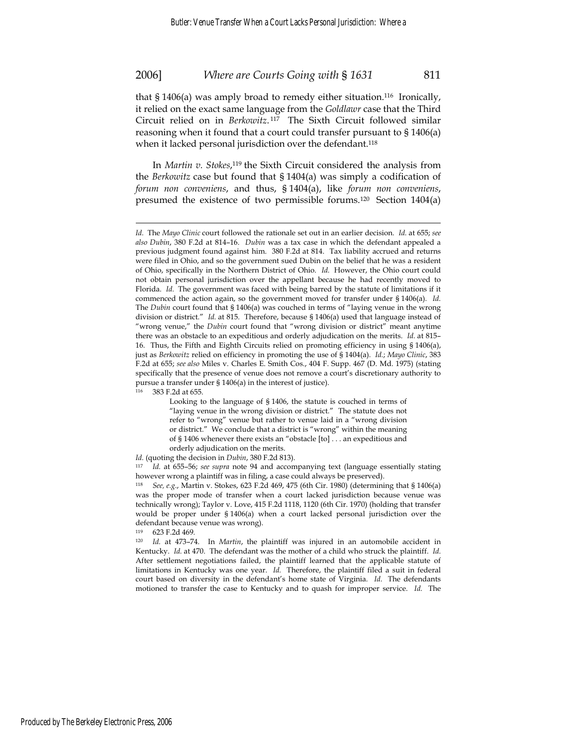that § 1406(a) was amply broad to remedy either situation.116 Ironically, it relied on the exact same language from the *Goldlawr* case that the Third Circuit relied on in *Berkowitz*. <sup>117</sup>The Sixth Circuit followed similar reasoning when it found that a court could transfer pursuant to § 1406(a) when it lacked personal jurisdiction over the defendant.<sup>118</sup>

In *Martin v. Stokes*, <sup>119</sup> the Sixth Circuit considered the analysis from the *Berkowitz* case but found that § 1404(a) was simply a codification of *forum non conveniens*, and thus, § 1404(a), like *forum non conveniens*, presumed the existence of two permissible forums.120 Section 1404(a)

 $\overline{a}$ 

119 623 F.2d 469*.*

*Id.* The *Mayo Clinic* court followed the rationale set out in an earlier decision. *Id.* at 655; *see also Dubin*, 380 F.2d at 814–16. *Dubin* was a tax case in which the defendant appealed a previous judgment found against him. 380 F.2d at 814. Tax liability accrued and returns were filed in Ohio, and so the government sued Dubin on the belief that he was a resident of Ohio, specifically in the Northern District of Ohio. *Id.* However, the Ohio court could not obtain personal jurisdiction over the appellant because he had recently moved to Florida. *Id.* The government was faced with being barred by the statute of limitations if it commenced the action again, so the government moved for transfer under § 1406(a). *Id*. The *Dubin* court found that § 1406(a) was couched in terms of "laying venue in the wrong division or district." *Id.* at 815. Therefore, because § 1406(a) used that language instead of "wrong venue," the *Dubin* court found that "wrong division or district" meant anytime there was an obstacle to an expeditious and orderly adjudication on the merits. *Id.* at 815– 16. Thus, the Fifth and Eighth Circuits relied on promoting efficiency in using § 1406(a), just as *Berkowitz* relied on efficiency in promoting the use of § 1404(a). *Id.*; *Mayo Clinic*, 383 F.2d at 655; *see also* Miles v. Charles E. Smith Cos., 404 F. Supp. 467 (D. Md. 1975) (stating specifically that the presence of venue does not remove a court's discretionary authority to pursue a transfer under § 1406(a) in the interest of justice).

<sup>116 383</sup> F.2d at 655.

Looking to the language of § 1406, the statute is couched in terms of "laying venue in the wrong division or district." The statute does not refer to "wrong" venue but rather to venue laid in a "wrong division or district." We conclude that a district is "wrong" within the meaning of § 1406 whenever there exists an "obstacle [to] . . . an expeditious and orderly adjudication on the merits.

*Id.* (quoting the decision in *Dubin*, 380 F.2d 813). 117 *Id.* at 655–56; *see supra* note 94 and accompanying text (language essentially stating however wrong a plaintiff was in filing, a case could always be preserved).

<sup>118</sup> *See, e.g.*, Martin v. Stokes, 623 F.2d 469, 475 (6th Cir. 1980) (determining that § 1406(a) was the proper mode of transfer when a court lacked jurisdiction because venue was technically wrong); Taylor v. Love, 415 F.2d 1118, 1120 (6th Cir. 1970) (holding that transfer would be proper under § 1406(a) when a court lacked personal jurisdiction over the defendant because venue was wrong).

<sup>120</sup> *Id.* at 473–74. In *Martin*, the plaintiff was injured in an automobile accident in Kentucky. *Id.* at 470. The defendant was the mother of a child who struck the plaintiff. *Id*. After settlement negotiations failed, the plaintiff learned that the applicable statute of limitations in Kentucky was one year. *Id.* Therefore, the plaintiff filed a suit in federal court based on diversity in the defendant's home state of Virginia. *Id.* The defendants motioned to transfer the case to Kentucky and to quash for improper service. *Id.* The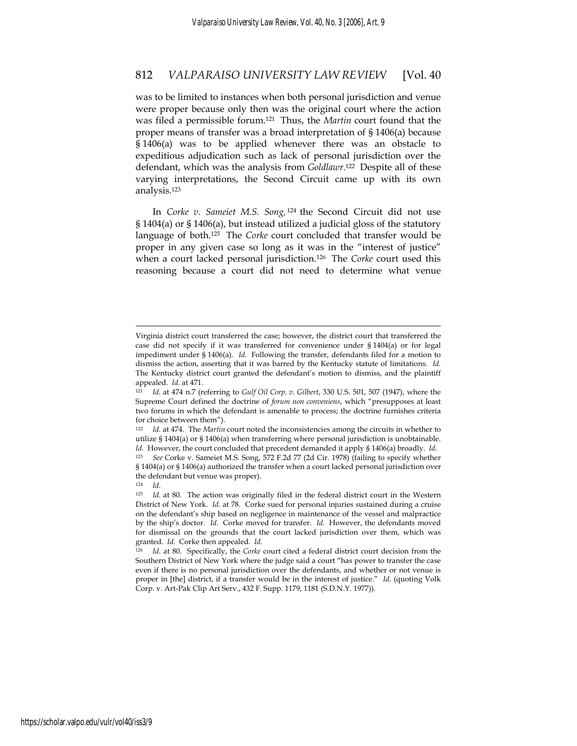was to be limited to instances when both personal jurisdiction and venue were proper because only then was the original court where the action was filed a permissible forum.121 Thus, the *Martin* court found that the proper means of transfer was a broad interpretation of § 1406(a) because § 1406(a) was to be applied whenever there was an obstacle to expeditious adjudication such as lack of personal jurisdiction over the defendant, which was the analysis from *Goldlawr*. 122 Despite all of these varying interpretations, the Second Circuit came up with its own analysis.123

In *Corke v. Sameiet M.S. Song,* 124 the Second Circuit did not use § 1404(a) or § 1406(a), but instead utilized a judicial gloss of the statutory language of both.125 The *Corke* court concluded that transfer would be proper in any given case so long as it was in the "interest of justice" when a court lacked personal jurisdiction.126 The *Corke* court used this reasoning because a court did not need to determine what venue

Virginia district court transferred the case; however, the district court that transferred the case did not specify if it was transferred for convenience under § 1404(a) or for legal impediment under § 1406(a). *Id.* Following the transfer, defendants filed for a motion to dismiss the action, asserting that it was barred by the Kentucky statute of limitations. *Id.*  The Kentucky district court granted the defendant's motion to dismiss, and the plaintiff appealed. *Id.* at 471.<br><sup>121</sup> *Id.* at 474 n.7 (r

<sup>121</sup> *Id.* at 474 n.7 (referring to *Gulf Oil Corp. v. Gilbert*, 330 U.S. 501, 507 (1947), where the Supreme Court defined the doctrine of *forum non conveniens*, which "presupposes at least two forums in which the defendant is amenable to process; the doctrine furnishes criteria for choice between them").

<sup>122</sup> *Id.* at 474. The *Martin* court noted the inconsistencies among the circuits in whether to utilize § 1404(a) or § 1406(a) when transferring where personal jurisdiction is unobtainable. *Id.* However, the court concluded that precedent demanded it apply § 1406(a) broadly. *Id.* <sup>123</sup> *See* Corke v. Sameiet M.S. Song, 572 F.2d 77 (2d Cir. 1978) (failing to specify whether

<sup>§ 1404(</sup>a) or § 1406(a) authorized the transfer when a court lacked personal jurisdiction over the defendant but venue was proper).

<sup>124</sup> *Id.*<br><sup>125</sup> *Id.* at 80. The action was originally filed in the federal district court in the Western District of New York. *Id.* at 78. Corke sued for personal injuries sustained during a cruise on the defendant's ship based on negligence in maintenance of the vessel and malpractice by the ship's doctor. *Id.* Corke moved for transfer. *Id.* However, the defendants moved for dismissal on the grounds that the court lacked jurisdiction over them, which was granted. *Id.* Corke then appealed. *Id.*

<sup>126</sup> *Id*. at 80. Specifically, the *Corke* court cited a federal district court decision from the Southern District of New York where the judge said a court "has power to transfer the case even if there is no personal jurisdiction over the defendants, and whether or not venue is proper in [the] district, if a transfer would be in the interest of justice." *Id*. (quoting Volk Corp. v. Art-Pak Clip Art Serv., 432 F. Supp. 1179, 1181 (S.D.N.Y. 1977)).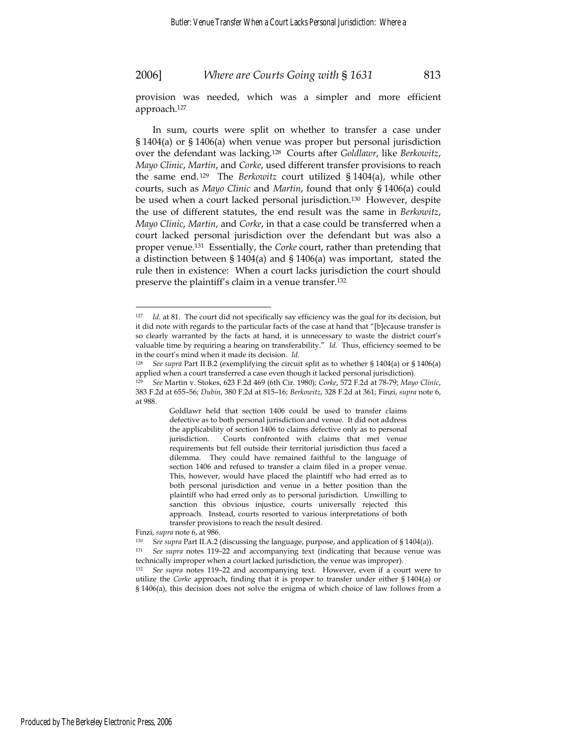$\overline{a}$ 

provision was needed, which was a simpler and more efficient approach.127

In sum, courts were split on whether to transfer a case under § 1404(a) or § 1406(a) when venue was proper but personal jurisdiction over the defendant was lacking.128 Courts after *Goldlawr*, like *Berkowitz*, *Mayo Clinic*, *Martin*, and *Corke*, used different transfer provisions to reach the same end. 129 The *Berkowitz* court utilized § 1404(a), while other courts, such as *Mayo Clinic* and *Martin*, found that only § 1406(a) could be used when a court lacked personal jurisdiction.<sup>130</sup> However, despite the use of different statutes, the end result was the same in *Berkowitz*, *Mayo Clinic*, *Martin*, and *Corke*, in that a case could be transferred when a court lacked personal jurisdiction over the defendant but was also a proper venue*.*131 Essentially, the *Corke* court, rather than pretending that a distinction between § 1404(a) and § 1406(a) was important, stated the rule then in existence: When a court lacks jurisdiction the court should preserve the plaintiff's claim in a venue transfer.132

<sup>127</sup> *Id*. at 81. The court did not specifically say efficiency was the goal for its decision, but it did note with regards to the particular facts of the case at hand that "[b]ecause transfer is so clearly warranted by the facts at hand, it is unnecessary to waste the district court's valuable time by requiring a hearing on transferability." *Id.* Thus, efficiency seemed to be in the court's mind when it made its decision. *Id.*

<sup>128</sup> *See supra* Part II.B.2 (exemplifying the circuit split as to whether § 1404(a) or § 1406(a) applied when a court transferred a case even though it lacked personal jurisdiction).

<sup>129</sup> *See* Martin v. Stokes, 623 F.2d 469 (6th Cir. 1980); *Corke*, 572 F.2d at 78-79; *Mayo Clinic*, 383 F.2d at 655–56; *Dubin*, 380 F.2d at 815–16; *Berkowitz*, 328 F.2d at 361; Finzi, *supra* note 6, at 988.

Goldlawr held that section 1406 could be used to transfer claims defective as to both personal jurisdiction and venue. It did not address the applicability of section 1406 to claims defective only as to personal jurisdiction. Courts confronted with claims that met venue requirements but fell outside their territorial jurisdiction thus faced a dilemma. They could have remained faithful to the language of section 1406 and refused to transfer a claim filed in a proper venue. This, however, would have placed the plaintiff who had erred as to both personal jurisdiction and venue in a better position than the plaintiff who had erred only as to personal jurisdiction. Unwilling to sanction this obvious injustice, courts universally rejected this approach. Instead, courts resorted to various interpretations of both transfer provisions to reach the result desired.

Finzi, *supra* note 6, at 986.

<sup>130</sup> *See supra* Part II.A.2 (discussing the language, purpose, and application of § 1404(a)).

<sup>131</sup> *See supra* notes 119–22 and accompanying text (indicating that because venue was technically improper when a court lacked jurisdiction, the venue was improper).

<sup>132</sup> *See supra* notes 119–22 and accompanying text. However, even if a court were to utilize the *Corke* approach, finding that it is proper to transfer under either § 1404(a) or § 1406(a), this decision does not solve the enigma of which choice of law follows from a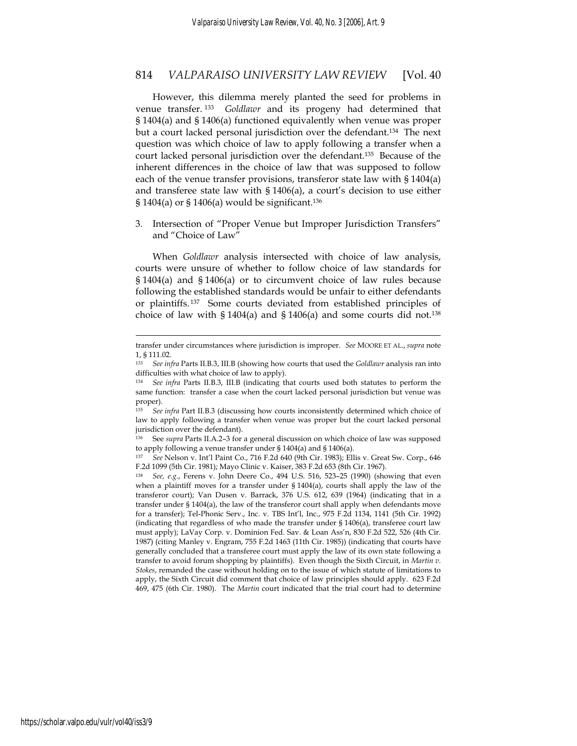However, this dilemma merely planted the seed for problems in venue transfer. 133 *Goldlawr* and its progeny had determined that § 1404(a) and § 1406(a) functioned equivalently when venue was proper but a court lacked personal jurisdiction over the defendant.134 The next question was which choice of law to apply following a transfer when a court lacked personal jurisdiction over the defendant.135 Because of the inherent differences in the choice of law that was supposed to follow each of the venue transfer provisions, transferor state law with § 1404(a) and transferee state law with § 1406(a), a court's decision to use either § 1404(a) or § 1406(a) would be significant.<sup>136</sup>

3*.* Intersection of "Proper Venue but Improper Jurisdiction Transfers" and "Choice of Law"

When *Goldlawr* analysis intersected with choice of law analysis, courts were unsure of whether to follow choice of law standards for § 1404(a) and § 1406(a) or to circumvent choice of law rules because following the established standards would be unfair to either defendants or plaintiffs. 137 Some courts deviated from established principles of choice of law with  $\S 1404(a)$  and  $\S 1406(a)$  and some courts did not.<sup>138</sup>

transfer under circumstances where jurisdiction is improper. *See* MOORE ET AL., *supra* note 1, § 111.02.<br><sup>133</sup> See in

<sup>133</sup> *See infra* Parts II.B.3, III.B (showing how courts that used the *Goldlawr* analysis ran into difficulties with what choice of law to apply).

<sup>134</sup> *See infra* Parts II.B.3, III.B (indicating that courts used both statutes to perform the same function: transfer a case when the court lacked personal jurisdiction but venue was proper).

<sup>135</sup> *See infra* Part II.B.3 (discussing how courts inconsistently determined which choice of law to apply following a transfer when venue was proper but the court lacked personal jurisdiction over the defendant).

<sup>136</sup> See *supra* Parts II.A.2–3 for a general discussion on which choice of law was supposed to apply following a venue transfer under § 1404(a) and § 1406(a).

<sup>137</sup> *See* Nelson v. Int'l Paint Co., 716 F.2d 640 (9th Cir. 1983); Ellis v. Great Sw. Corp., 646 F.2d 1099 (5th Cir. 1981); Mayo Clinic v. Kaiser, 383 F.2d 653 (8th Cir. 1967).

<sup>138</sup> *See, e.g.*, Ferens v. John Deere Co., 494 U.S. 516, 523–25 (1990) (showing that even when a plaintiff moves for a transfer under § 1404(a), courts shall apply the law of the transferor court); Van Dusen v. Barrack, 376 U.S. 612, 639 (1964) (indicating that in a transfer under § 1404(a), the law of the transferor court shall apply when defendants move for a transfer); Tel-Phonic Serv., Inc. v. TBS Int'l, Inc., 975 F.2d 1134, 1141 (5th Cir. 1992) (indicating that regardless of who made the transfer under § 1406(a), transferee court law must apply); LaVay Corp. v. Dominion Fed. Sav. & Loan Ass'n, 830 F.2d 522, 526 (4th Cir. 1987) (citing Manley v. Engram, 755 F.2d 1463 (11th Cir. 1985)) (indicating that courts have generally concluded that a transferee court must apply the law of its own state following a transfer to avoid forum shopping by plaintiffs). Even though the Sixth Circuit, in *Martin v. Stokes*, remanded the case without holding on to the issue of which statute of limitations to apply, the Sixth Circuit did comment that choice of law principles should apply. 623 F.2d 469, 475 (6th Cir. 1980). The *Martin* court indicated that the trial court had to determine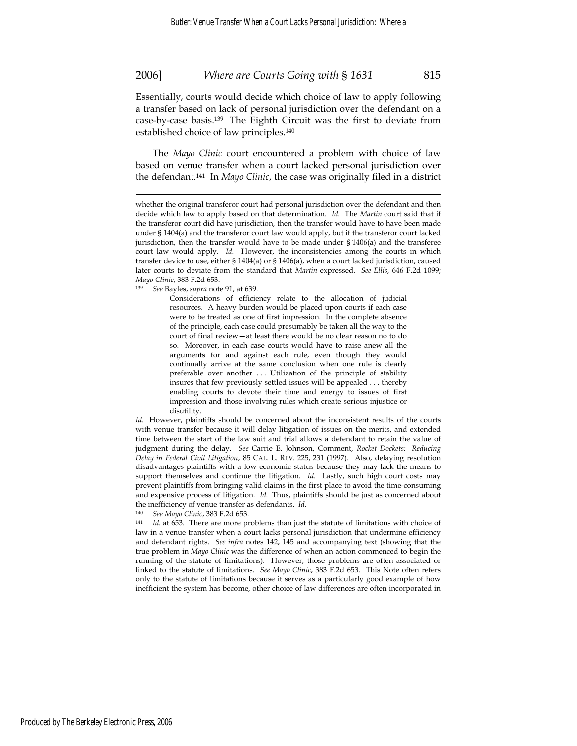Essentially, courts would decide which choice of law to apply following a transfer based on lack of personal jurisdiction over the defendant on a case-by-case basis.139 The Eighth Circuit was the first to deviate from established choice of law principles.140

The *Mayo Clinic* court encountered a problem with choice of law based on venue transfer when a court lacked personal jurisdiction over the defendant.141 In *Mayo Clinic*, the case was originally filed in a district

 $\overline{a}$ 

Considerations of efficiency relate to the allocation of judicial resources. A heavy burden would be placed upon courts if each case were to be treated as one of first impression. In the complete absence of the principle, each case could presumably be taken all the way to the court of final review—at least there would be no clear reason no to do so. Moreover, in each case courts would have to raise anew all the arguments for and against each rule, even though they would continually arrive at the same conclusion when one rule is clearly preferable over another ... Utilization of the principle of stability insures that few previously settled issues will be appealed . . . thereby enabling courts to devote their time and energy to issues of first impression and those involving rules which create serious injustice or disutility.

*Id.* However, plaintiffs should be concerned about the inconsistent results of the courts with venue transfer because it will delay litigation of issues on the merits, and extended time between the start of the law suit and trial allows a defendant to retain the value of judgment during the delay. *See* Carrie E. Johnson, Comment, *Rocket Dockets: Reducing Delay in Federal Civil Litigation*, 85 CAL. L. REV. 225, 231 (1997). Also, delaying resolution disadvantages plaintiffs with a low economic status because they may lack the means to support themselves and continue the litigation. *Id.* Lastly, such high court costs may prevent plaintiffs from bringing valid claims in the first place to avoid the time-consuming and expensive process of litigation. *Id.* Thus, plaintiffs should be just as concerned about the inefficiency of venue transfer as defendants. *Id.* 

<sup>140</sup> See Mayo Clinic, 383 F.2d 653.<br><sup>141</sup> Id. at 653. There are more problems than just the statute of limitations with choice of law in a venue transfer when a court lacks personal jurisdiction that undermine efficiency and defendant rights. *See infra* notes 142, 145 and accompanying text (showing that the true problem in *Mayo Clinic* was the difference of when an action commenced to begin the running of the statute of limitations). However, those problems are often associated or linked to the statute of limitations. *See Mayo Clinic*, 383 F.2d 653. This Note often refers only to the statute of limitations because it serves as a particularly good example of how inefficient the system has become, other choice of law differences are often incorporated in

whether the original transferor court had personal jurisdiction over the defendant and then decide which law to apply based on that determination. *Id.* The *Martin* court said that if the transferor court did have jurisdiction, then the transfer would have to have been made under § 1404(a) and the transferor court law would apply, but if the transferor court lacked jurisdiction, then the transfer would have to be made under § 1406(a) and the transferee court law would apply. *Id.* However, the inconsistencies among the courts in which transfer device to use, either § 1404(a) or § 1406(a), when a court lacked jurisdiction, caused later courts to deviate from the standard that *Martin* expressed. *See Ellis*, 646 F.2d 1099; *Mayo Clinic*, 383 F.2d 653. 139 *See* Bayles, *supra* note 91, at 639.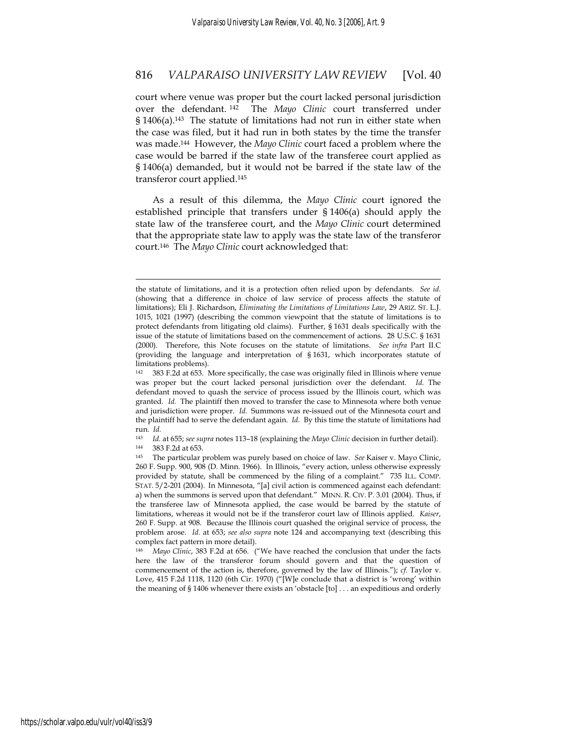court where venue was proper but the court lacked personal jurisdiction over the defendant. 142 The *Mayo Clinic* court transferred under  $\S 1406(a).$ <sup>143</sup> The statute of limitations had not run in either state when the case was filed, but it had run in both states by the time the transfer was made.144 However, the *Mayo Clinic* court faced a problem where the case would be barred if the state law of the transferee court applied as § 1406(a) demanded, but it would not be barred if the state law of the transferor court applied.145

As a result of this dilemma, the *Mayo Clinic* court ignored the established principle that transfers under § 1406(a) should apply the state law of the transferee court, and the *Mayo Clinic* court determined that the appropriate state law to apply was the state law of the transferor court.146 The *Mayo Clinic* court acknowledged that:

<sup>143</sup> *Id.* at 655; *see supra* notes 113–18 (explaining the *Mayo Clinic* decision in further detail).

 $\overline{a}$ 

<sup>146</sup> *Mayo Clinic*, 383 F.2d at 656. ("We have reached the conclusion that under the facts here the law of the transferor forum should govern and that the question of commencement of the action is, therefore, governed by the law of Illinois."); *cf.* Taylor v. Love, 415 F.2d 1118, 1120 (6th Cir. 1970) ("[W]e conclude that a district is 'wrong' within the meaning of § 1406 whenever there exists an 'obstacle [to] . . . an expeditious and orderly

the statute of limitations, and it is a protection often relied upon by defendants. *See id.*  (showing that a difference in choice of law service of process affects the statute of limitations); Eli J. Richardson, *Eliminating the Limitations of Limitations Law*, 29 ARIZ. ST. L.J. 1015, 1021 (1997) (describing the common viewpoint that the statute of limitations is to protect defendants from litigating old claims). Further, § 1631 deals specifically with the issue of the statute of limitations based on the commencement of actions. 28 U.S.C. § 1631 (2000). Therefore, this Note focuses on the statute of limitations. *See infra* Part II.C (providing the language and interpretation of § 1631, which incorporates statute of limitations problems).

<sup>142 383</sup> F.2d at 653. More specifically, the case was originally filed in Illinois where venue was proper but the court lacked personal jurisdiction over the defendant. *Id.* The defendant moved to quash the service of process issued by the Illinois court, which was granted. *Id.* The plaintiff then moved to transfer the case to Minnesota where both venue and jurisdiction were proper. *Id.* Summons was re-issued out of the Minnesota court and the plaintiff had to serve the defendant again. *Id.* By this time the statute of limitations had run. *Id.*

<sup>144 383</sup> F.2d at 653.

<sup>145</sup> The particular problem was purely based on choice of law. *See* Kaiser v. Mayo Clinic, 260 F. Supp. 900, 908 (D. Minn. 1966). In Illinois, "every action, unless otherwise expressly provided by statute, shall be commenced by the filing of a complaint." 735 ILL. COMP. STAT. 5/2-201 (2004). In Minnesota, "[a] civil action is commenced against each defendant: a) when the summons is served upon that defendant." MINN. R. CIV. P. 3.01 (2004). Thus, if the transferee law of Minnesota applied, the case would be barred by the statute of limitations, whereas it would not be if the transferor court law of Illinois applied. *Kaiser*, 260 F. Supp. at 908. Because the Illinois court quashed the original service of process, the problem arose. *Id.* at 653; *see also supra* note 124 and accompanying text (describing this complex fact pattern in more detail).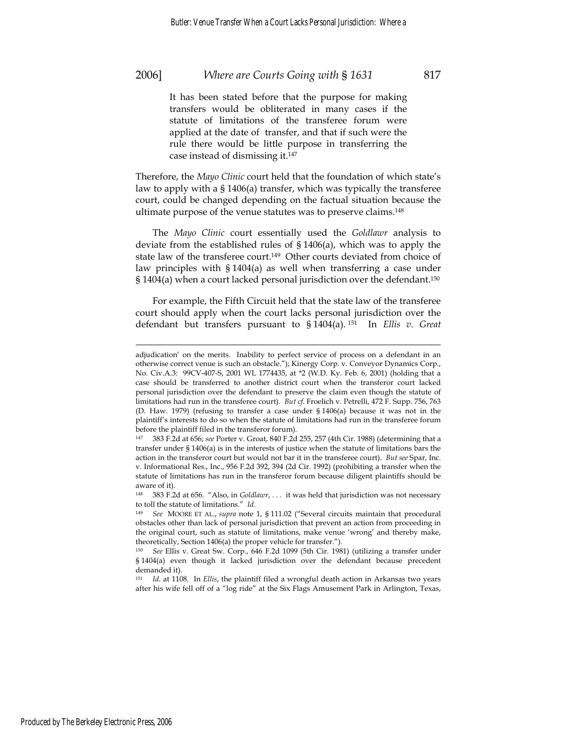$\overline{a}$ 

It has been stated before that the purpose for making transfers would be obliterated in many cases if the statute of limitations of the transferee forum were applied at the date of transfer, and that if such were the rule there would be little purpose in transferring the case instead of dismissing it.147

Therefore, the *Mayo Clinic* court held that the foundation of which state's law to apply with a § 1406(a) transfer, which was typically the transferee court, could be changed depending on the factual situation because the ultimate purpose of the venue statutes was to preserve claims.148

The *Mayo Clinic* court essentially used the *Goldlawr* analysis to deviate from the established rules of § 1406(a), which was to apply the state law of the transferee court.<sup>149</sup> Other courts deviated from choice of law principles with § 1404(a) as well when transferring a case under § 1404(a) when a court lacked personal jurisdiction over the defendant.150

For example, the Fifth Circuit held that the state law of the transferee court should apply when the court lacks personal jurisdiction over the defendant but transfers pursuant to § 1404(a). 151 In *Ellis v. Great* 

adjudication' on the merits. Inability to perfect service of process on a defendant in an otherwise correct venue is such an obstacle."); Kinergy Corp. v. Conveyor Dynamics Corp., No. Civ.A.3: 99CV-407-S, 2001 WL 1774435, at \*2 (W.D. Ky. Feb. 6, 2001) (holding that a case should be transferred to another district court when the transferor court lacked personal jurisdiction over the defendant to preserve the claim even though the statute of limitations had run in the transferee court). *But cf.* Froelich v. Petrelli, 472 F. Supp. 756, 763 (D. Haw. 1979) (refusing to transfer a case under § 1406(a) because it was not in the plaintiff's interests to do so when the statute of limitations had run in the transferee forum before the plaintiff filed in the transferor forum).

<sup>147 383</sup> F.2d at 656; *see* Porter v. Groat, 840 F.2d 255, 257 (4th Cir. 1988) (determining that a transfer under § 1406(a) is in the interests of justice when the statute of limitations bars the action in the transferor court but would not bar it in the transferee court). *But see* Spar, Inc. v. Informational Res., Inc., 956 F.2d 392, 394 (2d Cir. 1992) (prohibiting a transfer when the statute of limitations has run in the transferor forum because diligent plaintiffs should be aware of it).

<sup>148 383</sup> F.2d at 656."Also, in *Goldlawr*, . . . it was held that jurisdiction was not necessary to toll the statute of limitations." *Id.*

<sup>149</sup> *See* MOORE ET AL., *supra* note 1, § 111.02 ("Several circuits maintain that procedural obstacles other than lack of personal jurisdiction that prevent an action from proceeding in the original court, such as statute of limitations, make venue 'wrong' and thereby make, theoretically, Section 1406(a) the proper vehicle for transfer.").

<sup>150</sup> *See* Ellis v. Great Sw. Corp., 646 F.2d 1099 (5th Cir. 1981) (utilizing a transfer under § 1404(a) even though it lacked jurisdiction over the defendant because precedent demanded it).

<sup>151</sup> *Id.* at 1108. In *Ellis*, the plaintiff filed a wrongful death action in Arkansas two years after his wife fell off of a "log ride" at the Six Flags Amusement Park in Arlington, Texas,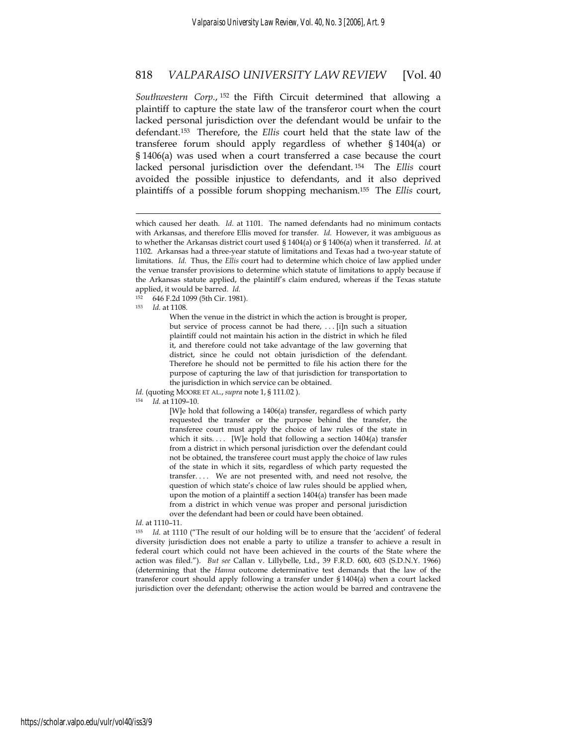*Southwestern Corp.*, 152 the Fifth Circuit determined that allowing a plaintiff to capture the state law of the transferor court when the court lacked personal jurisdiction over the defendant would be unfair to the defendant.153 Therefore, the *Ellis* court held that the state law of the transferee forum should apply regardless of whether § 1404(a) or § 1406(a) was used when a court transferred a case because the court lacked personal jurisdiction over the defendant. 154 The *Ellis* court avoided the possible injustice to defendants, and it also deprived plaintiffs of a possible forum shopping mechanism.155 The *Ellis* court,

646 F.2d 1099 (5th Cir. 1981).

<sup>153</sup> *Id.* at 1108.

 $\overline{a}$ 

When the venue in the district in which the action is brought is proper, but service of process cannot be had there, . . . [i]n such a situation plaintiff could not maintain his action in the district in which he filed it, and therefore could not take advantage of the law governing that district, since he could not obtain jurisdiction of the defendant. Therefore he should not be permitted to file his action there for the purpose of capturing the law of that jurisdiction for transportation to the jurisdiction in which service can be obtained.

[W]e hold that following a 1406(a) transfer, regardless of which party requested the transfer or the purpose behind the transfer, the transferee court must apply the choice of law rules of the state in which it sits.... [W]e hold that following a section  $1404(a)$  transfer from a district in which personal jurisdiction over the defendant could not be obtained, the transferee court must apply the choice of law rules of the state in which it sits, regardless of which party requested the transfer. . . . We are not presented with, and need not resolve, the question of which state's choice of law rules should be applied when, upon the motion of a plaintiff a section 1404(a) transfer has been made from a district in which venue was proper and personal jurisdiction over the defendant had been or could have been obtained.

*Id.* at 1110–11.

Id. at 1110 ("The result of our holding will be to ensure that the 'accident' of federal diversity jurisdiction does not enable a party to utilize a transfer to achieve a result in federal court which could not have been achieved in the courts of the State where the action was filed."). *But see* Callan v. Lillybelle, Ltd., 39 F.R.D. 600, 603 (S.D.N.Y. 1966) (determining that the *Hanna* outcome determinative test demands that the law of the transferor court should apply following a transfer under § 1404(a) when a court lacked jurisdiction over the defendant; otherwise the action would be barred and contravene the

which caused her death. *Id.* at 1101. The named defendants had no minimum contacts with Arkansas, and therefore Ellis moved for transfer. *Id.* However, it was ambiguous as to whether the Arkansas district court used § 1404(a) or § 1406(a) when it transferred. *Id.* at 1102. Arkansas had a three-year statute of limitations and Texas had a two-year statute of limitations. *Id.* Thus, the *Ellis* court had to determine which choice of law applied under the venue transfer provisions to determine which statute of limitations to apply because if the Arkansas statute applied, the plaintiff's claim endured, whereas if the Texas statute applied, it would be barred. *Id.*

*Id.* (quoting MOORE ET AL., *supra* note 1, § 111.02 ). 154 *Id.* at 1109–10.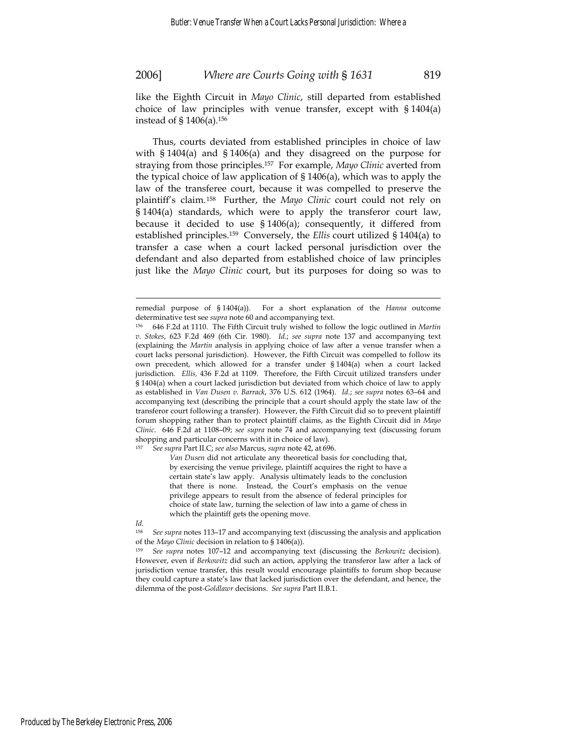like the Eighth Circuit in *Mayo Clinic*, still departed from established choice of law principles with venue transfer, except with § 1404(a) instead of § 1406(a)*.* 156

Thus, courts deviated from established principles in choice of law with § 1404(a) and § 1406(a) and they disagreed on the purpose for straying from those principles.157 For example, *Mayo Clinic* averted from the typical choice of law application of § 1406(a), which was to apply the law of the transferee court, because it was compelled to preserve the plaintiff's claim.158 Further, the *Mayo Clinic* court could not rely on § 1404(a) standards, which were to apply the transferor court law, because it decided to use § 1406(a); consequently, it differed from established principles.159 Conversely, the *Ellis* court utilized § 1404(a) to transfer a case when a court lacked personal jurisdiction over the defendant and also departed from established choice of law principles just like the *Mayo Clinic* court, but its purposes for doing so was to

<sup>157</sup> *See supra* Part II.C; *see also* Marcus, *supra* note 42, at 696.

*Van Dusen* did not articulate any theoretical basis for concluding that, by exercising the venue privilege, plaintiff acquires the right to have a certain state's law apply. Analysis ultimately leads to the conclusion that there is none. Instead, the Court's emphasis on the venue privilege appears to result from the absence of federal principles for choice of state law, turning the selection of law into a game of chess in which the plaintiff gets the opening move.

*Id.* 

remedial purpose of § 1404(a)). For a short explanation of the *Hanna* outcome determinative test see *supra* note 60 and accompanying text.

<sup>156 646</sup> F.2d at 1110. The Fifth Circuit truly wished to follow the logic outlined in *Martin v. Stokes*, 623 F.2d 469 (6th Cir. 1980). *Id.*; *see supra* note 137 and accompanying text (explaining the *Martin* analysis in applying choice of law after a venue transfer when a court lacks personal jurisdiction). However, the Fifth Circuit was compelled to follow its own precedent, which allowed for a transfer under § 1404(a) when a court lacked jurisdiction. *Ellis,* 436 F.2d at 1109.Therefore, the Fifth Circuit utilized transfers under § 1404(a) when a court lacked jurisdiction but deviated from which choice of law to apply as established in *Van Dusen v. Barrack*, 376 U.S. 612 (1964). *Id.*; *see supra* notes 63–64 and accompanying text (describing the principle that a court should apply the state law of the transferor court following a transfer). However, the Fifth Circuit did so to prevent plaintiff forum shopping rather than to protect plaintiff claims, as the Eighth Circuit did in *Mayo Clinic*. 646 F.2d at 1108–09; *see supra* note 74 and accompanying text (discussing forum shopping and particular concerns with it in choice of law).

<sup>158</sup> *See supra* notes 113–17 and accompanying text (discussing the analysis and application of the *Mayo Clinic* decision in relation to § 1406(a)).

<sup>159</sup> *See supra* notes 107–12 and accompanying text (discussing the *Berkowitz* decision). However, even if *Berkowitz* did such an action, applying the transferor law after a lack of jurisdiction venue transfer, this result would encourage plaintiffs to forum shop because they could capture a state's law that lacked jurisdiction over the defendant, and hence, the dilemma of the post*-Goldlawr* decisions. *See supra* Part II.B.1.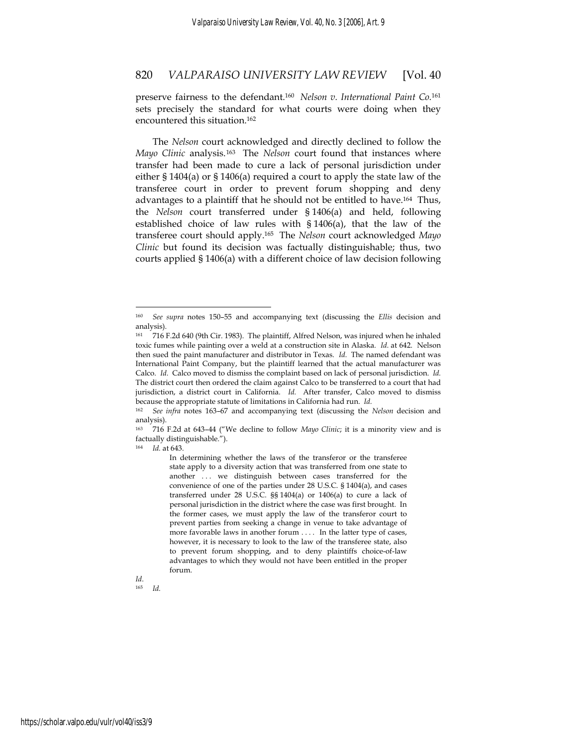preserve fairness to the defendant.160 *Nelson v. International Paint Co.*<sup>161</sup> sets precisely the standard for what courts were doing when they encountered this situation.162

The *Nelson* court acknowledged and directly declined to follow the *Mayo Clinic* analysis.163 The *Nelson* court found that instances where transfer had been made to cure a lack of personal jurisdiction under either § 1404(a) or § 1406(a) required a court to apply the state law of the transferee court in order to prevent forum shopping and deny advantages to a plaintiff that he should not be entitled to have.164 Thus, the *Nelson* court transferred under § 1406(a) and held, following established choice of law rules with § 1406(a), that the law of the transferee court should apply.165 The *Nelson* court acknowledged *Mayo Clinic* but found its decision was factually distinguishable; thus, two courts applied § 1406(a) with a different choice of law decision following

 $\overline{a}$ 

In determining whether the laws of the transferor or the transferee state apply to a diversity action that was transferred from one state to another ... we distinguish between cases transferred for the convenience of one of the parties under 28 U.S.C. § 1404(a), and cases transferred under 28 U.S.C. §§ 1404(a) or 1406(a) to cure a lack of personal jurisdiction in the district where the case was first brought. In the former cases, we must apply the law of the transferor court to prevent parties from seeking a change in venue to take advantage of more favorable laws in another forum .... In the latter type of cases, however, it is necessary to look to the law of the transferee state, also to prevent forum shopping, and to deny plaintiffs choice-of-law advantages to which they would not have been entitled in the proper forum.



<sup>160</sup> *See supra* notes 150–55 and accompanying text (discussing the *Ellis* decision and analysis).

<sup>161 716</sup> F.2d 640 (9th Cir. 1983). The plaintiff, Alfred Nelson, was injured when he inhaled toxic fumes while painting over a weld at a construction site in Alaska. *Id.* at 642. Nelson then sued the paint manufacturer and distributor in Texas. *Id.* The named defendant was International Paint Company, but the plaintiff learned that the actual manufacturer was Calco. *Id.* Calco moved to dismiss the complaint based on lack of personal jurisdiction. *Id.*  The district court then ordered the claim against Calco to be transferred to a court that had jurisdiction, a district court in California. *Id.* After transfer, Calco moved to dismiss because the appropriate statute of limitations in California had run. *Id.*

<sup>162</sup> *See infra* notes 163–67 and accompanying text (discussing the *Nelson* decision and analysis).

<sup>163 716</sup> F.2d at 643–44 ("We decline to follow *Mayo Clinic*; it is a minority view and is factually distinguishable.").

*Id.* at 643.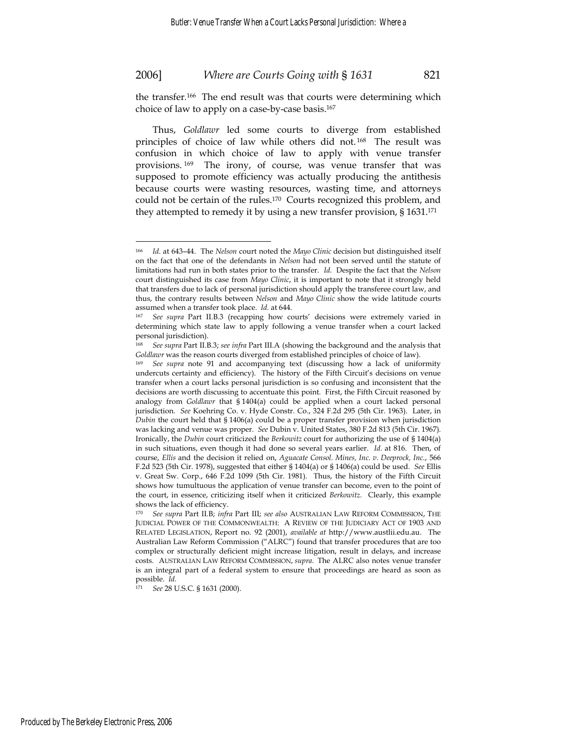$\overline{a}$ 

the transfer*.* 166 The end result was that courts were determining which choice of law to apply on a case-by-case basis.167

Thus, *Goldlawr* led some courts to diverge from established principles of choice of law while others did not. 168 The result was confusion in which choice of law to apply with venue transfer provisions. 169 The irony, of course, was venue transfer that was supposed to promote efficiency was actually producing the antithesis because courts were wasting resources, wasting time, and attorneys could not be certain of the rules.170 Courts recognized this problem, and they attempted to remedy it by using a new transfer provision, § 1631.171

<sup>171</sup> *See* 28 U.S.C. § 1631 (2000).

<sup>166</sup> *Id*. at 643–44. The *Nelson* court noted the *Mayo Clinic* decision but distinguished itself on the fact that one of the defendants in *Nelson* had not been served until the statute of limitations had run in both states prior to the transfer. *Id.* Despite the fact that the *Nelson* court distinguished its case from *Mayo Clinic*, it is important to note that it strongly held that transfers due to lack of personal jurisdiction should apply the transferee court law, and thus, the contrary results between *Nelson* and *Mayo Clinic* show the wide latitude courts assumed when a transfer took place. *Id.* at 644.<br><sup>167</sup> See supra Part II.B.3 (recapping how courts' decisions were extremely varied in

determining which state law to apply following a venue transfer when a court lacked personal jurisdiction).

<sup>168</sup> *See supra* Part II.B.3; *see infra* Part III.A (showing the background and the analysis that *Goldlawr* was the reason courts diverged from established principles of choice of law).

<sup>169</sup> *See supra* note 91 and accompanying text (discussing how a lack of uniformity undercuts certainty and efficiency). The history of the Fifth Circuit's decisions on venue transfer when a court lacks personal jurisdiction is so confusing and inconsistent that the decisions are worth discussing to accentuate this point. First, the Fifth Circuit reasoned by analogy from *Goldlawr* that § 1404(a) could be applied when a court lacked personal jurisdiction. *See* Koehring Co. v. Hyde Constr. Co., 324 F.2d 295 (5th Cir. 1963). Later, in *Dubin* the court held that § 1406(a) could be a proper transfer provision when jurisdiction was lacking and venue was proper. *See* Dubin v. United States, 380 F.2d 813 (5th Cir. 1967). Ironically, the *Dubin* court criticized the *Berkowitz* court for authorizing the use of § 1404(a) in such situations, even though it had done so several years earlier. *Id.* at 816. Then, of course, *Ellis* and the decision it relied on, *Aguacate Consol. Mines, Inc. v. Deeprock, Inc.*, 566 F.2d 523 (5th Cir. 1978), suggested that either § 1404(a) or § 1406(a) could be used. *See* Ellis v. Great Sw. Corp., 646 F.2d 1099 (5th Cir. 1981). Thus, the history of the Fifth Circuit shows how tumultuous the application of venue transfer can become, even to the point of the court, in essence, criticizing itself when it criticized *Berkowitz.* Clearly, this example shows the lack of efficiency.

<sup>170</sup> *See supra* Part II.B; *infra* Part III; *see also* AUSTRALIAN LAW REFORM COMMISSION, THE JUDICIAL POWER OF THE COMMONWEALTH: A REVIEW OF THE JUDICIARY ACT OF 1903 AND RELATED LEGISLATION, Report no. 92 (2001), *available at* http://www.austlii.edu.au. The Australian Law Reform Commission ("ALRC") found that transfer procedures that are too complex or structurally deficient might increase litigation, result in delays, and increase costs. AUSTRALIAN LAW REFORM COMMISSION, *supra*. The ALRC also notes venue transfer is an integral part of a federal system to ensure that proceedings are heard as soon as possible. *Id.*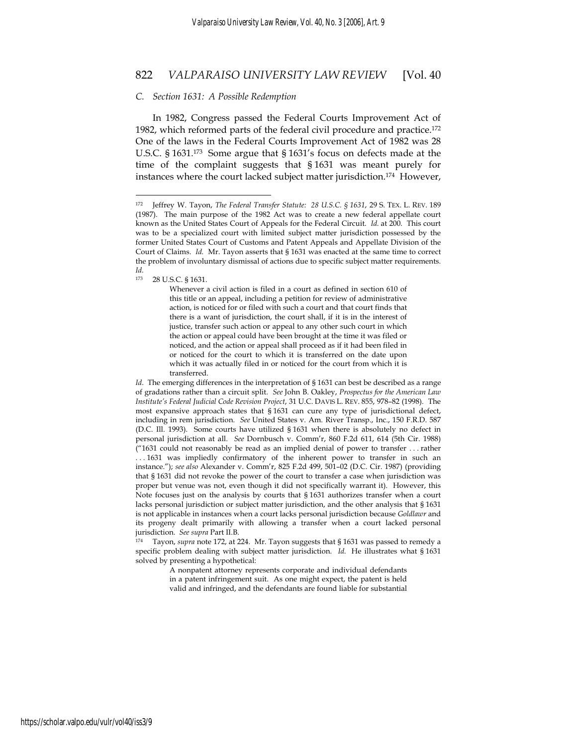#### *C. Section 1631: A Possible Redemption*

In 1982, Congress passed the Federal Courts Improvement Act of 1982, which reformed parts of the federal civil procedure and practice.172 One of the laws in the Federal Courts Improvement Act of 1982 was 28 U.S.C. § 1631.173 Some argue that § 1631's focus on defects made at the time of the complaint suggests that § 1631 was meant purely for instances where the court lacked subject matter jurisdiction.174 However,

 $\overline{a}$ 

174 Tayon, *supra* note 172, at 224. Mr. Tayon suggests that § 1631 was passed to remedy a specific problem dealing with subject matter jurisdiction. *Id.* He illustrates what § 1631 solved by presenting a hypothetical:

> A nonpatent attorney represents corporate and individual defendants in a patent infringement suit. As one might expect, the patent is held valid and infringed, and the defendants are found liable for substantial

<sup>172</sup> Jeffrey W. Tayon, *The Federal Transfer Statute: 28 U.S.C. § 1631*, 29 S. TEX. L. REV. 189 (1987). The main purpose of the 1982 Act was to create a new federal appellate court known as the United States Court of Appeals for the Federal Circuit. *Id.* at 200. This court was to be a specialized court with limited subject matter jurisdiction possessed by the former United States Court of Customs and Patent Appeals and Appellate Division of the Court of Claims. *Id.* Mr. Tayon asserts that § 1631 was enacted at the same time to correct the problem of involuntary dismissal of actions due to specific subject matter requirements.  $Id.$ <sup>173</sup>

<sup>28</sup> U.S.C. § 1631.

Whenever a civil action is filed in a court as defined in section 610 of this title or an appeal, including a petition for review of administrative action, is noticed for or filed with such a court and that court finds that there is a want of jurisdiction, the court shall, if it is in the interest of justice, transfer such action or appeal to any other such court in which the action or appeal could have been brought at the time it was filed or noticed, and the action or appeal shall proceed as if it had been filed in or noticed for the court to which it is transferred on the date upon which it was actually filed in or noticed for the court from which it is transferred.

*Id*. The emerging differences in the interpretation of § 1631 can best be described as a range of gradations rather than a circuit split. *See* John B. Oakley, *Prospectus for the American Law Institute's Federal Judicial Code Revision Project*, 31 U.C. DAVIS L. REV. 855, 978–82 (1998). The most expansive approach states that § 1631 can cure any type of jurisdictional defect, including in rem jurisdiction. *See* United States v. Am. River Transp., Inc., 150 F.R.D. 587 (D.C. Ill. 1993). Some courts have utilized § 1631 when there is absolutely no defect in personal jurisdiction at all. *See* Dornbusch v. Comm'r, 860 F.2d 611, 614 (5th Cir. 1988) ("1631 could not reasonably be read as an implied denial of power to transfer . . . rather . . . 1631 was impliedly confirmatory of the inherent power to transfer in such an instance."); *see also* Alexander v. Comm'r, 825 F.2d 499, 501–02 (D.C. Cir. 1987) (providing that § 1631 did not revoke the power of the court to transfer a case when jurisdiction was proper but venue was not, even though it did not specifically warrant it). However, this Note focuses just on the analysis by courts that § 1631 authorizes transfer when a court lacks personal jurisdiction or subject matter jurisdiction, and the other analysis that § 1631 is not applicable in instances when a court lacks personal jurisdiction because *Goldlawr* and its progeny dealt primarily with allowing a transfer when a court lacked personal jurisdiction. *See supra* Part II.B.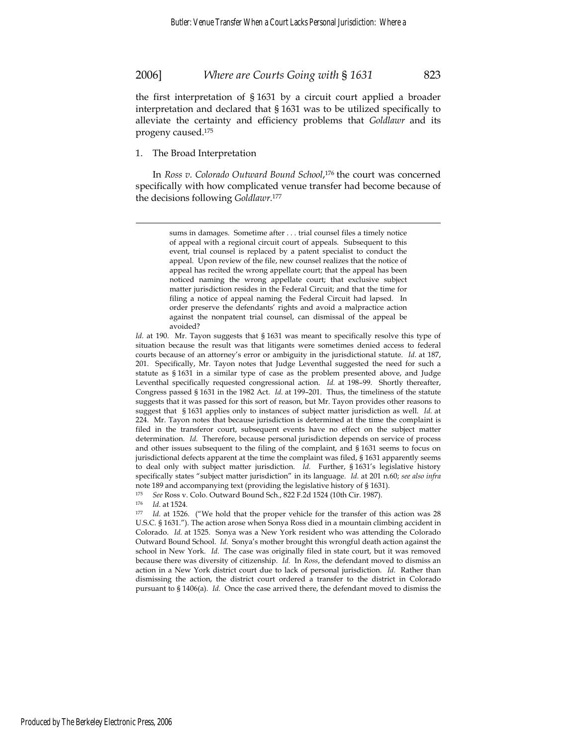the first interpretation of § 1631 by a circuit court applied a broader interpretation and declared that § 1631 was to be utilized specifically to alleviate the certainty and efficiency problems that *Goldlawr* and its progeny caused.175

#### 1. The Broad Interpretation

 $\overline{a}$ 

In *Ross v. Colorado Outward Bound School*, <sup>176</sup> the court was concerned specifically with how complicated venue transfer had become because of the decisions following *Goldlawr.*<sup>177</sup>

> sums in damages. Sometime after . . . trial counsel files a timely notice of appeal with a regional circuit court of appeals. Subsequent to this event, trial counsel is replaced by a patent specialist to conduct the appeal. Upon review of the file, new counsel realizes that the notice of appeal has recited the wrong appellate court; that the appeal has been noticed naming the wrong appellate court; that exclusive subject matter jurisdiction resides in the Federal Circuit; and that the time for filing a notice of appeal naming the Federal Circuit had lapsed. In order preserve the defendants' rights and avoid a malpractice action against the nonpatent trial counsel, can dismissal of the appeal be avoided?

<sup>176</sup> *Id*. at 1524. 177 *Id*. at 1526. ("We hold that the proper vehicle for the transfer of this action was 28 U.S.C. § 1631."). The action arose when Sonya Ross died in a mountain climbing accident in Colorado. *Id.* at 1525. Sonya was a New York resident who was attending the Colorado Outward Bound School. *Id.* Sonya's mother brought this wrongful death action against the school in New York. *Id.* The case was originally filed in state court, but it was removed because there was diversity of citizenship. *Id.* In *Ross*, the defendant moved to dismiss an action in a New York district court due to lack of personal jurisdiction. *Id.* Rather than dismissing the action, the district court ordered a transfer to the district in Colorado pursuant to § 1406(a). *Id*. Once the case arrived there, the defendant moved to dismiss the

*Id.* at 190. Mr. Tayon suggests that § 1631 was meant to specifically resolve this type of situation because the result was that litigants were sometimes denied access to federal courts because of an attorney's error or ambiguity in the jurisdictional statute. *Id.* at 187, 201. Specifically, Mr. Tayon notes that Judge Leventhal suggested the need for such a statute as § 1631 in a similar type of case as the problem presented above, and Judge Leventhal specifically requested congressional action. *Id.* at 198–99. Shortly thereafter, Congress passed § 1631 in the 1982 Act. *Id.* at 199–201. Thus, the timeliness of the statute suggests that it was passed for this sort of reason, but Mr. Tayon provides other reasons to suggest that § 1631 applies only to instances of subject matter jurisdiction as well. *Id.* at 224. Mr. Tayon notes that because jurisdiction is determined at the time the complaint is filed in the transferor court, subsequent events have no effect on the subject matter determination. *Id.* Therefore, because personal jurisdiction depends on service of process and other issues subsequent to the filing of the complaint, and § 1631 seems to focus on jurisdictional defects apparent at the time the complaint was filed, § 1631 apparently seems to deal only with subject matter jurisdiction. *Id.* Further, § 1631's legislative history specifically states "subject matter jurisdiction" in its language. *Id.* at 201 n.60; *see also infra*  note 189 and accompanying text (providing the legislative history of § 1631).

<sup>175</sup> *See* Ross v. Colo. Outward Bound Sch., 822 F.2d 1524 (10th Cir. 1987).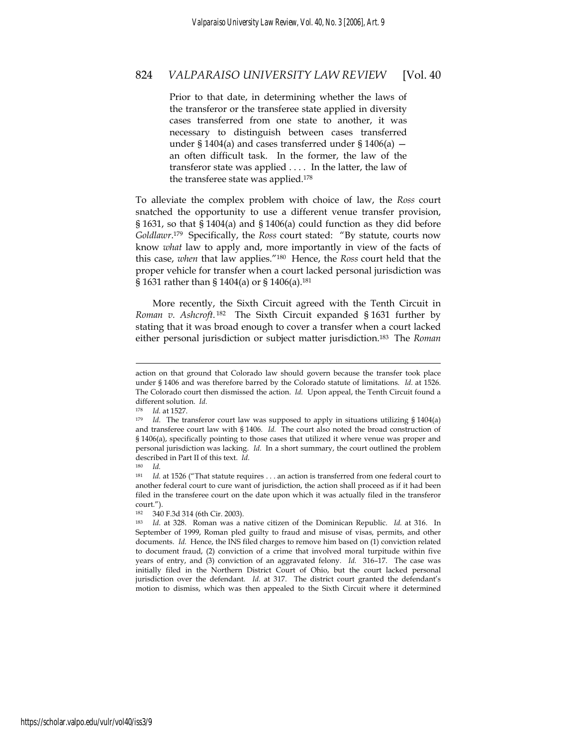Prior to that date, in determining whether the laws of the transferor or the transferee state applied in diversity cases transferred from one state to another, it was necessary to distinguish between cases transferred under § 1404(a) and cases transferred under § 1406(a)  $$ an often difficult task. In the former, the law of the transferor state was applied . . . . In the latter, the law of the transferee state was applied.178

To alleviate the complex problem with choice of law, the *Ross* court snatched the opportunity to use a different venue transfer provision, § 1631, so that § 1404(a) and § 1406(a) could function as they did before *Goldlawr*. 179 Specifically, the *Ross* court stated: "By statute, courts now know *what* law to apply and, more importantly in view of the facts of this case, *when* that law applies."180 Hence, the *Ross* court held that the proper vehicle for transfer when a court lacked personal jurisdiction was § 1631 rather than § 1404(a) or § 1406(a).<sup>181</sup>

More recently, the Sixth Circuit agreed with the Tenth Circuit in *Roman v. Ashcroft*. 182 The Sixth Circuit expanded § 1631 further by stating that it was broad enough to cover a transfer when a court lacked either personal jurisdiction or subject matter jurisdiction.183The *Roman*

 $180$  *Id.*<br> $181$  *Id.* 

action on that ground that Colorado law should govern because the transfer took place under § 1406 and was therefore barred by the Colorado statute of limitations. *Id.* at 1526. The Colorado court then dismissed the action. *Id.* Upon appeal, the Tenth Circuit found a different solution. *Id.*<br><sup>178</sup> *Id.* at 1527

<sup>&</sup>lt;sup>178</sup> *Id.* at 1527.<br><sup>179</sup> *Id.* The transferor court law was supposed to apply in situations utilizing § 1404(a) and transferee court law with § 1406. *Id.* The court also noted the broad construction of § 1406(a), specifically pointing to those cases that utilized it where venue was proper and personal jurisdiction was lacking. *Id.* In a short summary, the court outlined the problem described in Part II of this text. *Id.* 

Id. at 1526 ("That statute requires . . . an action is transferred from one federal court to another federal court to cure want of jurisdiction, the action shall proceed as if it had been filed in the transferee court on the date upon which it was actually filed in the transferor court.").

 $182$  340 F.3d 314 (6th Cir. 2003).<br> $183$  *Id at* 328 Roman was a 1

Id. at 328. Roman was a native citizen of the Dominican Republic. *Id.* at 316. In September of 1999, Roman pled guilty to fraud and misuse of visas, permits, and other documents. *Id.* Hence, the INS filed charges to remove him based on (1) conviction related to document fraud, (2) conviction of a crime that involved moral turpitude within five years of entry, and (3) conviction of an aggravated felony. *Id.* 316–17. The case was initially filed in the Northern District Court of Ohio, but the court lacked personal jurisdiction over the defendant. *Id.* at 317. The district court granted the defendant's motion to dismiss, which was then appealed to the Sixth Circuit where it determined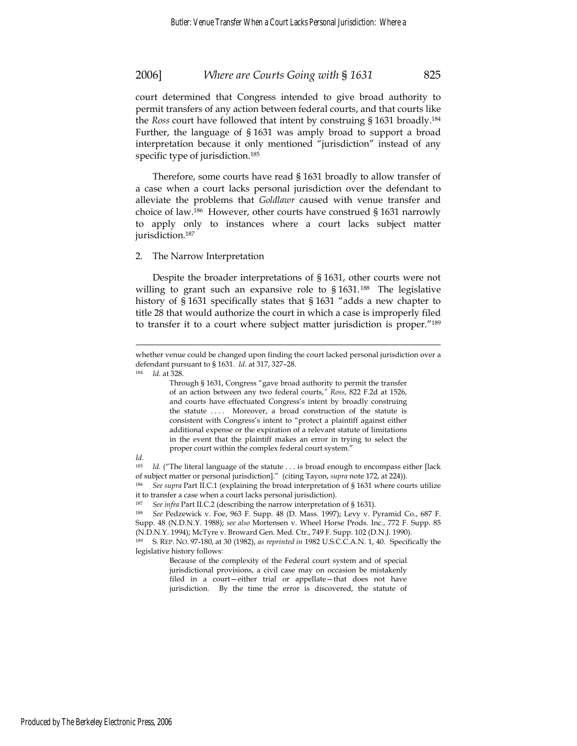court determined that Congress intended to give broad authority to permit transfers of any action between federal courts, and that courts like the *Ross* court have followed that intent by construing § 1631 broadly.184 Further, the language of § 1631 was amply broad to support a broad interpretation because it only mentioned "jurisdiction" instead of any specific type of jurisdiction.<sup>185</sup>

Therefore, some courts have read § 1631 broadly to allow transfer of a case when a court lacks personal jurisdiction over the defendant to alleviate the problems that *Goldlawr* caused with venue transfer and choice of law.186 However, other courts have construed § 1631 narrowly to apply only to instances where a court lacks subject matter jurisdiction.<sup>187</sup>

#### 2. The Narrow Interpretation

Despite the broader interpretations of § 1631, other courts were not willing to grant such an expansive role to §1631.<sup>188</sup> The legislative history of § 1631 specifically states that § 1631 "adds a new chapter to title 28 that would authorize the court in which a case is improperly filed to transfer it to a court where subject matter jurisdiction is proper."189

Through § 1631, Congress "gave broad authority to permit the transfer of an action between any two federal courts,*" Ross*, 822 F.2d at 1526, and courts have effectuated Congress's intent by broadly construing the statute .... Moreover, a broad construction of the statute is consistent with Congress's intent to "protect a plaintiff against either additional expense or the expiration of a relevant statute of limitations in the event that the plaintiff makes an error in trying to select the proper court within the complex federal court system."



whether venue could be changed upon finding the court lacked personal jurisdiction over a defendant pursuant to § 1631. *Id.* at 317, 327–28. 184 *Id.* at 328.

<sup>185</sup> *Id.* ("The literal language of the statute . . . is broad enough to encompass either [lack of subject matter or personal jurisdiction]." (citing Tayon, *supra* note 172, at 224)).

<sup>186</sup> *See supra* Part II.C.1 (explaining the broad interpretation of § 1631 where courts utilize it to transfer a case when a court lacks personal jurisdiction).

<sup>187</sup> *See infra* Part II.C.2 (describing the narrow interpretation of § 1631). 188 *See* Pedzewick v. Foe, 963 F. Supp. 48 (D. Mass. 1997); Levy v. Pyramid Co., 687 F. Supp. 48 (N.D.N.Y. 1988); *see also* Mortensen v. Wheel Horse Prods. Inc., 772 F. Supp. 85 (N.D.N.Y. 1994); McTyre v. Broward Gen. Med. Ctr., 749 F. Supp. 102 (D.N.J. 1990).

<sup>189</sup> S. REP. NO. 97-180, at 30 (1982), *as reprinted in* 1982 U.S.C.C.A.N. 1, 40. Specifically the legislative history follows:

Because of the complexity of the Federal court system and of special jurisdictional provisions, a civil case may on occasion be mistakenly filed in a court—either trial or appellate—that does not have jurisdiction. By the time the error is discovered, the statute of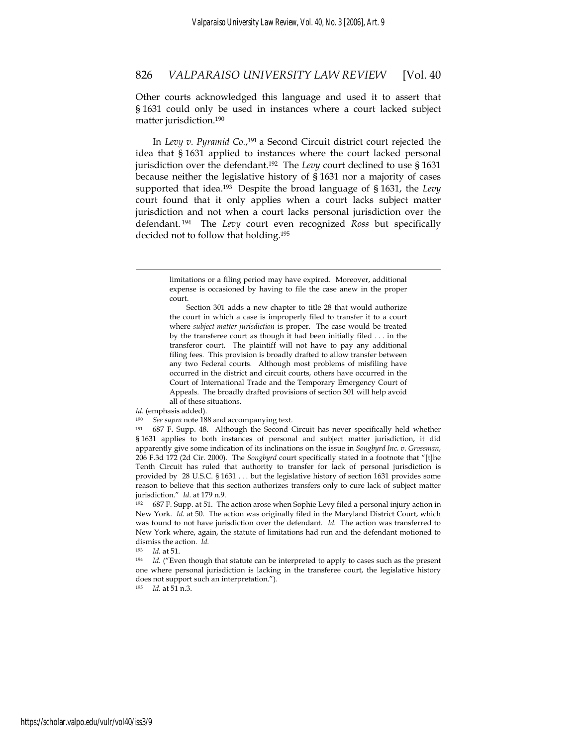Other courts acknowledged this language and used it to assert that § 1631 could only be used in instances where a court lacked subject matter jurisdiction.190

In *Levy v. Pyramid Co.*, 191 a Second Circuit district court rejected the idea that § 1631 applied to instances where the court lacked personal jurisdiction over the defendant.<sup>192</sup> The *Levy* court declined to use § 1631 because neither the legislative history of § 1631 nor a majority of cases supported that idea.193 Despite the broad language of § 1631, the *Levy*  court found that it only applies when a court lacks subject matter jurisdiction and not when a court lacks personal jurisdiction over the defendant. 194 The *Levy* court even recognized *Ross* but specifically decided not to follow that holding.195

 $\overline{a}$ 

192 687 F. Supp. at 51. The action arose when Sophie Levy filed a personal injury action in New York. *Id.* at 50. The action was originally filed in the Maryland District Court, which was found to not have jurisdiction over the defendant. *Id.* The action was transferred to New York where, again, the statute of limitations had run and the defendant motioned to dismiss the action. *Id.*

<sup>193</sup> *Id.* at 51. 194 *Id.* ("Even though that statute can be interpreted to apply to cases such as the present one where personal jurisdiction is lacking in the transferee court, the legislative history does not support such an interpretation.").

<sup>195</sup> *Id.* at 51 n.3.

limitations or a filing period may have expired. Moreover, additional expense is occasioned by having to file the case anew in the proper court.

Section 301 adds a new chapter to title 28 that would authorize the court in which a case is improperly filed to transfer it to a court where *subject matter jurisdiction* is proper. The case would be treated by the transferee court as though it had been initially filed . . . in the transferor court. The plaintiff will not have to pay any additional filing fees. This provision is broadly drafted to allow transfer between any two Federal courts. Although most problems of misfiling have occurred in the district and circuit courts, others have occurred in the Court of International Trade and the Temporary Emergency Court of Appeals. The broadly drafted provisions of section 301 will help avoid all of these situations.

*Id.* (emphasis added).<br><sup>190</sup> See sunra note 18

<sup>190</sup> *See supra* note 188 and accompanying text.

<sup>191 687</sup> F. Supp. 48. Although the Second Circuit has never specifically held whether § 1631 applies to both instances of personal and subject matter jurisdiction, it did apparently give some indication of its inclinations on the issue in *Songbyrd Inc. v. Grossman*, 206 F.3d 172 (2d Cir. 2000). The *Songbyrd* court specifically stated in a footnote that "[t]he Tenth Circuit has ruled that authority to transfer for lack of personal jurisdiction is provided by 28 U.S.C. § 1631 . . . but the legislative history of section 1631 provides some reason to believe that this section authorizes transfers only to cure lack of subject matter jurisdiction." *Id.* at 179 n.9.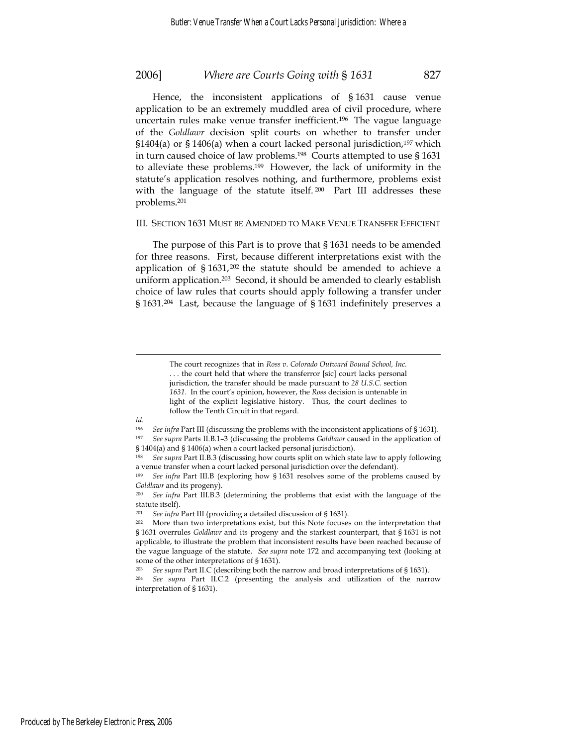Hence, the inconsistent applications of § 1631 cause venue application to be an extremely muddled area of civil procedure, where uncertain rules make venue transfer inefficient.196 The vague language of the *Goldlawr* decision split courts on whether to transfer under §1404(a) or § 1406(a) when a court lacked personal jurisdiction,<sup>197</sup> which in turn caused choice of law problems.198 Courts attempted to use § 1631 to alleviate these problems.199 However, the lack of uniformity in the statute's application resolves nothing, and furthermore, problems exist with the language of the statute itself. 200 Part III addresses these problems.201

#### III. SECTION 1631 MUST BE AMENDED TO MAKE VENUE TRANSFER EFFICIENT

The purpose of this Part is to prove that § 1631 needs to be amended for three reasons. First, because different interpretations exist with the application of  $$1631<sub>1</sub>^{202}$  the statute should be amended to achieve a uniform application.203 Second, it should be amended to clearly establish choice of law rules that courts should apply following a transfer under § 1631.<sup>204</sup> Last, because the language of § 1631 indefinitely preserves a

*Id.*

The court recognizes that in *Ross v. Colorado Outward Bound School, Inc.* . . . the court held that where the transferror [sic] court lacks personal jurisdiction, the transfer should be made pursuant to *28 U.S.C.* section *1631*. In the court's opinion, however, the *Ross* decision is untenable in light of the explicit legislative history. Thus, the court declines to follow the Tenth Circuit in that regard.

<sup>196</sup> *See infra* Part III (discussing the problems with the inconsistent applications of § 1631). 197 *See supra* Parts II.B.1–3 (discussing the problems *Goldlawr* caused in the application of § 1404(a) and § 1406(a) when a court lacked personal jurisdiction).

<sup>198</sup> *See supra* Part II.B.3 (discussing how courts split on which state law to apply following a venue transfer when a court lacked personal jurisdiction over the defendant). 199 *See infra* Part III.B (exploring how § 1631 resolves some of the problems caused by

*Goldlawr* and its progeny).<br><sup>200</sup> See infra Part III.B.3 (determining the problems that exist with the language of the

statute itself).

<sup>&</sup>lt;sup>201</sup> See infra Part III (providing a detailed discussion of § 1631).<br><sup>202</sup> More than two interpretations exist, but this Note focuses on the interpretation that § 1631 overrules *Goldlawr* and its progeny and the starkest counterpart, that § 1631 is not applicable, to illustrate the problem that inconsistent results have been reached because of the vague language of the statute. *See supra* note 172 and accompanying text (looking at some of the other interpretations of § 1631).

<sup>203</sup> *See supra* Part II.C (describing both the narrow and broad interpretations of § 1631).

<sup>204</sup> *See supra* Part II.C.2 (presenting the analysis and utilization of the narrow interpretation of § 1631).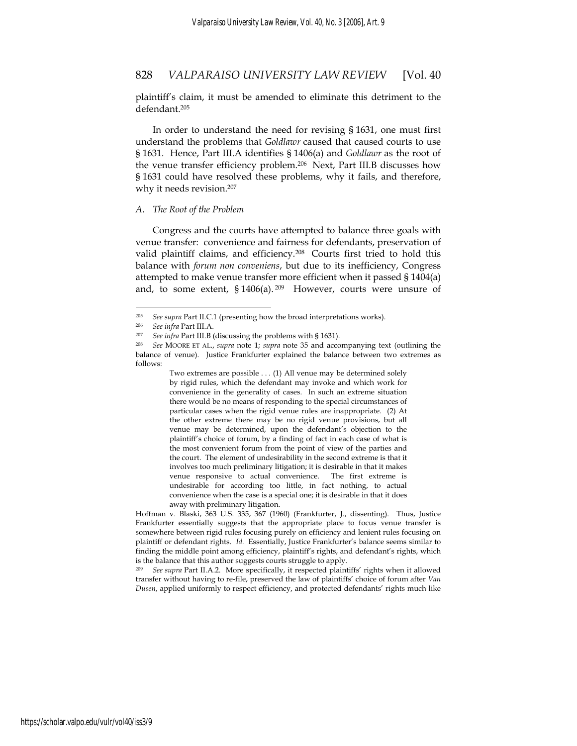plaintiff's claim, it must be amended to eliminate this detriment to the defendant.205

In order to understand the need for revising § 1631, one must first understand the problems that *Goldlawr* caused that caused courts to use § 1631. Hence, Part III.A identifies § 1406(a) and *Goldlawr* as the root of the venue transfer efficiency problem.206 Next, Part III.B discusses how § 1631 could have resolved these problems, why it fails, and therefore, why it needs revision.<sup>207</sup>

#### *A. The Root of the Problem*

Congress and the courts have attempted to balance three goals with venue transfer: convenience and fairness for defendants, preservation of valid plaintiff claims, and efficiency.208 Courts first tried to hold this balance with *forum non conveniens*, but due to its inefficiency, Congress attempted to make venue transfer more efficient when it passed § 1404(a) and, to some extent,  $$1406(a).^{209}$  However, courts were unsure of

 $\overline{a}$ 

Two extremes are possible . . . (1) All venue may be determined solely by rigid rules, which the defendant may invoke and which work for convenience in the generality of cases. In such an extreme situation there would be no means of responding to the special circumstances of particular cases when the rigid venue rules are inappropriate. (2) At the other extreme there may be no rigid venue provisions, but all venue may be determined, upon the defendant's objection to the plaintiff's choice of forum, by a finding of fact in each case of what is the most convenient forum from the point of view of the parties and the court. The element of undesirability in the second extreme is that it involves too much preliminary litigation; it is desirable in that it makes venue responsive to actual convenience. The first extreme is undesirable for according too little, in fact nothing, to actual convenience when the case is a special one; it is desirable in that it does away with preliminary litigation.

Hoffman v. Blaski, 363 U.S. 335, 367 (1960) (Frankfurter, J., dissenting). Thus, Justice Frankfurter essentially suggests that the appropriate place to focus venue transfer is somewhere between rigid rules focusing purely on efficiency and lenient rules focusing on plaintiff or defendant rights. *Id.* Essentially, Justice Frankfurter's balance seems similar to finding the middle point among efficiency, plaintiff's rights, and defendant's rights, which is the balance that this author suggests courts struggle to apply.

<sup>209</sup> *See supra* Part II.A.2. More specifically, it respected plaintiffs' rights when it allowed transfer without having to re-file, preserved the law of plaintiffs' choice of forum after *Van Dusen*, applied uniformly to respect efficiency, and protected defendants' rights much like

<sup>205</sup> *See supra* Part II.C.1 (presenting how the broad interpretations works).

<sup>206</sup> *See infra* Part III.A. 207 *See infra* Part III.B (discussing the problems with § 1631). 208 *See* MOORE ET AL., *supra* note 1; *supra* note 35 and accompanying text (outlining the balance of venue). Justice Frankfurter explained the balance between two extremes as follows: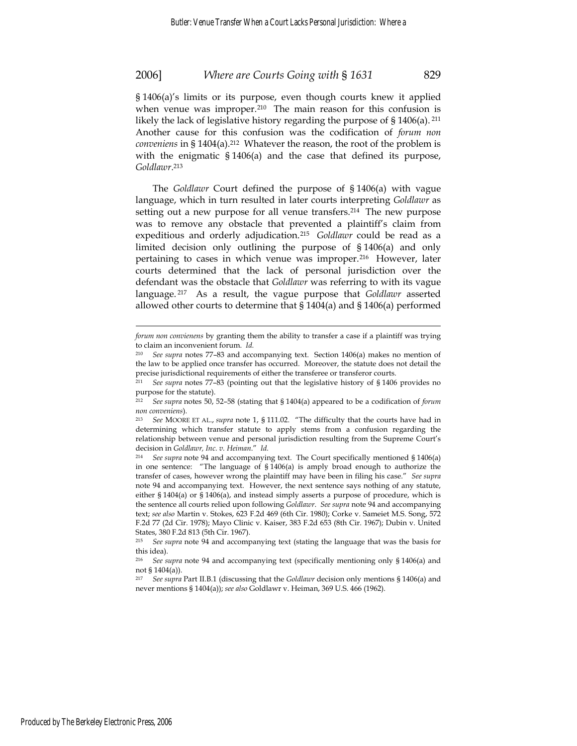§ 1406(a)'s limits or its purpose, even though courts knew it applied when venue was improper.<sup>210</sup> The main reason for this confusion is likely the lack of legislative history regarding the purpose of § 1406(a). 211 Another cause for this confusion was the codification of *forum non conveniens* in § 1404(a).<sup>212</sup> Whatever the reason, the root of the problem is with the enigmatic § 1406(a) and the case that defined its purpose, *Goldlawr*. 213

The *Goldlawr* Court defined the purpose of § 1406(a) with vague language, which in turn resulted in later courts interpreting *Goldlawr* as setting out a new purpose for all venue transfers.<sup>214</sup> The new purpose was to remove any obstacle that prevented a plaintiff's claim from expeditious and orderly adjudication.215 *Goldlawr* could be read as a limited decision only outlining the purpose of § 1406(a) and only pertaining to cases in which venue was improper.216 However, later courts determined that the lack of personal jurisdiction over the defendant was the obstacle that *Goldlawr* was referring to with its vague language. 217 As a result, the vague purpose that *Goldlawr* asserted allowed other courts to determine that § 1404(a) and § 1406(a) performed

*forum non convienens* by granting them the ability to transfer a case if a plaintiff was trying to claim an inconvenient forum. *Id.*

<sup>210</sup> *See supra* notes 77–83 and accompanying text. Section 1406(a) makes no mention of the law to be applied once transfer has occurred. Moreover, the statute does not detail the precise jurisdictional requirements of either the transferee or transferor courts.

<sup>211</sup> *See supra* notes 77–83 (pointing out that the legislative history of § 1406 provides no purpose for the statute).

<sup>212</sup> *See supra* notes 50, 52–58 (stating that § 1404(a) appeared to be a codification of *forum non conveniens*). 213 *See* MOORE ET AL., *supra* note 1, § 111.02. "The difficulty that the courts have had in

determining which transfer statute to apply stems from a confusion regarding the relationship between venue and personal jurisdiction resulting from the Supreme Court's decision in *Goldlawr, Inc. v. Heiman*." *Id.*

<sup>214</sup> *See supra* note 94 and accompanying text.The Court specifically mentioned § 1406(a) in one sentence: "The language of § 1406(a) is amply broad enough to authorize the transfer of cases, however wrong the plaintiff may have been in filing his case." *See supra* note 94 and accompanying text. However, the next sentence says nothing of any statute, either § 1404(a) or § 1406(a), and instead simply asserts a purpose of procedure, which is the sentence all courts relied upon following *Goldlawr*. *See supra* note 94 and accompanying text; *see also* Martin v. Stokes, 623 F.2d 469 (6th Cir. 1980); Corke v. Sameiet M.S. Song, 572 F.2d 77 (2d Cir. 1978); Mayo Clinic v. Kaiser, 383 F.2d 653 (8th Cir. 1967); Dubin v. United States, 380 F.2d 813 (5th Cir. 1967).

<sup>215</sup> *See supra* note 94 and accompanying text (stating the language that was the basis for this idea).

<sup>216</sup> *See supra* note 94 and accompanying text (specifically mentioning only § 1406(a) and not § 1404(a)).

<sup>217</sup> *See supra* Part II.B.1 (discussing that the *Goldlawr* decision only mentions § 1406(a) and never mentions § 1404(a)); *see also* Goldlawr v. Heiman, 369 U.S. 466 (1962).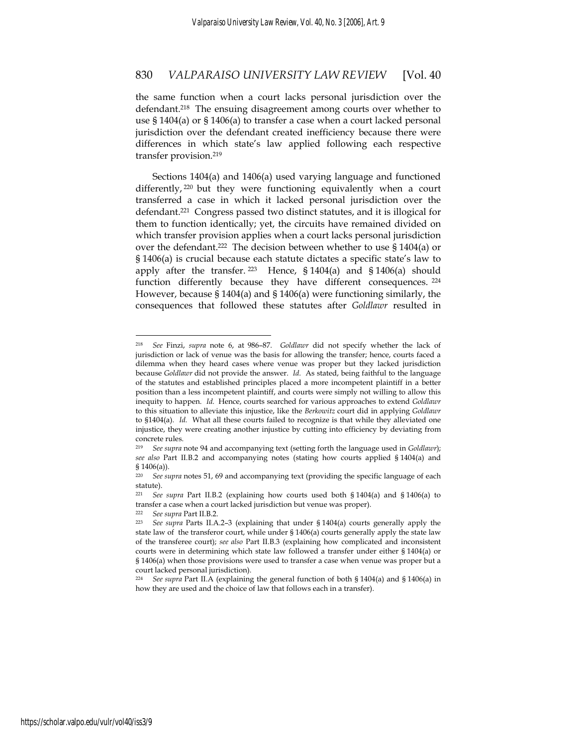the same function when a court lacks personal jurisdiction over the defendant.<sup>218</sup> The ensuing disagreement among courts over whether to use § 1404(a) or § 1406(a) to transfer a case when a court lacked personal jurisdiction over the defendant created inefficiency because there were differences in which state's law applied following each respective transfer provision.219

Sections 1404(a) and 1406(a) used varying language and functioned differently,  $220$  but they were functioning equivalently when a court transferred a case in which it lacked personal jurisdiction over the defendant.221 Congress passed two distinct statutes, and it is illogical for them to function identically; yet, the circuits have remained divided on which transfer provision applies when a court lacks personal jurisdiction over the defendant.222 The decision between whether to use § 1404(a) or § 1406(a) is crucial because each statute dictates a specific state's law to apply after the transfer.  $2^{23}$  Hence, § 1404(a) and § 1406(a) should function differently because they have different consequences. 224 However, because § 1404(a) and § 1406(a) were functioning similarly, the consequences that followed these statutes after *Goldlawr* resulted in

<sup>218</sup> *See* Finzi, *supra* note 6, at 986–87. *Goldlawr* did not specify whether the lack of jurisdiction or lack of venue was the basis for allowing the transfer; hence, courts faced a dilemma when they heard cases where venue was proper but they lacked jurisdiction because *Goldlawr* did not provide the answer. *Id.* As stated, being faithful to the language of the statutes and established principles placed a more incompetent plaintiff in a better position than a less incompetent plaintiff, and courts were simply not willing to allow this inequity to happen. *Id.* Hence, courts searched for various approaches to extend *Goldlawr* to this situation to alleviate this injustice, like the *Berkowitz* court did in applying *Goldlawr*  to §1404(a). *Id.* What all these courts failed to recognize is that while they alleviated one injustice, they were creating another injustice by cutting into efficiency by deviating from concrete rules.

<sup>219</sup> *See supra* note 94 and accompanying text (setting forth the language used in *Goldlawr*); *see also* Part II.B.2 and accompanying notes (stating how courts applied § 1404(a) and § 1406(a)).

<sup>220</sup> *See supra* notes 51, 69 and accompanying text (providing the specific language of each statute).

<sup>221</sup> *See supra* Part II.B.2 (explaining how courts used both § 1404(a) and § 1406(a) to transfer a case when a court lacked jurisdiction but venue was proper).

<sup>222</sup> *See supra* Part II.B.2. 223 *See supra* Parts II.A.2–3 (explaining that under § 1404(a) courts generally apply the state law of the transferor court, while under § 1406(a) courts generally apply the state law of the transferee court); *see also* Part II.B.3 (explaining how complicated and inconsistent courts were in determining which state law followed a transfer under either § 1404(a) or § 1406(a) when those provisions were used to transfer a case when venue was proper but a court lacked personal jurisdiction).

<sup>224</sup> *See supra* Part II.A (explaining the general function of both § 1404(a) and § 1406(a) in how they are used and the choice of law that follows each in a transfer).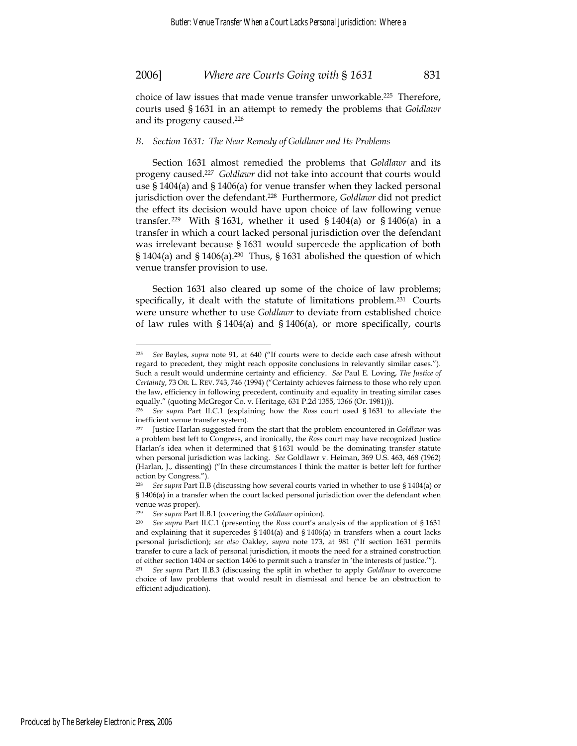choice of law issues that made venue transfer unworkable.225 Therefore, courts used § 1631 in an attempt to remedy the problems that *Goldlawr*  and its progeny caused.226

#### *B. Section 1631: The Near Remedy of Goldlawr and Its Problems*

Section 1631 almost remedied the problems that *Goldlawr* and its progeny caused.227 *Goldlawr* did not take into account that courts would use § 1404(a) and § 1406(a) for venue transfer when they lacked personal jurisdiction over the defendant.228 Furthermore, *Goldlawr* did not predict the effect its decision would have upon choice of law following venue transfer.<sup>229</sup> With § 1631, whether it used § 1404(a) or § 1406(a) in a transfer in which a court lacked personal jurisdiction over the defendant was irrelevant because § 1631 would supercede the application of both § 1404(a) and § 1406(a).<sup>230</sup> Thus, § 1631 abolished the question of which venue transfer provision to use.

Section 1631 also cleared up some of the choice of law problems; specifically, it dealt with the statute of limitations problem.<sup>231</sup> Courts were unsure whether to use *Goldlawr* to deviate from established choice of law rules with § 1404(a) and § 1406(a), or more specifically, courts

<sup>225</sup> *See* Bayles, *supra* note 91, at 640 ("If courts were to decide each case afresh without regard to precedent, they might reach opposite conclusions in relevantly similar cases."). Such a result would undermine certainty and efficiency. *See* Paul E. Loving, *The Justice of Certainty*, 73 OR. L. REV. 743, 746 (1994) ("Certainty achieves fairness to those who rely upon the law, efficiency in following precedent, continuity and equality in treating similar cases

equally." (quoting McGregor Co. v. Heritage, 631 P.2d 1355, 1366 (Or. 1981))). 226 *See supra* Part II.C.1 (explaining how the *Ross* court used § 1631 to alleviate the inefficient venue transfer system).

<sup>227</sup> Justice Harlan suggested from the start that the problem encountered in *Goldlawr* was a problem best left to Congress, and ironically, the *Ross* court may have recognized Justice Harlan's idea when it determined that § 1631 would be the dominating transfer statute when personal jurisdiction was lacking. *See* Goldlawr v. Heiman, 369 U.S. 463, 468 (1962) (Harlan, J., dissenting) ("In these circumstances I think the matter is better left for further action by Congress.").

<sup>228</sup> *See supra* Part II.B (discussing how several courts varied in whether to use § 1404(a) or § 1406(a) in a transfer when the court lacked personal jurisdiction over the defendant when venue was proper).

<sup>229</sup> *See supra* Part II.B.1 (covering the *Goldlawr* opinion). 230 *See supra* Part II.C.1 (presenting the *Ross* court's analysis of the application of § 1631 and explaining that it supercedes § 1404(a) and § 1406(a) in transfers when a court lacks personal jurisdiction); *see also* Oakley, *supra* note 173, at 981 ("If section 1631 permits transfer to cure a lack of personal jurisdiction, it moots the need for a strained construction of either section 1404 or section 1406 to permit such a transfer in 'the interests of justice.'").

<sup>231</sup> *See supra* Part II.B.3 (discussing the split in whether to apply *Goldlawr* to overcome choice of law problems that would result in dismissal and hence be an obstruction to efficient adjudication).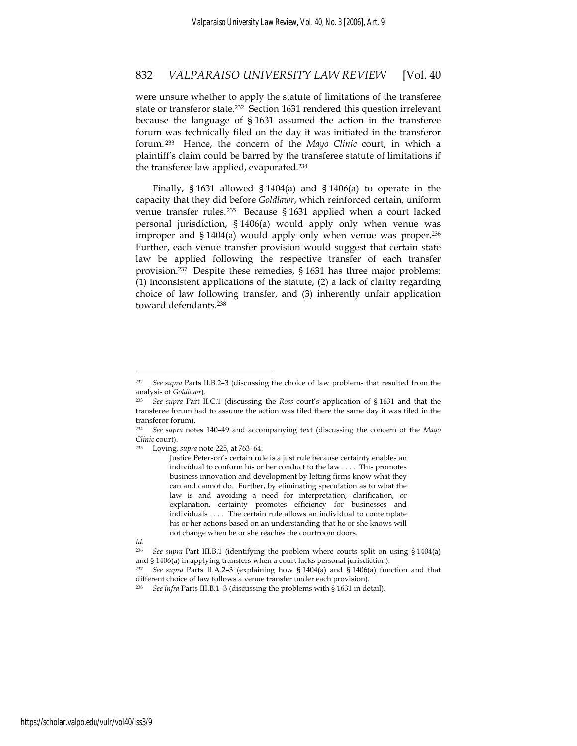were unsure whether to apply the statute of limitations of the transferee state or transferor state.232 Section 1631 rendered this question irrelevant because the language of § 1631 assumed the action in the transferee forum was technically filed on the day it was initiated in the transferor forum. 233 Hence, the concern of the *Mayo Clinic* court, in which a plaintiff's claim could be barred by the transferee statute of limitations if the transferee law applied, evaporated.234

Finally, § 1631 allowed § 1404(a) and § 1406(a) to operate in the capacity that they did before *Goldlawr*, which reinforced certain, uniform venue transfer rules.235 Because § 1631 applied when a court lacked personal jurisdiction, § 1406(a) would apply only when venue was improper and  $\S 1404(a)$  would apply only when venue was proper.<sup>236</sup> Further, each venue transfer provision would suggest that certain state law be applied following the respective transfer of each transfer provision.237 Despite these remedies, § 1631 has three major problems: (1) inconsistent applications of the statute, (2) a lack of clarity regarding choice of law following transfer, and (3) inherently unfair application toward defendants.238

<sup>232</sup> *See supra* Parts II.B.2–3 (discussing the choice of law problems that resulted from the analysis of *Goldlawr*). 233 *See supra* Part II.C.1 (discussing the *Ross* court's application of § 1631 and that the

transferee forum had to assume the action was filed there the same day it was filed in the transferor forum).

<sup>234</sup> *See supra* notes 140–49 and accompanying text (discussing the concern of the *Mayo Clinic* court).

<sup>235</sup> Loving, *supra* note 225, at 763–64.

Justice Peterson's certain rule is a just rule because certainty enables an individual to conform his or her conduct to the law . . . . This promotes business innovation and development by letting firms know what they can and cannot do. Further, by eliminating speculation as to what the law is and avoiding a need for interpretation, clarification, or explanation, certainty promotes efficiency for businesses and individuals .... The certain rule allows an individual to contemplate his or her actions based on an understanding that he or she knows will not change when he or she reaches the courtroom doors.

*Id.* 

<sup>236</sup> *See supra* Part III.B.1 (identifying the problem where courts split on using § 1404(a) and § 1406(a) in applying transfers when a court lacks personal jurisdiction).

<sup>237</sup> *See supra* Parts II.A.2–3 (explaining how § 1404(a) and § 1406(a) function and that different choice of law follows a venue transfer under each provision). 238 *See infra* Parts III.B.1–3 (discussing the problems with § 1631 in detail).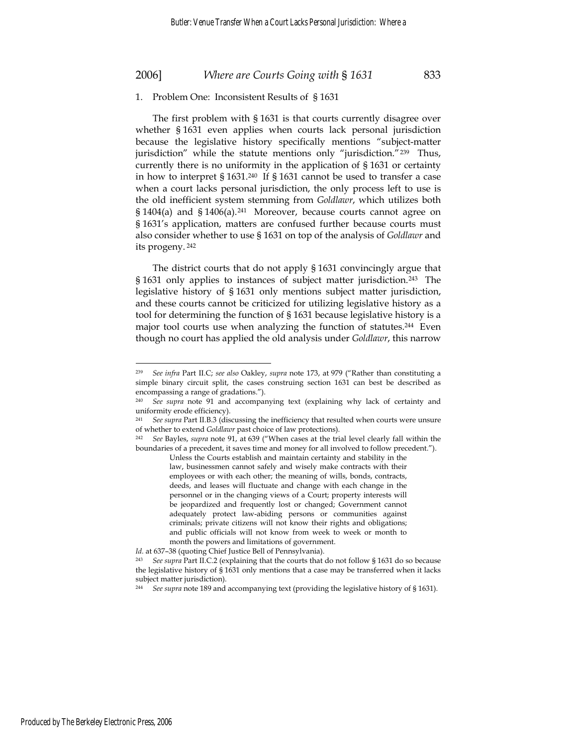$\overline{a}$ 

# 2006] *Where are Courts Going with* § *1631* 833

#### 1. Problem One: Inconsistent Results of § 1631

The first problem with § 1631 is that courts currently disagree over whether § 1631 even applies when courts lack personal jurisdiction because the legislative history specifically mentions "subject-matter jurisdiction" while the statute mentions only "jurisdiction."<sup>239</sup> Thus, currently there is no uniformity in the application of § 1631 or certainty in how to interpret § 1631.240 If § 1631 cannot be used to transfer a case when a court lacks personal jurisdiction, the only process left to use is the old inefficient system stemming from *Goldlawr*, which utilizes both § 1404(a) and § 1406(a).<sup>241</sup> Moreover, because courts cannot agree on § 1631's application, matters are confused further because courts must also consider whether to use § 1631 on top of the analysis of *Goldlawr* and its progeny. 242

The district courts that do not apply § 1631 convincingly argue that § 1631 only applies to instances of subject matter jurisdiction.243 The legislative history of § 1631 only mentions subject matter jurisdiction, and these courts cannot be criticized for utilizing legislative history as a tool for determining the function of § 1631 because legislative history is a major tool courts use when analyzing the function of statutes.<sup>244</sup> Even though no court has applied the old analysis under *Goldlawr*, this narrow

<sup>239</sup> *See infra* Part II.C; *see also* Oakley, *supra* note 173, at 979 ("Rather than constituting a simple binary circuit split, the cases construing section 1631 can best be described as encompassing a range of gradations.").

<sup>240</sup> *See supra* note 91 and accompanying text (explaining why lack of certainty and uniformity erode efficiency).

<sup>241</sup> *See supra* Part II.B.3 (discussing the inefficiency that resulted when courts were unsure

of whether to extend *Goldlawr* past choice of law protections). 242 *See* Bayles, *supra* note 91, at 639 ("When cases at the trial level clearly fall within the boundaries of a precedent, it saves time and money for all involved to follow precedent.").

Unless the Courts establish and maintain certainty and stability in the law, businessmen cannot safely and wisely make contracts with their employees or with each other; the meaning of wills, bonds, contracts, deeds, and leases will fluctuate and change with each change in the personnel or in the changing views of a Court; property interests will be jeopardized and frequently lost or changed; Government cannot adequately protect law-abiding persons or communities against criminals; private citizens will not know their rights and obligations; and public officials will not know from week to week or month to month the powers and limitations of government.

*Id.* at 637–38 (quoting Chief Justice Bell of Pennsylvania). 243 *See supra* Part II.C.2 (explaining that the courts that do not follow § 1631 do so because the legislative history of § 1631 only mentions that a case may be transferred when it lacks subject matter jurisdiction).

<sup>244</sup> *See supra* note 189 and accompanying text (providing the legislative history of § 1631).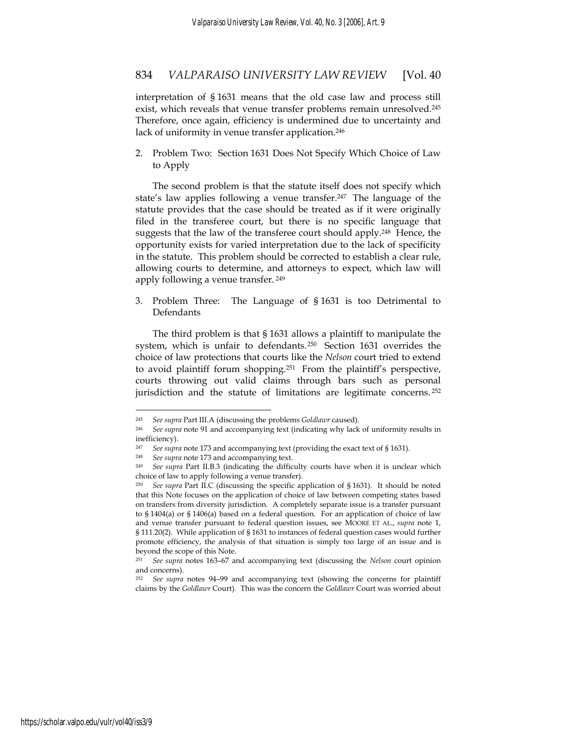interpretation of § 1631 means that the old case law and process still exist, which reveals that venue transfer problems remain unresolved.<sup>245</sup> Therefore, once again, efficiency is undermined due to uncertainty and lack of uniformity in venue transfer application.<sup>246</sup>

2. Problem Two: Section 1631 Does Not Specify Which Choice of Law to Apply

The second problem is that the statute itself does not specify which state's law applies following a venue transfer.<sup>247</sup> The language of the statute provides that the case should be treated as if it were originally filed in the transferee court, but there is no specific language that suggests that the law of the transferee court should apply.<sup>248</sup> Hence, the opportunity exists for varied interpretation due to the lack of specificity in the statute. This problem should be corrected to establish a clear rule, allowing courts to determine, and attorneys to expect, which law will apply following a venue transfer. 249

3. Problem Three: The Language of § 1631 is too Detrimental to Defendants

The third problem is that § 1631 allows a plaintiff to manipulate the system, which is unfair to defendants.250 Section 1631 overrides the choice of law protections that courts like the *Nelson* court tried to extend to avoid plaintiff forum shopping.251 From the plaintiff's perspective, courts throwing out valid claims through bars such as personal jurisdiction and the statute of limitations are legitimate concerns.<sup>252</sup>

<sup>245</sup> *See supra* Part III.A (discussing the problems *Goldlawr* caused).

<sup>246</sup> *See supra* note 91 and accompanying text (indicating why lack of uniformity results in inefficiency).

<sup>247</sup> *See supra* note 173 and accompanying text (providing the exact text of § 1631).

<sup>248</sup> *See supra* note 173 and accompanying text. 249 *See supra* Part II.B.3 (indicating the difficulty courts have when it is unclear which choice of law to apply following a venue transfer).

<sup>250</sup> *See supra* Part II.C (discussing the specific application of § 1631). It should be noted that this Note focuses on the application of choice of law between competing states based on transfers from diversity jurisdiction. A completely separate issue is a transfer pursuant to § 1404(a) or § 1406(a) based on a federal question. For an application of choice of law and venue transfer pursuant to federal question issues, see MOORE ET AL., *supra* note 1, § 111.20(2). While application of § 1631 to instances of federal question cases would further promote efficiency, the analysis of that situation is simply too large of an issue and is beyond the scope of this Note.

<sup>251</sup> *See supra* notes 163–67 and accompanying text (discussing the *Nelson* court opinion and concerns).

<sup>252</sup> *See supra* notes 94–99 and accompanying text (showing the concerns for plaintiff claims by the *Goldlawr* Court). This was the concern the *Goldlawr* Court was worried about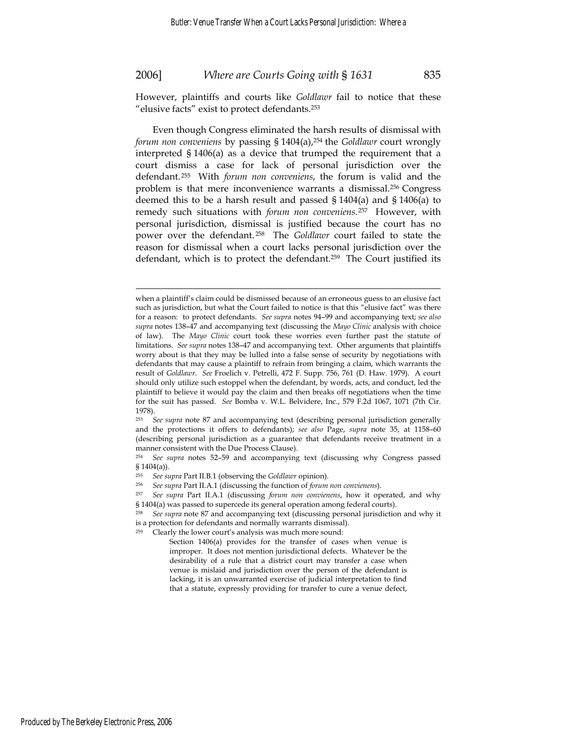$\overline{a}$ 

However, plaintiffs and courts like *Goldlawr* fail to notice that these "elusive facts" exist to protect defendants.253

Even though Congress eliminated the harsh results of dismissal with *forum non conveniens* by passing § 1404(a),254 the *Goldlawr* court wrongly interpreted § 1406(a) as a device that trumped the requirement that a court dismiss a case for lack of personal jurisdiction over the defendant. 255 With *forum non conveniens*, the forum is valid and the problem is that mere inconvenience warrants a dismissal.256 Congress deemed this to be a harsh result and passed § 1404(a) and § 1406(a) to remedy such situations with *forum non conveniens*.257 However, with personal jurisdiction, dismissal is justified because the court has no power over the defendant. 258 The *Goldlawr* court failed to state the reason for dismissal when a court lacks personal jurisdiction over the defendant, which is to protect the defendant.259 The Court justified its

when a plaintiff's claim could be dismissed because of an erroneous guess to an elusive fact such as jurisdiction, but what the Court failed to notice is that this "elusive fact" was there for a reason: to protect defendants. *See supra* notes 94–99 and accompanying text; *see also supra* notes 138–47 and accompanying text (discussing the *Mayo Clinic* analysis with choice of law). The *Mayo Clinic* court took these worries even further past the statute of limitations. *See supra* notes 138–47 and accompanying text. Other arguments that plaintiffs worry about is that they may be lulled into a false sense of security by negotiations with defendants that may cause a plaintiff to refrain from bringing a claim, which warrants the result of *Goldlawr*. *See* Froelich v. Petrelli, 472 F. Supp. 756, 761 (D. Haw. 1979). A court should only utilize such estoppel when the defendant, by words, acts, and conduct, led the plaintiff to believe it would pay the claim and then breaks off negotiations when the time for the suit has passed. *See* Bomba v. W.L. Belvidere, Inc., 579 F.2d 1067, 1071 (7th Cir. 1978).

<sup>253</sup> *See supra* note 87 and accompanying text (describing personal jurisdiction generally and the protections it offers to defendants); *see also* Page, *supra* note 35, at 1158–60 (describing personal jurisdiction as a guarantee that defendants receive treatment in a manner consistent with the Due Process Clause).

<sup>254</sup> *See supra* notes 52–59 and accompanying text (discussing why Congress passed § 1404(a)).

<sup>255</sup> *See supra* Part II.B.1 (observing the *Goldlawr* opinion).

<sup>256</sup> *See supra* Part II.A.1 (discussing the function of *forum non convienens*). 257 *See supra* Part II.A.1 (discussing *forum non convienens*, how it operated, and why  $$1404(a)$  was passed to supercede its general operation among federal courts).<br><sup>258</sup> See sunta pote 87 and accompanying text (discussing personal jurisdiction

<sup>258</sup> *See supra* note 87 and accompanying text (discussing personal jurisdiction and why it is a protection for defendants and normally warrants dismissal).

Clearly the lower court's analysis was much more sound:

Section 1406(a) provides for the transfer of cases when venue is improper. It does not mention jurisdictional defects. Whatever be the desirability of a rule that a district court may transfer a case when venue is mislaid and jurisdiction over the person of the defendant is lacking, it is an unwarranted exercise of judicial interpretation to find that a statute, expressly providing for transfer to cure a venue defect,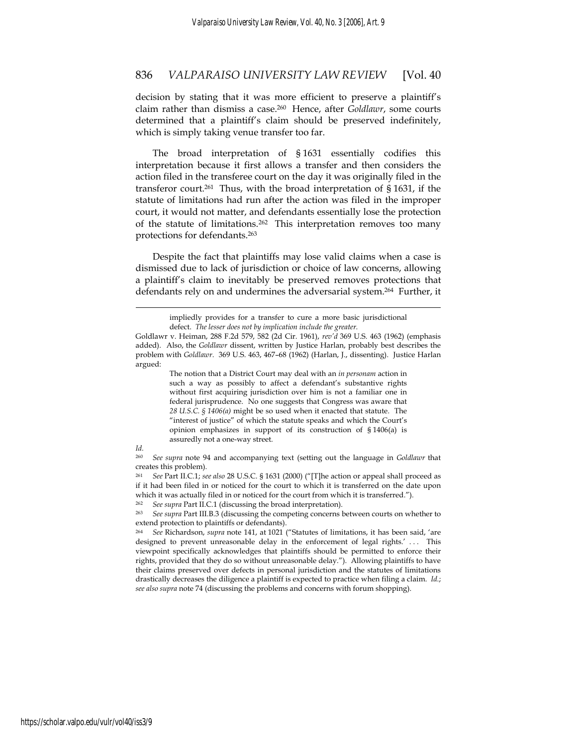decision by stating that it was more efficient to preserve a plaintiff's claim rather than dismiss a case.260 Hence, after *Goldlawr*, some courts determined that a plaintiff's claim should be preserved indefinitely, which is simply taking venue transfer too far.

The broad interpretation of § 1631 essentially codifies this interpretation because it first allows a transfer and then considers the action filed in the transferee court on the day it was originally filed in the transferor court.<sup>261</sup> Thus, with the broad interpretation of  $\S$  1631, if the statute of limitations had run after the action was filed in the improper court, it would not matter, and defendants essentially lose the protection of the statute of limitations.262 This interpretation removes too many protections for defendants.263

Despite the fact that plaintiffs may lose valid claims when a case is dismissed due to lack of jurisdiction or choice of law concerns, allowing a plaintiff's claim to inevitably be preserved removes protections that defendants rely on and undermines the adversarial system.264 Further, it

The notion that a District Court may deal with an *in personam* action in such a way as possibly to affect a defendant's substantive rights without first acquiring jurisdiction over him is not a familiar one in federal jurisprudence. No one suggests that Congress was aware that *28 U.S.C. § 1406(a)* might be so used when it enacted that statute. The "interest of justice" of which the statute speaks and which the Court's opinion emphasizes in support of its construction of § 1406(a) is assuredly not a one-way street.

#### *Id.*

 $\overline{a}$ 

<sup>260</sup> *See supra* note 94 and accompanying text (setting out the language in *Goldlawr* that creates this problem).

<sup>261</sup> *See* Part II.C.1; *see also* 28 U.S.C. § 1631 (2000) ("[T]he action or appeal shall proceed as if it had been filed in or noticed for the court to which it is transferred on the date upon which it was actually filed in or noticed for the court from which it is transferred.").

<sup>262</sup> *See supra* Part II.C.1 (discussing the broad interpretation). 263 *See supra* Part III.B.3 (discussing the competing concerns between courts on whether to extend protection to plaintiffs or defendants).

impliedly provides for a transfer to cure a more basic jurisdictional defect. *The lesser does not by implication include the greater.*

Goldlawr v. Heiman, 288 F.2d 579, 582 (2d Cir. 1961), *rev'd* 369 U.S. 463 (1962) (emphasis added). Also, the *Goldlawr* dissent, written by Justice Harlan, probably best describes the problem with *Goldlawr*. 369 U.S. 463, 467–68 (1962) (Harlan, J., dissenting). Justice Harlan argued:

<sup>264</sup> *See* Richardson, *supra* note 141, at 1021 ("Statutes of limitations, it has been said, 'are designed to prevent unreasonable delay in the enforcement of legal rights.' ... This viewpoint specifically acknowledges that plaintiffs should be permitted to enforce their rights, provided that they do so without unreasonable delay."). Allowing plaintiffs to have their claims preserved over defects in personal jurisdiction and the statutes of limitations drastically decreases the diligence a plaintiff is expected to practice when filing a claim. *Id.*; *see also supra* note 74 (discussing the problems and concerns with forum shopping).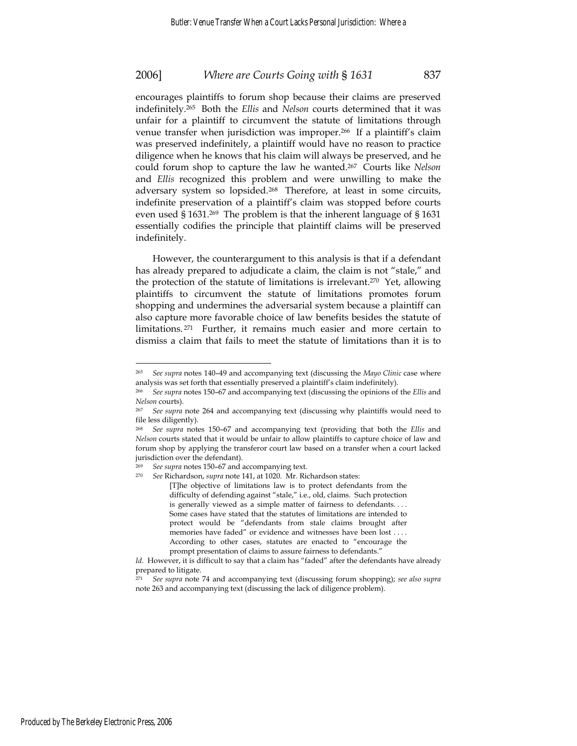encourages plaintiffs to forum shop because their claims are preserved indefinitely.265 Both the *Ellis* and *Nelson* courts determined that it was unfair for a plaintiff to circumvent the statute of limitations through venue transfer when jurisdiction was improper.266 If a plaintiff's claim was preserved indefinitely, a plaintiff would have no reason to practice diligence when he knows that his claim will always be preserved, and he could forum shop to capture the law he wanted.267 Courts like *Nelson*  and *Ellis* recognized this problem and were unwilling to make the adversary system so lopsided.<sup>268</sup> Therefore, at least in some circuits, indefinite preservation of a plaintiff's claim was stopped before courts even used § 1631.269 The problem is that the inherent language of § 1631 essentially codifies the principle that plaintiff claims will be preserved indefinitely.

However, the counterargument to this analysis is that if a defendant has already prepared to adjudicate a claim, the claim is not "stale," and the protection of the statute of limitations is irrelevant.270 Yet, allowing plaintiffs to circumvent the statute of limitations promotes forum shopping and undermines the adversarial system because a plaintiff can also capture more favorable choice of law benefits besides the statute of limitations. 271 Further, it remains much easier and more certain to dismiss a claim that fails to meet the statute of limitations than it is to

<sup>265</sup> *See supra* notes 140–49 and accompanying text (discussing the *Mayo Clinic* case where analysis was set forth that essentially preserved a plaintiff's claim indefinitely).

<sup>266</sup> *See supra* notes 150–67 and accompanying text (discussing the opinions of the *Ellis* and *Nelson* courts).

<sup>267</sup> *See supra* note 264 and accompanying text (discussing why plaintiffs would need to file less diligently).

<sup>268</sup> *See supra* notes 150–67 and accompanying text (providing that both the *Ellis* and *Nelson* courts stated that it would be unfair to allow plaintiffs to capture choice of law and forum shop by applying the transferor court law based on a transfer when a court lacked jurisdiction over the defendant).

<sup>269</sup> *See supra* notes 150–67 and accompanying text. 270 *See* Richardson, *supra* note 141, at 1020. Mr. Richardson states:

<sup>[</sup>T]he objective of limitations law is to protect defendants from the difficulty of defending against "stale," i.e., old, claims. Such protection is generally viewed as a simple matter of fairness to defendants. . . . Some cases have stated that the statutes of limitations are intended to protect would be "defendants from stale claims brought after memories have faded" or evidence and witnesses have been lost . . . . According to other cases, statutes are enacted to "encourage the prompt presentation of claims to assure fairness to defendants."

Id. However, it is difficult to say that a claim has "faded" after the defendants have already prepared to litigate.

<sup>271</sup> *See supra* note 74 and accompanying text (discussing forum shopping); *see also supra*  note 263 and accompanying text (discussing the lack of diligence problem).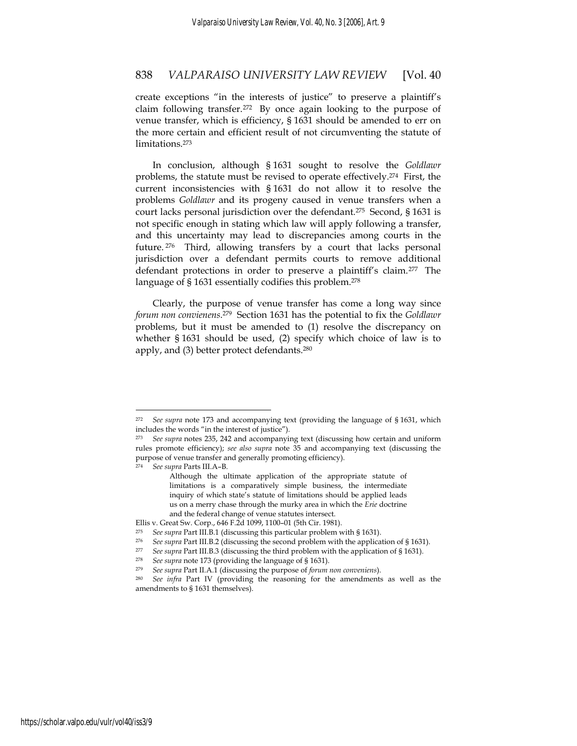create exceptions "in the interests of justice" to preserve a plaintiff's claim following transfer.272 By once again looking to the purpose of venue transfer, which is efficiency, § 1631 should be amended to err on the more certain and efficient result of not circumventing the statute of limitations.273

In conclusion, although § 1631 sought to resolve the *Goldlawr*  problems, the statute must be revised to operate effectively.274 First, the current inconsistencies with § 1631 do not allow it to resolve the problems *Goldlawr* and its progeny caused in venue transfers when a court lacks personal jurisdiction over the defendant.275 Second, § 1631 is not specific enough in stating which law will apply following a transfer, and this uncertainty may lead to discrepancies among courts in the future. 276 Third, allowing transfers by a court that lacks personal jurisdiction over a defendant permits courts to remove additional defendant protections in order to preserve a plaintiff's claim.277 The language of § 1631 essentially codifies this problem.<sup>278</sup>

Clearly, the purpose of venue transfer has come a long way since *forum non convienens*. 279 Section 1631 has the potential to fix the *Goldlawr*  problems, but it must be amended to (1) resolve the discrepancy on whether § 1631 should be used, (2) specify which choice of law is to apply, and (3) better protect defendants.280

<sup>272</sup> *See supra* note 173 and accompanying text (providing the language of § 1631, which includes the words "in the interest of justice").

<sup>273</sup> *See supra* notes 235, 242 and accompanying text (discussing how certain and uniform rules promote efficiency); *see also supra* note 35 and accompanying text (discussing the purpose of venue transfer and generally promoting efficiency). 274 *See supra* Parts III.A–B.

Although the ultimate application of the appropriate statute of limitations is a comparatively simple business, the intermediate inquiry of which state's statute of limitations should be applied leads us on a merry chase through the murky area in which the *Erie* doctrine and the federal change of venue statutes intersect.

Ellis v. Great Sw. Corp., 646 F.2d 1099, 1100–01 (5th Cir. 1981).

<sup>275</sup> *See supra* Part III.B.1 (discussing this particular problem with § 1631).

<sup>&</sup>lt;sup>276</sup> See supra Part III.B.2 (discussing the second problem with the application of § 1631).<br><sup>277</sup> See supra Part III.B.3 (discussing the third problem with the application of § 1631).

<sup>&</sup>lt;sup>277</sup> See supra Part III.B.3 (discussing the third problem with the application of § 1631).<br><sup>278</sup> See supra note 173 (providing the language of § 1631).<br><sup>279</sup> See supra Part II.A.1 (discussing the purpose of *forum non co* 

<sup>280</sup> *See infra* Part IV (providing the reasoning for the amendments as well as the amendments to § 1631 themselves).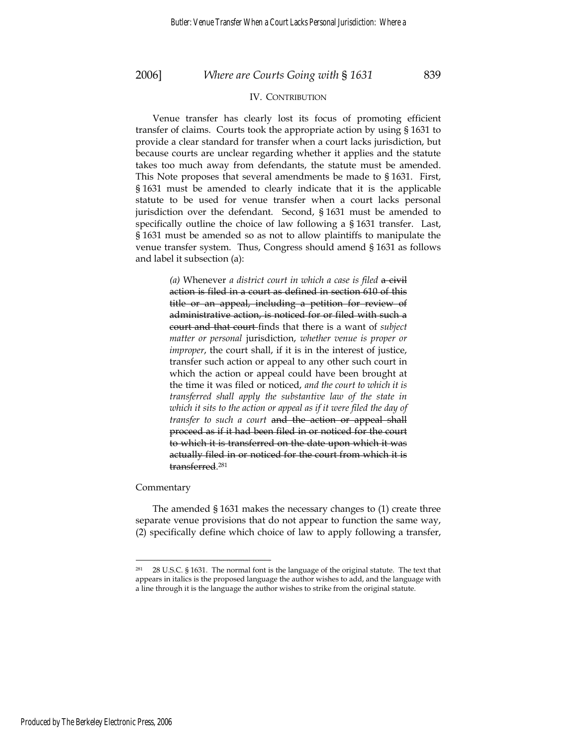#### IV. CONTRIBUTION

Venue transfer has clearly lost its focus of promoting efficient transfer of claims. Courts took the appropriate action by using § 1631 to provide a clear standard for transfer when a court lacks jurisdiction, but because courts are unclear regarding whether it applies and the statute takes too much away from defendants, the statute must be amended. This Note proposes that several amendments be made to § 1631. First, § 1631 must be amended to clearly indicate that it is the applicable statute to be used for venue transfer when a court lacks personal jurisdiction over the defendant. Second, § 1631 must be amended to specifically outline the choice of law following a § 1631 transfer. Last, § 1631 must be amended so as not to allow plaintiffs to manipulate the venue transfer system. Thus, Congress should amend § 1631 as follows and label it subsection (a):

> *(a)* Whenever *a district court in which a case is filed* a civil action is filed in a court as defined in section 610 of this title or an appeal, including a petition for review of administrative action, is noticed for or filed with such a court and that court finds that there is a want of *subject matter or personal* jurisdiction, *whether venue is proper or improper*, the court shall, if it is in the interest of justice, transfer such action or appeal to any other such court in which the action or appeal could have been brought at the time it was filed or noticed, *and the court to which it is transferred shall apply the substantive law of the state in which it sits to the action or appeal as if it were filed the day of transfer to such a court* and the action or appeal shall proceed as if it had been filed in or noticed for the court to which it is transferred on the date upon which it was actually filed in or noticed for the court from which it is transferred. 281

#### Commentary

 $\overline{a}$ 

The amended § 1631 makes the necessary changes to (1) create three separate venue provisions that do not appear to function the same way, (2) specifically define which choice of law to apply following a transfer,

<sup>281 28</sup> U.S.C. § 1631. The normal font is the language of the original statute. The text that appears in italics is the proposed language the author wishes to add, and the language with a line through it is the language the author wishes to strike from the original statute.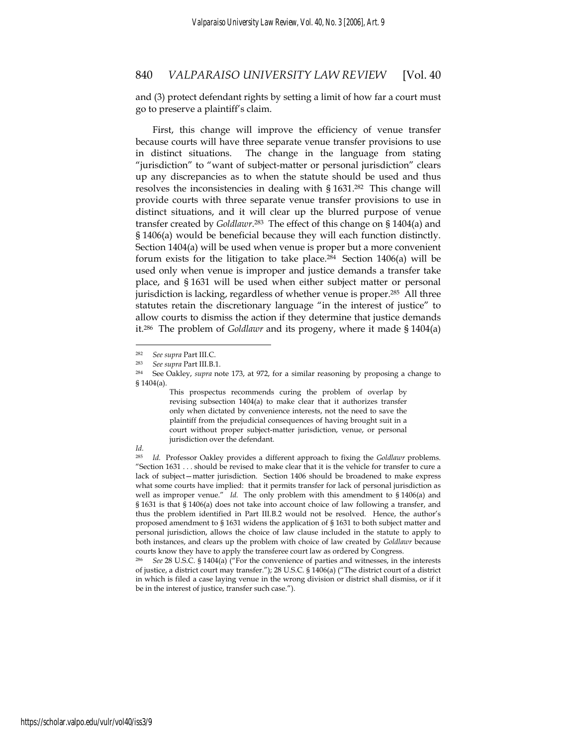and (3) protect defendant rights by setting a limit of how far a court must go to preserve a plaintiff's claim.

First, this change will improve the efficiency of venue transfer because courts will have three separate venue transfer provisions to use in distinct situations. The change in the language from stating "jurisdiction" to "want of subject-matter or personal jurisdiction" clears up any discrepancies as to when the statute should be used and thus resolves the inconsistencies in dealing with § 1631.282 This change will provide courts with three separate venue transfer provisions to use in distinct situations, and it will clear up the blurred purpose of venue transfer created by *Goldlawr*. 283 The effect of this change on § 1404(a) and § 1406(a) would be beneficial because they will each function distinctly. Section 1404(a) will be used when venue is proper but a more convenient forum exists for the litigation to take place.284 Section 1406(a) will be used only when venue is improper and justice demands a transfer take place, and § 1631 will be used when either subject matter or personal jurisdiction is lacking, regardless of whether venue is proper.<sup>285</sup> All three statutes retain the discretionary language "in the interest of justice" to allow courts to dismiss the action if they determine that justice demands it.286 The problem of *Goldlawr* and its progeny, where it made § 1404(a)

*Id.* 

 $\overline{a}$ 

<sup>285</sup> *Id.* Professor Oakley provides a different approach to fixing the *Goldlawr* problems. "Section 1631 . . . should be revised to make clear that it is the vehicle for transfer to cure a lack of subject—matter jurisdiction. Section 1406 should be broadened to make express what some courts have implied: that it permits transfer for lack of personal jurisdiction as well as improper venue." *Id.* The only problem with this amendment to § 1406(a) and § 1631 is that § 1406(a) does not take into account choice of law following a transfer, and thus the problem identified in Part III.B.2 would not be resolved. Hence, the author's proposed amendment to § 1631 widens the application of § 1631 to both subject matter and personal jurisdiction, allows the choice of law clause included in the statute to apply to both instances, and clears up the problem with choice of law created by *Goldlawr* because

courts know they have to apply the transferee court law as ordered by Congress. 286 *See* 28 U.S.C. § 1404(a) ("For the convenience of parties and witnesses, in the interests of justice, a district court may transfer."); 28 U.S.C. § 1406(a) ("The district court of a district in which is filed a case laying venue in the wrong division or district shall dismiss, or if it be in the interest of justice, transfer such case.").

<sup>282</sup> *See supra* Part III.C.

<sup>283</sup> *See supra* Part III.B.1. 284 See Oakley, *supra* note 173, at 972, for a similar reasoning by proposing a change to § 1404(a).

This prospectus recommends curing the problem of overlap by revising subsection 1404(a) to make clear that it authorizes transfer only when dictated by convenience interests, not the need to save the plaintiff from the prejudicial consequences of having brought suit in a court without proper subject-matter jurisdiction, venue, or personal jurisdiction over the defendant.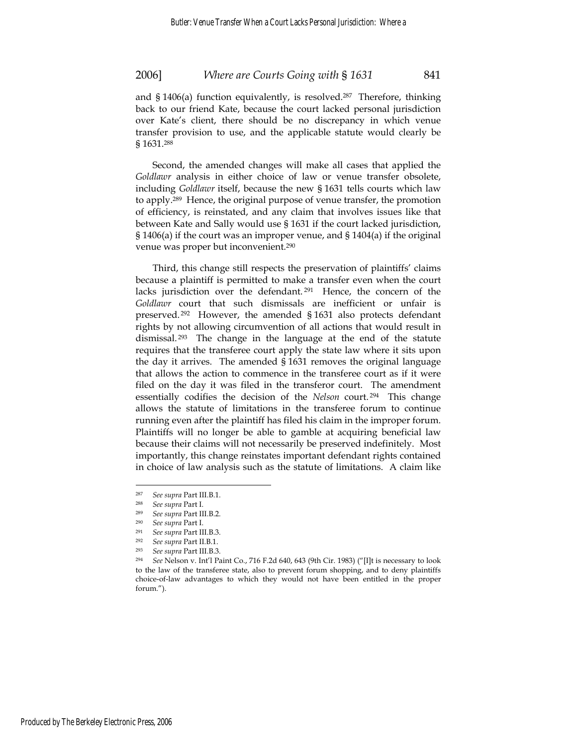and § 1406(a) function equivalently, is resolved.<sup>287</sup> Therefore, thinking back to our friend Kate, because the court lacked personal jurisdiction over Kate's client, there should be no discrepancy in which venue transfer provision to use, and the applicable statute would clearly be § 1631.288

Second, the amended changes will make all cases that applied the *Goldlawr* analysis in either choice of law or venue transfer obsolete, including *Goldlawr* itself, because the new § 1631 tells courts which law to apply.289 Hence, the original purpose of venue transfer, the promotion of efficiency, is reinstated, and any claim that involves issues like that between Kate and Sally would use § 1631 if the court lacked jurisdiction, § 1406(a) if the court was an improper venue, and § 1404(a) if the original venue was proper but inconvenient.290

Third, this change still respects the preservation of plaintiffs' claims because a plaintiff is permitted to make a transfer even when the court lacks jurisdiction over the defendant.<sup>291</sup> Hence, the concern of the *Goldlawr* court that such dismissals are inefficient or unfair is preserved. 292 However, the amended § 1631 also protects defendant rights by not allowing circumvention of all actions that would result in dismissal.<sup>293</sup> The change in the language at the end of the statute requires that the transferee court apply the state law where it sits upon the day it arrives. The amended § 1631 removes the original language that allows the action to commence in the transferee court as if it were filed on the day it was filed in the transferor court. The amendment essentially codifies the decision of the *Nelson* court. 294 This change allows the statute of limitations in the transferee forum to continue running even after the plaintiff has filed his claim in the improper forum. Plaintiffs will no longer be able to gamble at acquiring beneficial law because their claims will not necessarily be preserved indefinitely. Most importantly, this change reinstates important defendant rights contained in choice of law analysis such as the statute of limitations. A claim like

<sup>287</sup> *See supra* Part III.B.1.

<sup>288</sup> *See supra* Part I. 289 *See supra* Part III.B.2. 290 *See supra* Part I. 291 *See supra* Part III.B.3.

<sup>292</sup> *See supra* Part II.B.1.

<sup>293</sup> *See supra* Part III.B.3. 294 *See* Nelson v. Int'l Paint Co., 716 F.2d 640, 643 (9th Cir. 1983) ("[I]t is necessary to look to the law of the transferee state, also to prevent forum shopping, and to deny plaintiffs choice-of-law advantages to which they would not have been entitled in the proper forum.").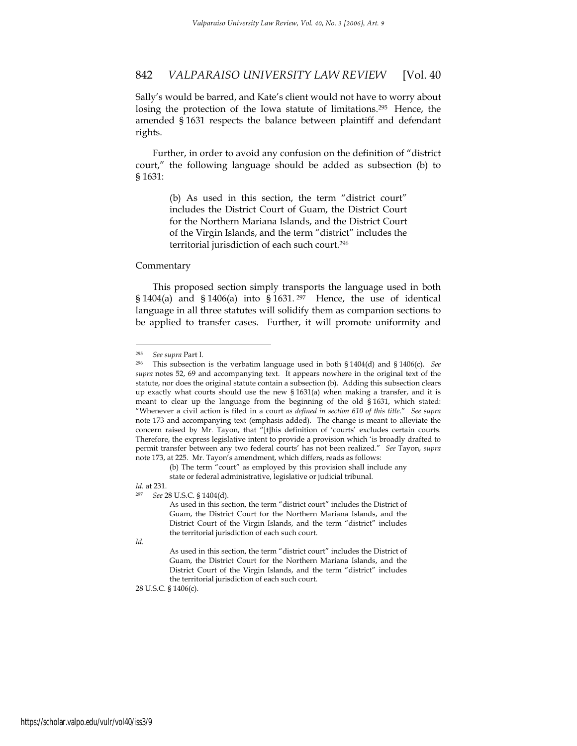Sally's would be barred, and Kate's client would not have to worry about losing the protection of the Iowa statute of limitations.295 Hence, the amended § 1631 respects the balance between plaintiff and defendant rights.

Further, in order to avoid any confusion on the definition of "district court," the following language should be added as subsection (b) to § 1631:

> (b) As used in this section, the term "district court" includes the District Court of Guam, the District Court for the Northern Mariana Islands, and the District Court of the Virgin Islands, and the term "district" includes the territorial jurisdiction of each such court.296

#### **Commentary**

This proposed section simply transports the language used in both § 1404(a) and § 1406(a) into § 1631.<sup>297</sup> Hence, the use of identical language in all three statutes will solidify them as companion sections to be applied to transfer cases. Further, it will promote uniformity and

 $\overline{a}$ 

28 U.S.C. § 1406(c).

<sup>295</sup> *See supra* Part I.

<sup>296</sup> This subsection is the verbatim language used in both § 1404(d) and § 1406(c). *See supra* notes 52, 69 and accompanying text. It appears nowhere in the original text of the statute, nor does the original statute contain a subsection (b). Adding this subsection clears up exactly what courts should use the new  $\S 1631(a)$  when making a transfer, and it is meant to clear up the language from the beginning of the old § 1631, which stated: "Whenever a civil action is filed in a court *as defined in section 610 of this title*." *See supra*  note 173 and accompanying text (emphasis added). The change is meant to alleviate the concern raised by Mr. Tayon, that "[t]his definition of 'courts' excludes certain courts. Therefore, the express legislative intent to provide a provision which 'is broadly drafted to permit transfer between any two federal courts' has not been realized." *See* Tayon, *supra*  note 173, at 225. Mr. Tayon's amendment, which differs, reads as follows:

<sup>(</sup>b) The term "court" as employed by this provision shall include any state or federal administrative, legislative or judicial tribunal.

*Id.* at 231. 297 *See* 28 U.S.C. § 1404(d).

As used in this section, the term "district court" includes the District of Guam, the District Court for the Northern Mariana Islands, and the District Court of the Virgin Islands, and the term "district" includes the territorial jurisdiction of each such court.

*Id.*

As used in this section, the term "district court" includes the District of Guam, the District Court for the Northern Mariana Islands, and the District Court of the Virgin Islands, and the term "district" includes the territorial jurisdiction of each such court.